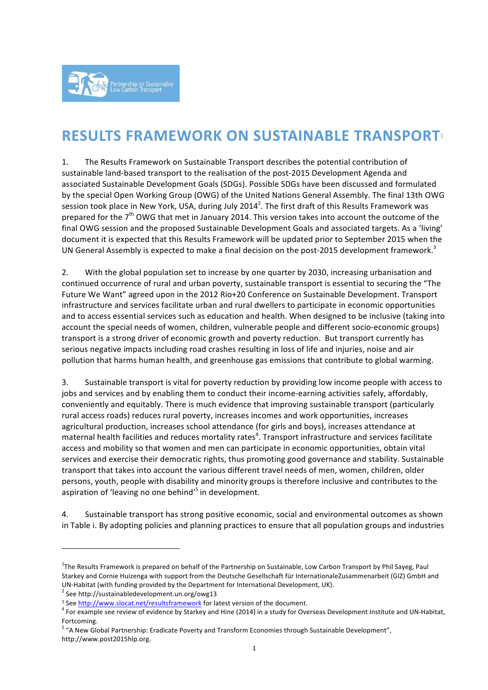

# **RESULTS FRAMEWORK ON SUSTAINABLE TRANSPORT**<sup>1</sup>

1. The Results Framework on Sustainable Transport describes the potential contribution of sustainable land-based transport to the realisation of the post-2015 Development Agenda and associated Sustainable Development Goals (SDGs). Possible SDGs have been discussed and formulated by the special Open Working Group (OWG) of the United Nations General Assembly. The final 13th OWG session took place in New York, USA, during July 2014<sup>2</sup>. The first draft of this Results Framework was prepared for the  $7<sup>th</sup>$  OWG that met in January 2014. This version takes into account the outcome of the final OWG session and the proposed Sustainable Development Goals and associated targets. As a 'living' document it is expected that this Results Framework will be updated prior to September 2015 when the UN General Assembly is expected to make a final decision on the post-2015 development framework.<sup>3</sup>

2. With the global population set to increase by one quarter by 2030, increasing urbanisation and continued occurrence of rural and urban poverty, sustainable transport is essential to securing the "The Future We Want" agreed upon in the 2012 Rio+20 Conference on Sustainable Development. Transport infrastructure and services facilitate urban and rural dwellers to participate in economic opportunities and to access essential services such as education and health. When designed to be inclusive (taking into account the special needs of women, children, vulnerable people and different socio-economic groups) transport is a strong driver of economic growth and poverty reduction. But transport currently has serious negative impacts including road crashes resulting in loss of life and injuries, noise and air pollution that harms human health, and greenhouse gas emissions that contribute to global warming.

3. Sustainable transport is vital for poverty reduction by providing low income people with access to jobs and services and by enabling them to conduct their income-earning activities safely, affordably, conveniently and equitably. There is much evidence that improving sustainable transport (particularly rural access roads) reduces rural poverty, increases incomes and work opportunities, increases agricultural production, increases school attendance (for girls and boys), increases attendance at maternal health facilities and reduces mortality rates<sup>4</sup>. Transport infrastructure and services facilitate access and mobility so that women and men can participate in economic opportunities, obtain vital services and exercise their democratic rights, thus promoting good governance and stability. Sustainable transport that takes into account the various different travel needs of men, women, children, older persons, youth, people with disability and minority groups is therefore inclusive and contributes to the aspiration of 'leaving no one behind'<sup>5</sup> in development.

4. Sustainable transport has strong positive economic, social and environmental outcomes as shown in Table i. By adopting policies and planning practices to ensure that all population groups and industries

 $1$ The Results Framework is prepared on behalf of the Partnership on Sustainable, Low Carbon Transport by Phil Sayeg, Paul Starkey and Cornie Huizenga with support from the Deutsche Gesellschaft für InternationaleZusammenarbeit (GIZ) GmbH and UN-Habitat (with funding provided by the Department for International Development, UK).<br><sup>2</sup> See http://sustainabledevelopment.un.org/owg13

<sup>&</sup>lt;sup>3</sup> See http://www.slocat.net/resultsframework for latest version of the document.<br><sup>4</sup> For example see review of evidence by Starkey and Hine (2014) in a study for Overseas Development Institute and UN-Habitat,

Fortcoming.<br><sup>5</sup> "A New Global Partnership: Eradicate Poverty and Transform Economies through Sustainable Development", http://www.post2015hlp.org.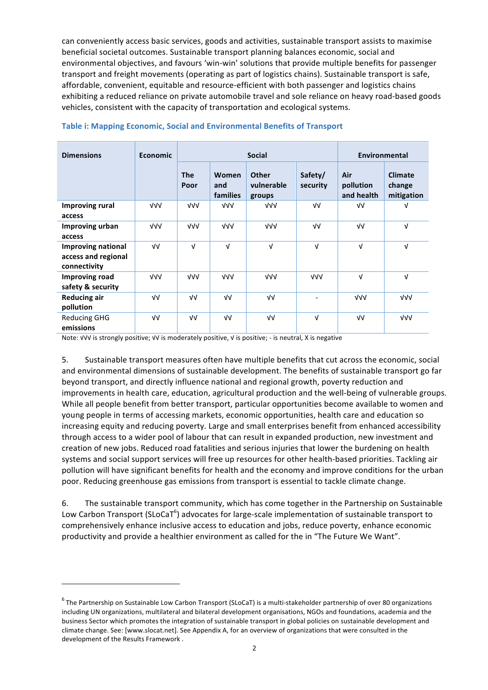can conveniently access basic services, goods and activities, sustainable transport assists to maximise beneficial societal outcomes. Sustainable transport planning balances economic, social and environmental objectives, and favours 'win-win' solutions that provide multiple benefits for passenger transport and freight movements (operating as part of logistics chains). Sustainable transport is safe, affordable, convenient, equitable and resource-efficient with both passenger and logistics chains exhibiting a reduced reliance on private automobile travel and sole reliance on heavy road-based goods vehicles, consistent with the capacity of transportation and ecological systems.

| <b>Dimensions</b>         | <b>Economic</b> | <b>Social</b>      |                          |                                      |                          | Environmental                  |                                        |  |
|---------------------------|-----------------|--------------------|--------------------------|--------------------------------------|--------------------------|--------------------------------|----------------------------------------|--|
|                           |                 | <b>The</b><br>Poor | Women<br>and<br>families | <b>Other</b><br>vulnerable<br>groups | Safety/<br>security      | Air<br>pollution<br>and health | <b>Climate</b><br>change<br>mitigation |  |
| Improving rural           | $\sqrt{v}$      | $\sqrt{v}$         | $\sqrt{v}$               | VV                                   | $\sqrt{V}$               | $\sqrt{V}$                     | $\sqrt{ }$                             |  |
| access                    |                 |                    |                          |                                      |                          |                                |                                        |  |
| Improving urban           | $\sqrt{V}$      | $\sqrt{v}$         | VVV                      | $\sqrt{v}$                           | νν                       | $\sqrt{V}$                     | $\sqrt{ }$                             |  |
| access                    |                 |                    |                          |                                      |                          |                                |                                        |  |
| <b>Improving national</b> | $\sqrt{V}$      | $\sqrt{ }$         | $\sqrt{ }$               | $\sqrt{ }$                           | $\sqrt{ }$               | $\sqrt{ }$                     | $\sqrt{ }$                             |  |
| access and regional       |                 |                    |                          |                                      |                          |                                |                                        |  |
| connectivity              |                 |                    |                          |                                      |                          |                                |                                        |  |
| <b>Improving road</b>     | $\sqrt{V}$      | $\sqrt{v}$         | $\sqrt{v}$               | $\sqrt{v}$                           | $\sqrt{v}$               | $\sqrt{ }$                     | $\sqrt{ }$                             |  |
| safety & security         |                 |                    |                          |                                      |                          |                                |                                        |  |
| <b>Reducing air</b>       | $\sqrt{V}$      | $\sqrt{V}$         | νν                       | νν                                   | $\overline{\phantom{a}}$ | $\sqrt{v}$                     | $\sqrt{v}$                             |  |
| pollution                 |                 |                    |                          |                                      |                          |                                |                                        |  |
| <b>Reducing GHG</b>       | $\sqrt{V}$      | $\sqrt{V}$         | νν                       | $\sqrt{V}$                           | $\sqrt{ }$               | νν                             | $\sqrt{v}$                             |  |
| emissions                 |                 |                    |                          |                                      |                          |                                |                                        |  |

### **Table i: Mapping Economic, Social and Environmental Benefits of Transport**

Note: √√√ is strongly positive; √√ is moderately positive, √ is positive; - is neutral, X is negative

 

5. Sustainable transport measures often have multiple benefits that cut across the economic, social and environmental dimensions of sustainable development. The benefits of sustainable transport go far beyond transport, and directly influence national and regional growth, poverty reduction and improvements in health care, education, agricultural production and the well-being of vulnerable groups. While all people benefit from better transport, particular opportunities become available to women and young people in terms of accessing markets, economic opportunities, health care and education so increasing equity and reducing poverty. Large and small enterprises benefit from enhanced accessibility through access to a wider pool of labour that can result in expanded production, new investment and creation of new jobs. Reduced road fatalities and serious injuries that lower the burdening on health systems and social support services will free up resources for other health-based priorities. Tackling air pollution will have significant benefits for health and the economy and improve conditions for the urban poor. Reducing greenhouse gas emissions from transport is essential to tackle climate change.

6. The sustainable transport community, which has come together in the Partnership on Sustainable Low Carbon Transport (SLoCaT<sup>6</sup>) advocates for large-scale implementation of sustainable transport to comprehensively enhance inclusive access to education and jobs, reduce poverty, enhance economic productivity and provide a healthier environment as called for the in "The Future We Want".

 $6$  The Partnership on Sustainable Low Carbon Transport (SLoCaT) is a multi-stakeholder partnership of over 80 organizations including UN organizations, multilateral and bilateral development organisations, NGOs and foundations, academia and the business Sector which promotes the integration of sustainable transport in global policies on sustainable development and climate change. See: [www.slocat.net]. See Appendix A, for an overview of organizations that were consulted in the development of the Results Framework.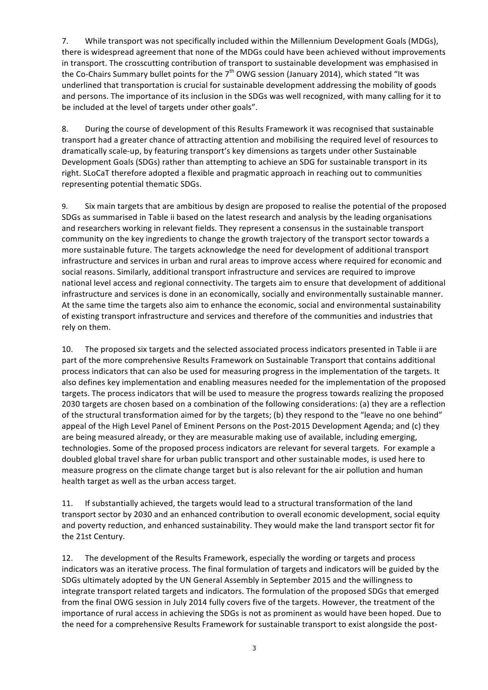7. While transport was not specifically included within the Millennium Development Goals (MDGs), there is widespread agreement that none of the MDGs could have been achieved without improvements in transport. The crosscutting contribution of transport to sustainable development was emphasised in the Co-Chairs Summary bullet points for the  $7<sup>th</sup>$  OWG session (January 2014), which stated "It was underlined that transportation is crucial for sustainable development addressing the mobility of goods and persons. The importance of its inclusion in the SDGs was well recognized, with many calling for it to be included at the level of targets under other goals".

8. During the course of development of this Results Framework it was recognised that sustainable transport had a greater chance of attracting attention and mobilising the required level of resources to dramatically scale-up, by featuring transport's key dimensions as targets under other Sustainable Development Goals (SDGs) rather than attempting to achieve an SDG for sustainable transport in its right. SLoCaT therefore adopted a flexible and pragmatic approach in reaching out to communities representing potential thematic SDGs.

9. Six main targets that are ambitious by design are proposed to realise the potential of the proposed SDGs as summarised in Table ii based on the latest research and analysis by the leading organisations and researchers working in relevant fields. They represent a consensus in the sustainable transport community on the key ingredients to change the growth trajectory of the transport sector towards a more sustainable future. The targets acknowledge the need for development of additional transport infrastructure and services in urban and rural areas to improve access where required for economic and social reasons. Similarly, additional transport infrastructure and services are required to improve national level access and regional connectivity. The targets aim to ensure that development of additional infrastructure and services is done in an economically, socially and environmentally sustainable manner. At the same time the targets also aim to enhance the economic, social and environmental sustainability of existing transport infrastructure and services and therefore of the communities and industries that rely on them.

10. The proposed six targets and the selected associated process indicators presented in Table ii are part of the more comprehensive Results Framework on Sustainable Transport that contains additional process indicators that can also be used for measuring progress in the implementation of the targets. It also defines key implementation and enabling measures needed for the implementation of the proposed targets. The process indicators that will be used to measure the progress towards realizing the proposed 2030 targets are chosen based on a combination of the following considerations: (a) they are a reflection of the structural transformation aimed for by the targets; (b) they respond to the "leave no one behind" appeal of the High Level Panel of Eminent Persons on the Post-2015 Development Agenda; and (c) they are being measured already, or they are measurable making use of available, including emerging, technologies. Some of the proposed process indicators are relevant for several targets. For example a doubled global travel share for urban public transport and other sustainable modes, is used here to measure progress on the climate change target but is also relevant for the air pollution and human health target as well as the urban access target.

11. If substantially achieved, the targets would lead to a structural transformation of the land transport sector by 2030 and an enhanced contribution to overall economic development, social equity and poverty reduction, and enhanced sustainability. They would make the land transport sector fit for the 21st Century.

12. The development of the Results Framework, especially the wording or targets and process indicators was an iterative process. The final formulation of targets and indicators will be guided by the SDGs ultimately adopted by the UN General Assembly in September 2015 and the willingness to integrate transport related targets and indicators. The formulation of the proposed SDGs that emerged from the final OWG session in July 2014 fully covers five of the targets. However, the treatment of the importance of rural access in achieving the SDGs is not as prominent as would have been hoped. Due to the need for a comprehensive Results Framework for sustainable transport to exist alongside the post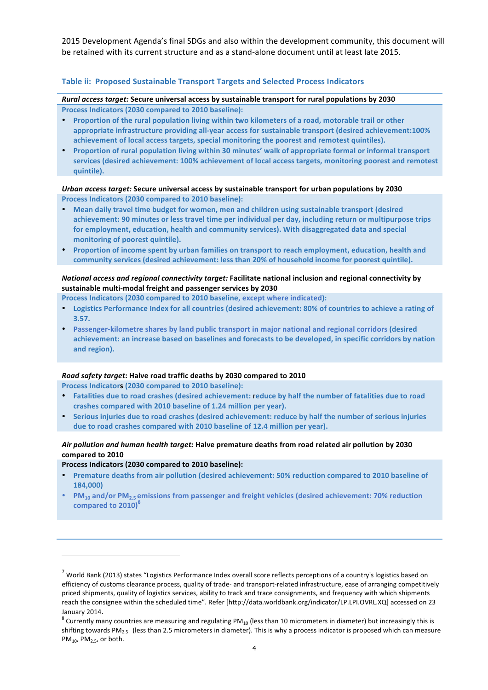2015 Development Agenda's final SDGs and also within the development community, this document will be retained with its current structure and as a stand-alone document until at least late 2015.

### **Table ii: Proposed Sustainable Transport Targets and Selected Process Indicators**

*Rural access target:* Secure universal access by sustainable transport for rural populations by 2030 Process Indicators (2030 compared to 2010 baseline):

- **Proportion of the rural population living within two kilometers of a road, motorable trail or other** appropriate infrastructure providing all-year access for sustainable transport (desired achievement:100% achievement of local access targets, special monitoring the poorest and remotest quintiles).
- **Proportion of rural population living within 30 minutes' walk of appropriate formal or informal transport** services (desired achievement: 100% achievement of local access targets, monitoring poorest and remotest **quintile).**

#### *Urban access target:* Secure universal access by sustainable transport for urban populations by 2030 Process Indicators (2030 compared to 2010 baseline):

- Mean daily travel time budget for women, men and children using sustainable transport (desired achievement: 90 minutes or less travel time per individual per day, including return or multipurpose trips for employment, education, health and community services). With disaggregated data and special monitoring of poorest quintile).
- Proportion of income spent by urban families on transport to reach employment, education, health and community services (desired achievement: less than 20% of household income for poorest quintile).

### *National access and regional connectivity target:* Facilitate national inclusion and regional connectivity by sustainable multi-modal freight and passenger services by 2030

- Process Indicators (2030 compared to 2010 baseline, except where indicated):
- Logistics Performance Index for all countries (desired achievement: 80% of countries to achieve a rating of **3.57.**
- Passenger-kilometre shares by land public transport in major national and regional corridors (desired achievement: an increase based on baselines and forecasts to be developed, in specific corridors by nation and region).

#### *Road safety target***: Halve road traffic deaths by 2030 compared to 2010**

Process Indicators (2030 compared to 2010 baseline):

- Fatalities due to road crashes (desired achievement: reduce by half the number of fatalities due to road crashes compared with 2010 baseline of 1.24 million per year).
- Serious injuries due to road crashes (desired achievement: reduce by half the number of serious injuries due to road crashes compared with 2010 baseline of 12.4 million per year).

### Air pollution and human health target: Halve premature deaths from road related air pollution by 2030 compared to 2010

#### Process Indicators (2030 compared to 2010 baseline):

- Premature deaths from air pollution (desired achievement: 50% reduction compared to 2010 baseline of **184,000)**
- **PM<sub>10</sub>** and/or PM<sub>2.5</sub> emissions from passenger and freight vehicles (desired achievement: 70% reduction **compared to 2010)<sup>8</sup>**

 $^7$  World Bank (2013) states "Logistics Performance Index overall score reflects perceptions of a country's logistics based on efficiency of customs clearance process, quality of trade- and transport-related infrastructure, ease of arranging competitively priced shipments, quality of logistics services, ability to track and trace consignments, and frequency with which shipments reach the consignee within the scheduled time". Refer [http://data.worldbank.org/indicator/LP.LPI.OVRL.XQ] accessed on 23 January 2014.<br><sup>8</sup> Currently many countries are measuring and regulating PM<sub>10</sub> (less than 10 micrometers in diameter) but increasingly this is

shifting towards PM<sub>2.5</sub> (less than 2.5 micrometers in diameter). This is why a process indicator is proposed which can measure  $PM<sub>10</sub>$ ,  $PM<sub>2.5</sub>$ , or both.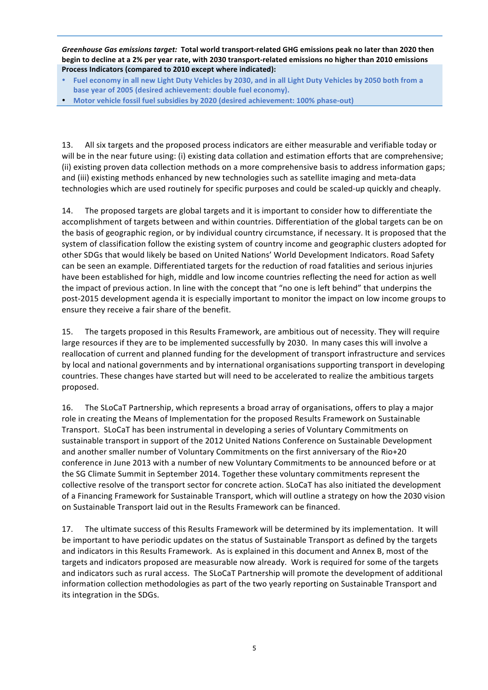Greenhouse Gas emissions *target:* Total world transport-related GHG emissions peak no later than 2020 then begin to decline at a 2% per year rate, with 2030 transport-related emissions no higher than 2010 emissions Process Indicators (compared to 2010 except where indicated):

- Fuel economy in all new Light Duty Vehicles by 2030, and in all Light Duty Vehicles by 2050 both from a base year of 2005 (desired achievement: double fuel economy).
- Motor vehicle fossil fuel subsidies by 2020 (desired achievement: 100% phase-out)

13. All six targets and the proposed process indicators are either measurable and verifiable today or will be in the near future using: (i) existing data collation and estimation efforts that are comprehensive; (ii) existing proven data collection methods on a more comprehensive basis to address information gaps; and (iii) existing methods enhanced by new technologies such as satellite imaging and meta-data technologies which are used routinely for specific purposes and could be scaled-up quickly and cheaply.

14. The proposed targets are global targets and it is important to consider how to differentiate the accomplishment of targets between and within countries. Differentiation of the global targets can be on the basis of geographic region, or by individual country circumstance, if necessary. It is proposed that the system of classification follow the existing system of country income and geographic clusters adopted for other SDGs that would likely be based on United Nations' World Development Indicators. Road Safety can be seen an example. Differentiated targets for the reduction of road fatalities and serious injuries have been established for high, middle and low income countries reflecting the need for action as well the impact of previous action. In line with the concept that "no one is left behind" that underpins the post-2015 development agenda it is especially important to monitor the impact on low income groups to ensure they receive a fair share of the benefit.

15. The targets proposed in this Results Framework, are ambitious out of necessity. They will require large resources if they are to be implemented successfully by 2030. In many cases this will involve a reallocation of current and planned funding for the development of transport infrastructure and services by local and national governments and by international organisations supporting transport in developing countries. These changes have started but will need to be accelerated to realize the ambitious targets proposed. 

16. The SLoCaT Partnership, which represents a broad array of organisations, offers to play a major role in creating the Means of Implementation for the proposed Results Framework on Sustainable Transport. SLoCaT has been instrumental in developing a series of Voluntary Commitments on sustainable transport in support of the 2012 United Nations Conference on Sustainable Development and another smaller number of Voluntary Commitments on the first anniversary of the Rio+20 conference in June 2013 with a number of new Voluntary Commitments to be announced before or at the SG Climate Summit in September 2014. Together these voluntary commitments represent the collective resolve of the transport sector for concrete action. SLoCaT has also initiated the development of a Financing Framework for Sustainable Transport, which will outline a strategy on how the 2030 vision on Sustainable Transport laid out in the Results Framework can be financed.

17. The ultimate success of this Results Framework will be determined by its implementation. It will be important to have periodic updates on the status of Sustainable Transport as defined by the targets and indicators in this Results Framework. As is explained in this document and Annex B, most of the targets and indicators proposed are measurable now already. Work is required for some of the targets and indicators such as rural access. The SLoCaT Partnership will promote the development of additional information collection methodologies as part of the two yearly reporting on Sustainable Transport and its integration in the SDGs.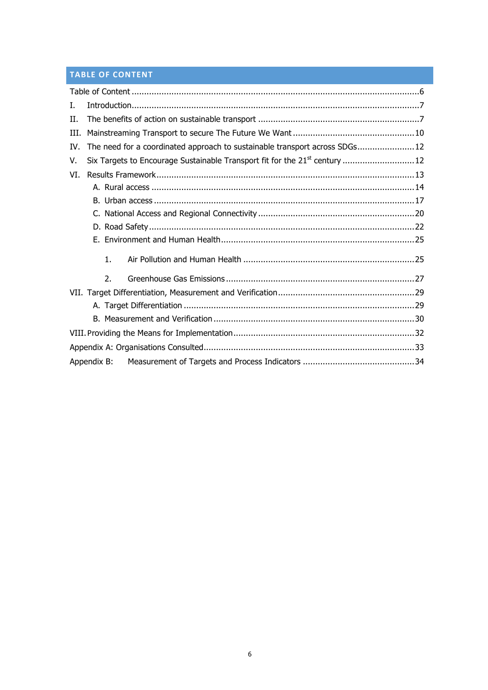# **TABLE OF CONTENT**

| L.          |  |    |                                                                                        |  |  |  |  |
|-------------|--|----|----------------------------------------------------------------------------------------|--|--|--|--|
| H.          |  |    |                                                                                        |  |  |  |  |
| III.        |  |    |                                                                                        |  |  |  |  |
| IV.         |  |    | The need for a coordinated approach to sustainable transport across SDGs12             |  |  |  |  |
| V.          |  |    | Six Targets to Encourage Sustainable Transport fit for the 21 <sup>st</sup> century 12 |  |  |  |  |
| VI.         |  |    |                                                                                        |  |  |  |  |
|             |  |    |                                                                                        |  |  |  |  |
|             |  |    |                                                                                        |  |  |  |  |
|             |  |    |                                                                                        |  |  |  |  |
|             |  |    |                                                                                        |  |  |  |  |
|             |  |    |                                                                                        |  |  |  |  |
|             |  | 1. |                                                                                        |  |  |  |  |
|             |  | 2. |                                                                                        |  |  |  |  |
|             |  |    |                                                                                        |  |  |  |  |
|             |  |    |                                                                                        |  |  |  |  |
|             |  |    |                                                                                        |  |  |  |  |
|             |  |    |                                                                                        |  |  |  |  |
|             |  |    |                                                                                        |  |  |  |  |
| Appendix B: |  |    |                                                                                        |  |  |  |  |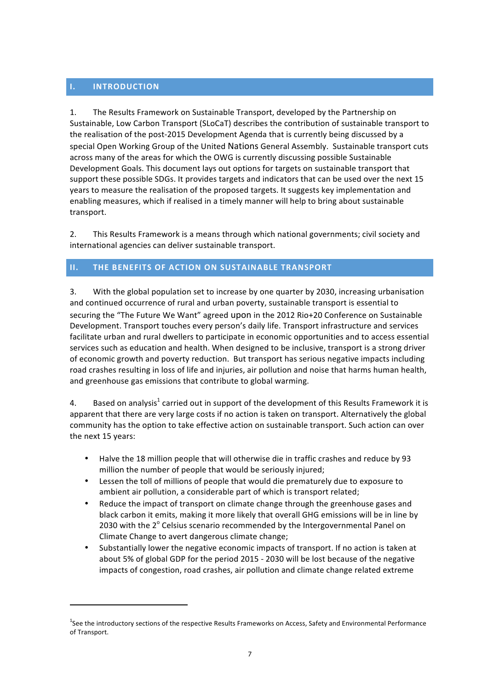# **I. INTRODUCTION**

 

1. The Results Framework on Sustainable Transport, developed by the Partnership on Sustainable, Low Carbon Transport (SLoCaT) describes the contribution of sustainable transport to the realisation of the post-2015 Development Agenda that is currently being discussed by a special Open Working Group of the United Nations General Assembly. Sustainable transport cuts across many of the areas for which the OWG is currently discussing possible Sustainable Development Goals. This document lays out options for targets on sustainable transport that support these possible SDGs. It provides targets and indicators that can be used over the next 15 years to measure the realisation of the proposed targets. It suggests key implementation and enabling measures, which if realised in a timely manner will help to bring about sustainable transport.

2. This Results Framework is a means through which national governments; civil society and international agencies can deliver sustainable transport.

# **II.** THE BENEFITS OF ACTION ON SUSTAINABLE TRANSPORT

3. With the global population set to increase by one quarter by 2030, increasing urbanisation and continued occurrence of rural and urban poverty, sustainable transport is essential to securing the "The Future We Want" agreed upon in the 2012 Rio+20 Conference on Sustainable Development. Transport touches every person's daily life. Transport infrastructure and services facilitate urban and rural dwellers to participate in economic opportunities and to access essential services such as education and health. When designed to be inclusive, transport is a strong driver of economic growth and poverty reduction. But transport has serious negative impacts including road crashes resulting in loss of life and injuries, air pollution and noise that harms human health, and greenhouse gas emissions that contribute to global warming.

4. Based on analysis<sup>1</sup> carried out in support of the development of this Results Framework it is apparent that there are very large costs if no action is taken on transport. Alternatively the global community has the option to take effective action on sustainable transport. Such action can over the next 15 years:

- Halve the 18 million people that will otherwise die in traffic crashes and reduce by 93 million the number of people that would be seriously injured;
- Lessen the toll of millions of people that would die prematurely due to exposure to ambient air pollution, a considerable part of which is transport related;
- Reduce the impact of transport on climate change through the greenhouse gases and black carbon it emits, making it more likely that overall GHG emissions will be in line by 2030 with the  $2^{\circ}$  Celsius scenario recommended by the Intergovernmental Panel on Climate Change to avert dangerous climate change;
- Substantially lower the negative economic impacts of transport. If no action is taken at about 5% of global GDP for the period 2015 - 2030 will be lost because of the negative impacts of congestion, road crashes, air pollution and climate change related extreme

 $^1$ See the introductory sections of the respective Results Frameworks on Access, Safety and Environmental Performance of Transport.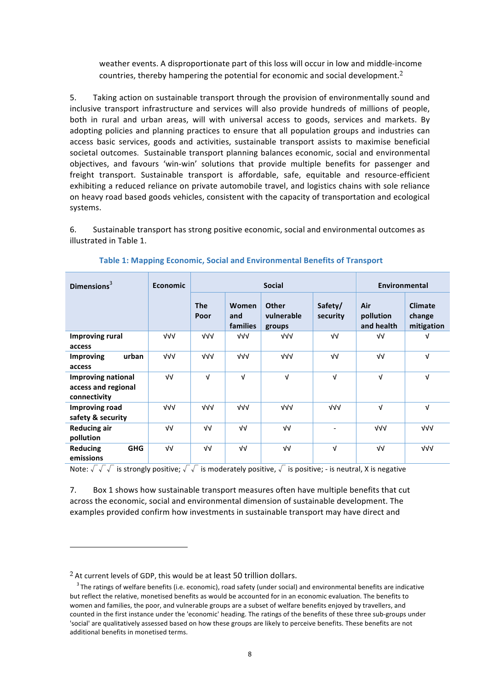weather events. A disproportionate part of this loss will occur in low and middle-income countries, thereby hampering the potential for economic and social development.<sup>2</sup>

5. Taking action on sustainable transport through the provision of environmentally sound and inclusive transport infrastructure and services will also provide hundreds of millions of people, both in rural and urban areas, will with universal access to goods, services and markets. By adopting policies and planning practices to ensure that all population groups and industries can access basic services, goods and activities, sustainable transport assists to maximise beneficial societal outcomes. Sustainable transport planning balances economic, social and environmental objectives, and favours 'win-win' solutions that provide multiple benefits for passenger and freight transport. Sustainable transport is affordable, safe, equitable and resource-efficient exhibiting a reduced reliance on private automobile travel, and logistics chains with sole reliance on heavy road based goods vehicles, consistent with the capacity of transportation and ecological systems. 

6. Sustainable transport has strong positive economic, social and environmental outcomes as illustrated in Table 1.

| Dimensions $3$                                                   | <b>Economic</b> | <b>Social</b>      |                          |                               |                          | <b>Environmental</b>           |                                        |
|------------------------------------------------------------------|-----------------|--------------------|--------------------------|-------------------------------|--------------------------|--------------------------------|----------------------------------------|
|                                                                  |                 | <b>The</b><br>Poor | Women<br>and<br>families | Other<br>vulnerable<br>groups | Safety/<br>security      | Air<br>pollution<br>and health | <b>Climate</b><br>change<br>mitigation |
| <b>Improving rural</b><br>access                                 | $\sqrt{V}$      | $\sqrt{v}$         | VVV                      | $\sqrt{v}$                    | νν                       | νν                             | V                                      |
| urban<br>Improving<br>access                                     | $\sqrt{V}$      | $\sqrt{v}$         | VVV                      | $\sqrt{v}$                    | νν                       | νν                             | $\sqrt{ }$                             |
| <b>Improving national</b><br>access and regional<br>connectivity | νν              | V                  | $\sqrt{ }$               | $\sqrt{ }$                    | $\sqrt{ }$               | $\sqrt{ }$                     | $\sqrt{ }$                             |
| <b>Improving road</b><br>safety & security                       | $\sqrt{V}$      | $\sqrt{v}$         | VVV                      | $\sqrt{v}$                    | $\sqrt{v}$               | $\sqrt{ }$                     | $\sqrt{ }$                             |
| <b>Reducing air</b><br>pollution                                 | νν              | $\sqrt{V}$         | νν                       | $\sqrt{V}$                    | $\overline{\phantom{a}}$ | VVV                            | $\sqrt{v}$                             |
| <b>GHG</b><br><b>Reducing</b><br>emissions                       | νν              | $\sqrt{V}$         | ٧V                       | $\sqrt{V}$                    | $\sqrt{ }$               | $\sqrt{V}$                     | VVV                                    |

**Table 1: Mapping Economic, Social and Environmental Benefits of Transport** 

Note:  $\sqrt{\sqrt{x}}$  is strongly positive;  $\sqrt{x}$  is moderately positive,  $\sqrt{x}$  is positive; - is neutral, X is negative

7. Box 1 shows how sustainable transport measures often have multiple benefits that cut across the economic, social and environmental dimension of sustainable development. The examples provided confirm how investments in sustainable transport may have direct and

 $2$  At current levels of GDP, this would be at least 50 trillion dollars.

 $3$  The ratings of welfare benefits (i.e. economic), road safety (under social) and environmental benefits are indicative but reflect the relative, monetised benefits as would be accounted for in an economic evaluation. The benefits to women and families, the poor, and vulnerable groups are a subset of welfare benefits enjoyed by travellers, and counted in the first instance under the 'economic' heading. The ratings of the benefits of these three sub-groups under 'social' are qualitatively assessed based on how these groups are likely to perceive benefits. These benefits are not additional benefits in monetised terms.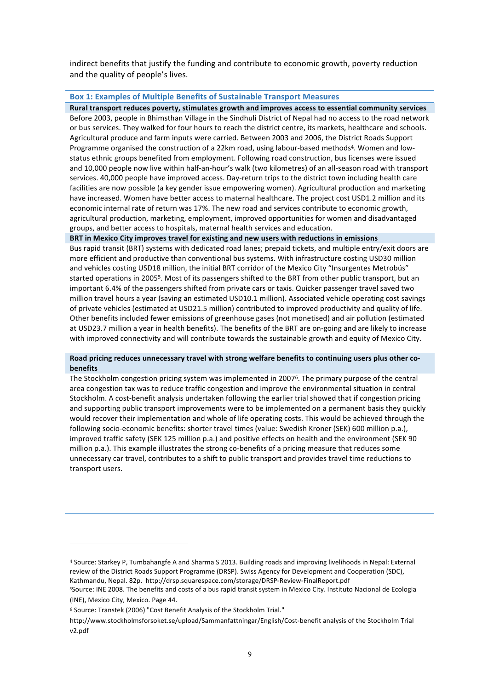indirect benefits that justify the funding and contribute to economic growth, poverty reduction and the quality of people's lives.

#### **Box 1: Examples of Multiple Benefits of Sustainable Transport Measures**

Rural transport reduces poverty, stimulates growth and improves access to essential community services Before 2003, people in Bhimsthan Village in the Sindhuli District of Nepal had no access to the road network or bus services. They walked for four hours to reach the district centre, its markets, healthcare and schools. Agricultural produce and farm inputs were carried. Between 2003 and 2006, the District Roads Support Programme organised the construction of a 22km road, using labour-based methods<sup>4</sup>. Women and lowstatus ethnic groups benefited from employment. Following road construction, bus licenses were issued and 10,000 people now live within half-an-hour's walk (two kilometres) of an all-season road with transport services. 40,000 people have improved access. Day-return trips to the district town including health care facilities are now possible (a key gender issue empowering women). Agricultural production and marketing have increased. Women have better access to maternal healthcare. The project cost USD1.2 million and its economic internal rate of return was 17%. The new road and services contribute to economic growth, agricultural production, marketing, employment, improved opportunities for women and disadvantaged groups, and better access to hospitals, maternal health services and education.

**BRT** in Mexico City improves travel for existing and new users with reductions in emissions

Bus rapid transit (BRT) systems with dedicated road lanes; prepaid tickets, and multiple entry/exit doors are more efficient and productive than conventional bus systems. With infrastructure costing USD30 million and vehicles costing USD18 million, the initial BRT corridor of the Mexico City "Insurgentes Metrobús" started operations in 2005<sup>5</sup>. Most of its passengers shifted to the BRT from other public transport, but an important 6.4% of the passengers shifted from private cars or taxis. Quicker passenger travel saved two million travel hours a year (saving an estimated USD10.1 million). Associated vehicle operating cost savings of private vehicles (estimated at USD21.5 million) contributed to improved productivity and quality of life. Other benefits included fewer emissions of greenhouse gases (not monetised) and air pollution (estimated at USD23.7 million a year in health benefits). The benefits of the BRT are on-going and are likely to increase with improved connectivity and will contribute towards the sustainable growth and equity of Mexico City.

#### Road pricing reduces unnecessary travel with strong welfare benefits to continuing users plus other co**benefits**

The Stockholm congestion pricing system was implemented in 2007<sup>6</sup>. The primary purpose of the central area congestion tax was to reduce traffic congestion and improve the environmental situation in central Stockholm. A cost-benefit analysis undertaken following the earlier trial showed that if congestion pricing and supporting public transport improvements were to be implemented on a permanent basis they quickly would recover their implementation and whole of life operating costs. This would be achieved through the following socio-economic benefits: shorter travel times (value: Swedish Kroner (SEK) 600 million p.a.), improved traffic safety (SEK 125 million p.a.) and positive effects on health and the environment (SEK 90 million p.a.). This example illustrates the strong co-benefits of a pricing measure that reduces some unnecessary car travel, contributes to a shift to public transport and provides travel time reductions to transport users.

<sup>&</sup>lt;sup>4</sup> Source: Starkey P, Tumbahangfe A and Sharma S 2013. Building roads and improving livelihoods in Nepal: External review of the District Roads Support Programme (DRSP). Swiss Agency for Development and Cooperation (SDC), Kathmandu, Nepal. 82p. http://drsp.squarespace.com/storage/DRSP-Review-FinalReport.pdf

<sup>&</sup>lt;sup>5</sup>Source: INE 2008. The benefits and costs of a bus rapid transit system in Mexico City. Instituto Nacional de Ecologia (INE), Mexico City, Mexico, Page 44.

<sup>&</sup>lt;sup>6</sup> Source: Transtek (2006) "Cost Benefit Analysis of the Stockholm Trial."

http://www.stockholmsforsoket.se/upload/Sammanfattningar/English/Cost-benefit analysis of the Stockholm Trial v2.pdf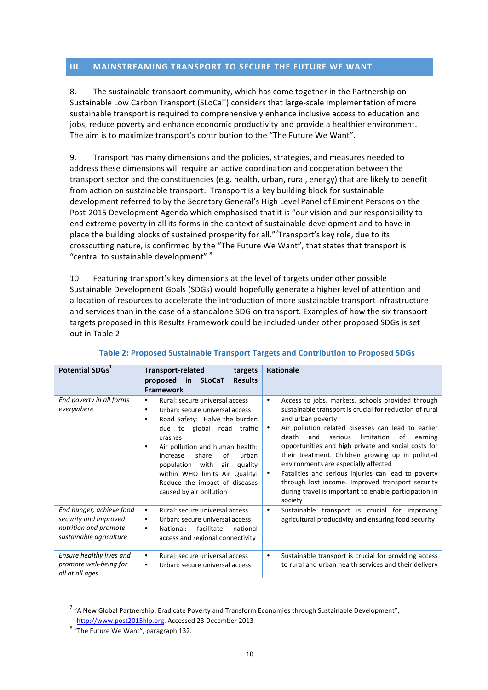# **III.** MAINSTREAMING TRANSPORT TO SECURE THE FUTURE WE WANT

8. The sustainable transport community, which has come together in the Partnership on Sustainable Low Carbon Transport (SLoCaT) considers that large-scale implementation of more sustainable transport is required to comprehensively enhance inclusive access to education and jobs, reduce poverty and enhance economic productivity and provide a healthier environment. The aim is to maximize transport's contribution to the "The Future We Want".

9. Transport has many dimensions and the policies, strategies, and measures needed to address these dimensions will require an active coordination and cooperation between the transport sector and the constituencies (e.g. health, urban, rural, energy) that are likely to benefit from action on sustainable transport. Transport is a key building block for sustainable development referred to by the Secretary General's High Level Panel of Eminent Persons on the Post-2015 Development Agenda which emphasised that it is "our vision and our responsibility to end extreme poverty in all its forms in the context of sustainable development and to have in place the building blocks of sustained prosperity for all."<sup>7</sup> Transport's key role, due to its crosscutting nature, is confirmed by the "The Future We Want", that states that transport is "central to sustainable development".<sup>8</sup>

10. Featuring transport's key dimensions at the level of targets under other possible Sustainable Development Goals (SDGs) would hopefully generate a higher level of attention and allocation of resources to accelerate the introduction of more sustainable transport infrastructure and services than in the case of a standalone SDG on transport. Examples of how the six transport targets proposed in this Results Framework could be included under other proposed SDGs is set out in Table 2.

| Potential SDGs <sup>1</sup>                                                                           | <b>Transport-related</b><br>targets<br><b>Results</b><br>proposed in SLoCaT<br><b>Framework</b>                                                                                                                                                                                                                                                                                           | <b>Rationale</b>                                                                                                                                                                                                                                                                                                                                                                                                                                                                                                                                                                                   |
|-------------------------------------------------------------------------------------------------------|-------------------------------------------------------------------------------------------------------------------------------------------------------------------------------------------------------------------------------------------------------------------------------------------------------------------------------------------------------------------------------------------|----------------------------------------------------------------------------------------------------------------------------------------------------------------------------------------------------------------------------------------------------------------------------------------------------------------------------------------------------------------------------------------------------------------------------------------------------------------------------------------------------------------------------------------------------------------------------------------------------|
| End poverty in all forms<br>everywhere                                                                | Rural: secure universal access<br>٠<br>Urban: secure universal access<br>٠<br>Road Safety: Halve the burden<br>٠<br>to global road<br>traffic<br>due<br>crashes<br>Air pollution and human health:<br>$\bullet$<br>share<br>of<br>urban<br>Increase<br>with<br>population<br>air<br>quality<br>within WHO limits Air Quality:<br>Reduce the impact of diseases<br>caused by air pollution | Access to jobs, markets, schools provided through<br>٠<br>sustainable transport is crucial for reduction of rural<br>and urban poverty<br>Air pollution related diseases can lead to earlier<br>٠<br>death<br>limitation<br>and<br>serious<br>of<br>earning<br>opportunities and high private and social costs for<br>their treatment. Children growing up in polluted<br>environments are especially affected<br>Fatalities and serious injuries can lead to poverty<br>٠<br>through lost income. Improved transport security<br>during travel is important to enable participation in<br>society |
| End hunger, achieve food<br>security and improved<br>nutrition and promote<br>sustainable agriculture | Rural: secure universal access<br>٠<br>Urban: secure universal access<br>$\bullet$<br>facilitate<br>National:<br>national<br>٠<br>access and regional connectivity                                                                                                                                                                                                                        | Sustainable transport is crucial for improving<br>٠<br>agricultural productivity and ensuring food security                                                                                                                                                                                                                                                                                                                                                                                                                                                                                        |
| Ensure healthy lives and<br>promote well-being for<br>all at all ages                                 | Rural: secure universal access<br>٠<br>Urban: secure universal access<br>٠                                                                                                                                                                                                                                                                                                                | Sustainable transport is crucial for providing access<br>$\bullet$<br>to rural and urban health services and their delivery                                                                                                                                                                                                                                                                                                                                                                                                                                                                        |

# **Table 2: Proposed Sustainable Transport Targets and Contribution to Proposed SDGs**

<u> 1989 - Johann Stein, fransk politik (d. 1989)</u>

 $7$  "A New Global Partnership: Eradicate Poverty and Transform Economies through Sustainable Development", http://www.post2015hlp.org. Accessed 23 December 2013

 $8$  "The Future We Want", paragraph 132.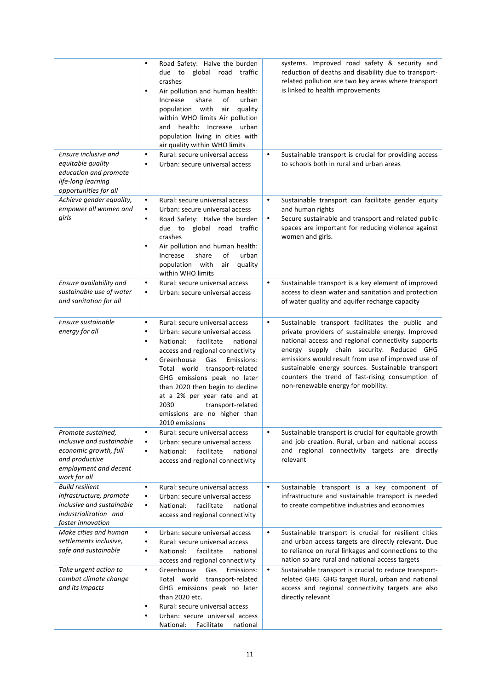|                                                                                                                                     | Road Safety: Halve the burden<br>$\bullet$<br>due to global road traffic<br>crashes<br>Air pollution and human health:<br>$\bullet$<br>Increase<br>share<br>of<br>urban<br>population with<br>air<br>quality<br>within WHO limits Air pollution<br>health: Increase urban<br>and<br>population living in cities with<br>air quality within WHO limits                                                                                                | systems. Improved road safety & security and<br>reduction of deaths and disability due to transport-<br>related pollution are two key areas where transport<br>is linked to health improvements                                                                                                                                                                                                                            |
|-------------------------------------------------------------------------------------------------------------------------------------|------------------------------------------------------------------------------------------------------------------------------------------------------------------------------------------------------------------------------------------------------------------------------------------------------------------------------------------------------------------------------------------------------------------------------------------------------|----------------------------------------------------------------------------------------------------------------------------------------------------------------------------------------------------------------------------------------------------------------------------------------------------------------------------------------------------------------------------------------------------------------------------|
| Ensure inclusive and<br>equitable quality<br>education and promote<br>life-long learning<br>opportunities for all                   | $\bullet$<br>Rural: secure universal access<br>Urban: secure universal access<br>$\bullet$                                                                                                                                                                                                                                                                                                                                                           | Sustainable transport is crucial for providing access<br>$\bullet$<br>to schools both in rural and urban areas                                                                                                                                                                                                                                                                                                             |
| Achieve gender equality,<br>empower all women and<br>girls                                                                          | $\bullet$<br>Rural: secure universal access<br>$\bullet$<br>Urban: secure universal access<br>Road Safety: Halve the burden<br>$\bullet$<br>due to global road traffic<br>crashes<br>Air pollution and human health:<br>$\bullet$<br>Increase<br>share<br>οf<br>urban<br>population with<br>air<br>quality<br>within WHO limits                                                                                                                      | Sustainable transport can facilitate gender equity<br>$\bullet$<br>and human rights<br>Secure sustainable and transport and related public<br>$\bullet$<br>spaces are important for reducing violence against<br>women and girls.                                                                                                                                                                                          |
| Ensure availability and<br>sustainable use of water<br>and sanitation for all                                                       | $\bullet$<br>Rural: secure universal access<br>$\bullet$<br>Urban: secure universal access                                                                                                                                                                                                                                                                                                                                                           | Sustainable transport is a key element of improved<br>$\bullet$<br>access to clean water and sanitation and protection<br>of water quality and aquifer recharge capacity                                                                                                                                                                                                                                                   |
| Ensure sustainable<br>energy for all                                                                                                | Rural: secure universal access<br>$\bullet$<br>Urban: secure universal access<br>$\bullet$<br>facilitate<br>National:<br>national<br>$\bullet$<br>access and regional connectivity<br>Greenhouse<br>Gas<br>$\bullet$<br>Emissions:<br>Total world transport-related<br>GHG emissions peak no later<br>than 2020 then begin to decline<br>at a 2% per year rate and at<br>2030<br>transport-related<br>emissions are no higher than<br>2010 emissions | Sustainable transport facilitates the public and<br>$\bullet$<br>private providers of sustainable energy. Improved<br>national access and regional connectivity supports<br>energy supply chain security. Reduced GHG<br>emissions would result from use of improved use of<br>sustainable energy sources. Sustainable transport<br>counters the trend of fast-rising consumption of<br>non-renewable energy for mobility. |
| Promote sustained,<br>inclusive and sustainable<br>economic growth, full<br>and productive<br>employment and decent<br>work for all | $\bullet$<br>Rural: secure universal access<br>Urban: secure universal access<br>$\bullet$<br>facilitate<br>$\bullet$<br>National:<br>national<br>access and regional connectivity                                                                                                                                                                                                                                                                   | Sustainable transport is crucial for equitable growth<br>$\bullet$<br>and job creation. Rural, urban and national access<br>and regional connectivity targets are directly<br>relevant                                                                                                                                                                                                                                     |
| <b>Build resilient</b><br>infrastructure, promote<br>inclusive and sustainable<br>industrialization and<br>foster innovation        | $\bullet$<br>Rural: secure universal access<br>$\bullet$<br>Urban: secure universal access<br>facilitate<br>National:<br>national<br>$\bullet$<br>access and regional connectivity                                                                                                                                                                                                                                                                   | Sustainable transport is a key component of<br>$\bullet$<br>infrastructure and sustainable transport is needed<br>to create competitive industries and economies                                                                                                                                                                                                                                                           |
| Make cities and human<br>settlements inclusive,<br>safe and sustainable                                                             | $\bullet$<br>Urban: secure universal access<br>$\bullet$<br>Rural: secure universal access<br>National:<br>facilitate<br>national<br>$\bullet$<br>access and regional connectivity                                                                                                                                                                                                                                                                   | $\bullet$<br>Sustainable transport is crucial for resilient cities<br>and urban access targets are directly relevant. Due<br>to reliance on rural linkages and connections to the<br>nation so are rural and national access targets                                                                                                                                                                                       |
| Take urgent action to<br>combat climate change<br>and its impacts                                                                   | Greenhouse<br>Gas<br>$\bullet$<br>Emissions:<br>Total world transport-related<br>GHG emissions peak no later<br>than 2020 etc.<br>Rural: secure universal access<br>$\bullet$<br>Urban: secure universal access<br>$\bullet$<br>National:<br>Facilitate<br>national                                                                                                                                                                                  | $\bullet$<br>Sustainable transport is crucial to reduce transport-<br>related GHG. GHG target Rural, urban and national<br>access and regional connectivity targets are also<br>directly relevant                                                                                                                                                                                                                          |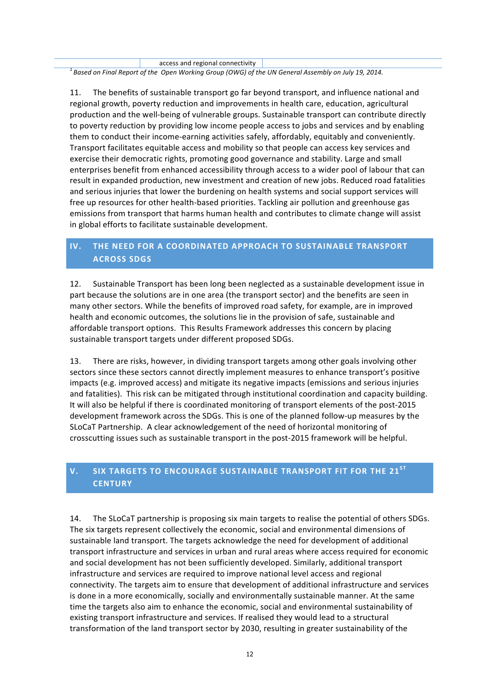access and regional connectivity

*1 Based on Final Report of the Open Working Group (OWG) of the UN General Assembly on July 19, 2014.*

11. The benefits of sustainable transport go far beyond transport, and influence national and regional growth, poverty reduction and improvements in health care, education, agricultural production and the well-being of vulnerable groups. Sustainable transport can contribute directly to poverty reduction by providing low income people access to jobs and services and by enabling them to conduct their income-earning activities safely, affordably, equitably and conveniently. Transport facilitates equitable access and mobility so that people can access key services and exercise their democratic rights, promoting good governance and stability. Large and small enterprises benefit from enhanced accessibility through access to a wider pool of labour that can result in expanded production, new investment and creation of new jobs. Reduced road fatalities and serious injuries that lower the burdening on health systems and social support services will free up resources for other health-based priorities. Tackling air pollution and greenhouse gas emissions from transport that harms human health and contributes to climate change will assist in global efforts to facilitate sustainable development.

# **IV.** THE NEED FOR A COORDINATED APPROACH TO SUSTAINABLE TRANSPORT **ACROSS SDGS**

12. Sustainable Transport has been long been neglected as a sustainable development issue in part because the solutions are in one area (the transport sector) and the benefits are seen in many other sectors. While the benefits of improved road safety, for example, are in improved health and economic outcomes, the solutions lie in the provision of safe, sustainable and affordable transport options. This Results Framework addresses this concern by placing sustainable transport targets under different proposed SDGs.

13. There are risks, however, in dividing transport targets among other goals involving other sectors since these sectors cannot directly implement measures to enhance transport's positive impacts (e.g. improved access) and mitigate its negative impacts (emissions and serious injuries and fatalities). This risk can be mitigated through institutional coordination and capacity building. It will also be helpful if there is coordinated monitoring of transport elements of the post-2015 development framework across the SDGs. This is one of the planned follow-up measures by the SLoCaT Partnership. A clear acknowledgement of the need of horizontal monitoring of crosscutting issues such as sustainable transport in the post-2015 framework will be helpful.

# **V. SIX TARGETS TO ENCOURAGE SUSTAINABLE TRANSPORT FIT FOR THE 21ST CENTURY**

14. The SLoCaT partnership is proposing six main targets to realise the potential of others SDGs. The six targets represent collectively the economic, social and environmental dimensions of sustainable land transport. The targets acknowledge the need for development of additional transport infrastructure and services in urban and rural areas where access required for economic and social development has not been sufficiently developed. Similarly, additional transport infrastructure and services are required to improve national level access and regional connectivity. The targets aim to ensure that development of additional infrastructure and services is done in a more economically, socially and environmentally sustainable manner. At the same time the targets also aim to enhance the economic, social and environmental sustainability of existing transport infrastructure and services. If realised they would lead to a structural transformation of the land transport sector by 2030, resulting in greater sustainability of the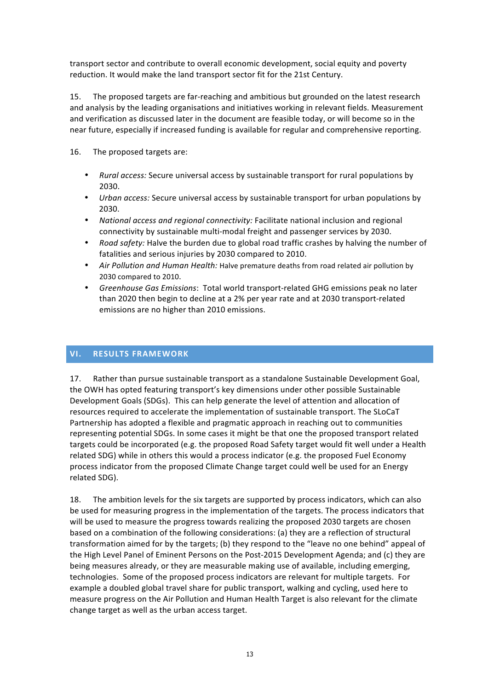transport sector and contribute to overall economic development, social equity and poverty reduction. It would make the land transport sector fit for the 21st Century.

15. The proposed targets are far-reaching and ambitious but grounded on the latest research and analysis by the leading organisations and initiatives working in relevant fields. Measurement and verification as discussed later in the document are feasible today, or will become so in the near future, especially if increased funding is available for regular and comprehensive reporting.

16. The proposed targets are:

- *Rural access:* Secure universal access by sustainable transport for rural populations by 2030.
- *Urban access:* Secure universal access by sustainable transport for urban populations by 2030.
- *National access and regional connectivity:* Facilitate national inclusion and regional connectivity by sustainable multi-modal freight and passenger services by 2030.
- *Road safety:* Halve the burden due to global road traffic crashes by halving the number of fatalities and serious injuries by 2030 compared to 2010.
- Air Pollution and Human Health: Halve premature deaths from road related air pollution by 2030 compared to 2010.
- Greenhouse Gas Emissions: Total world transport-related GHG emissions peak no later than 2020 then begin to decline at a 2% per year rate and at 2030 transport-related emissions are no higher than 2010 emissions.

# **VI. RESULTS FRAMEWORK**

17. Rather than pursue sustainable transport as a standalone Sustainable Development Goal, the OWH has opted featuring transport's key dimensions under other possible Sustainable Development Goals (SDGs). This can help generate the level of attention and allocation of resources required to accelerate the implementation of sustainable transport. The SLoCaT Partnership has adopted a flexible and pragmatic approach in reaching out to communities representing potential SDGs. In some cases it might be that one the proposed transport related targets could be incorporated (e.g. the proposed Road Safety target would fit well under a Health related SDG) while in others this would a process indicator (e.g. the proposed Fuel Economy process indicator from the proposed Climate Change target could well be used for an Energy related SDG).

18. The ambition levels for the six targets are supported by process indicators, which can also be used for measuring progress in the implementation of the targets. The process indicators that will be used to measure the progress towards realizing the proposed 2030 targets are chosen based on a combination of the following considerations: (a) they are a reflection of structural transformation aimed for by the targets; (b) they respond to the "leave no one behind" appeal of the High Level Panel of Eminent Persons on the Post-2015 Development Agenda; and (c) they are being measures already, or they are measurable making use of available, including emerging, technologies. Some of the proposed process indicators are relevant for multiple targets. For example a doubled global travel share for public transport, walking and cycling, used here to measure progress on the Air Pollution and Human Health Target is also relevant for the climate change target as well as the urban access target.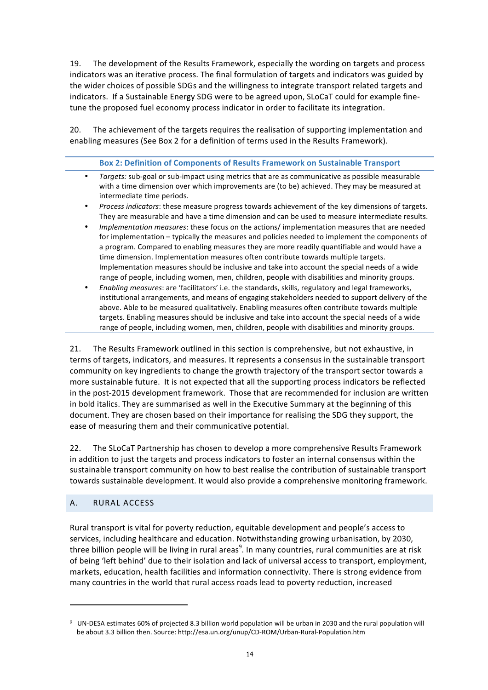19. The development of the Results Framework, especially the wording on targets and process indicators was an iterative process. The final formulation of targets and indicators was guided by the wider choices of possible SDGs and the willingness to integrate transport related targets and indicators. If a Sustainable Energy SDG were to be agreed upon, SLoCaT could for example finetune the proposed fuel economy process indicator in order to facilitate its integration.

20. The achievement of the targets requires the realisation of supporting implementation and enabling measures (See Box 2 for a definition of terms used in the Results Framework).

### **Box 2: Definition of Components of Results Framework on Sustainable Transport**

| Targets: sub-goal or sub-impact using metrics that are as communicative as possible measurable |
|------------------------------------------------------------------------------------------------|
| with a time dimension over which improvements are (to be) achieved. They may be measured at    |
| intermediate time periods.                                                                     |
|                                                                                                |

- *Process indicators*: these measure progress towards achievement of the key dimensions of targets. They are measurable and have a time dimension and can be used to measure intermediate results.
- *Implementation measures*: these focus on the actions/ implementation measures that are needed for implementation – typically the measures and policies needed to implement the components of a program. Compared to enabling measures they are more readily quantifiable and would have a time dimension. Implementation measures often contribute towards multiple targets. Implementation measures should be inclusive and take into account the special needs of a wide range of people, including women, men, children, people with disabilities and minority groups.
- Enabling measures: are 'facilitators' i.e. the standards, skills, regulatory and legal frameworks, institutional arrangements, and means of engaging stakeholders needed to support delivery of the above. Able to be measured qualitatively. Enabling measures often contribute towards multiple targets. Enabling measures should be inclusive and take into account the special needs of a wide range of people, including women, men, children, people with disabilities and minority groups.

21. The Results Framework outlined in this section is comprehensive, but not exhaustive, in terms of targets, indicators, and measures. It represents a consensus in the sustainable transport community on key ingredients to change the growth trajectory of the transport sector towards a more sustainable future. It is not expected that all the supporting process indicators be reflected in the post-2015 development framework. Those that are recommended for inclusion are written in bold italics. They are summarised as well in the Executive Summary at the beginning of this document. They are chosen based on their importance for realising the SDG they support, the ease of measuring them and their communicative potential.

22. The SLoCaT Partnership has chosen to develop a more comprehensive Results Framework in addition to just the targets and process indicators to foster an internal consensus within the sustainable transport community on how to best realise the contribution of sustainable transport towards sustainable development. It would also provide a comprehensive monitoring framework.

### A. RURAL ACCESS

 

Rural transport is vital for poverty reduction, equitable development and people's access to services, including healthcare and education. Notwithstanding growing urbanisation, by 2030, three billion people will be living in rural areas $^9$ . In many countries, rural communities are at risk of being 'left behind' due to their isolation and lack of universal access to transport, employment, markets, education, health facilities and information connectivity. There is strong evidence from many countries in the world that rural access roads lead to poverty reduction, increased

<sup>&</sup>lt;sup>9</sup> UN-DESA estimates 60% of projected 8.3 billion world population will be urban in 2030 and the rural population will be about 3.3 billion then. Source: http://esa.un.org/unup/CD-ROM/Urban-Rural-Population.htm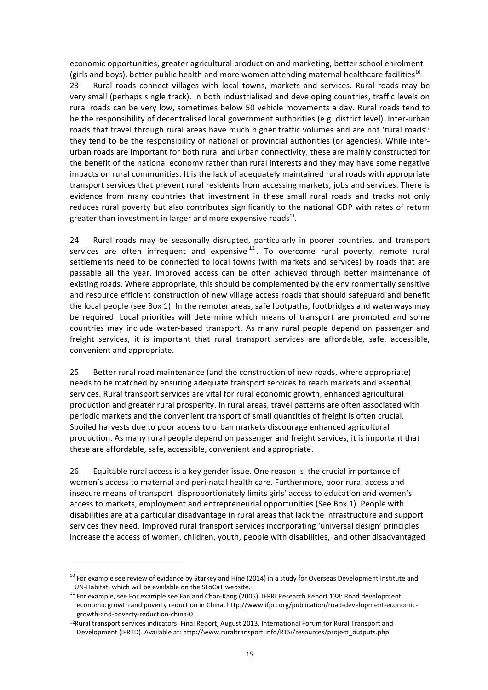economic opportunities, greater agricultural production and marketing, better school enrolment (girls and boys), better public health and more women attending maternal healthcare facilities<sup>10</sup>.

23. Rural roads connect villages with local towns, markets and services. Rural roads may be very small (perhaps single track). In both industrialised and developing countries, traffic levels on rural roads can be very low, sometimes below 50 vehicle movements a day. Rural roads tend to be the responsibility of decentralised local government authorities (e.g. district level). Inter-urban roads that travel through rural areas have much higher traffic volumes and are not 'rural roads': they tend to be the responsibility of national or provincial authorities (or agencies). While interurban roads are important for both rural and urban connectivity, these are mainly constructed for the benefit of the national economy rather than rural interests and they may have some negative impacts on rural communities. It is the lack of adequately maintained rural roads with appropriate transport services that prevent rural residents from accessing markets, jobs and services. There is evidence from many countries that investment in these small rural roads and tracks not only reduces rural poverty but also contributes significantly to the national GDP with rates of return greater than investment in larger and more expensive roads $^{11}$ .

24. Rural roads may be seasonally disrupted, particularly in poorer countries, and transport services are often infrequent and expensive  $12$ . To overcome rural poverty, remote rural settlements need to be connected to local towns (with markets and services) by roads that are passable all the year. Improved access can be often achieved through better maintenance of existing roads. Where appropriate, this should be complemented by the environmentally sensitive and resource efficient construction of new village access roads that should safeguard and benefit the local people (see Box 1). In the remoter areas, safe footpaths, footbridges and waterways may be required. Local priorities will determine which means of transport are promoted and some countries may include water-based transport. As many rural people depend on passenger and freight services, it is important that rural transport services are affordable, safe, accessible, convenient and appropriate.

25. Better rural road maintenance (and the construction of new roads, where appropriate) needs to be matched by ensuring adequate transport services to reach markets and essential services. Rural transport services are vital for rural economic growth, enhanced agricultural production and greater rural prosperity. In rural areas, travel patterns are often associated with periodic markets and the convenient transport of small quantities of freight is often crucial. Spoiled harvests due to poor access to urban markets discourage enhanced agricultural production. As many rural people depend on passenger and freight services, it is important that these are affordable, safe, accessible, convenient and appropriate.

26. Equitable rural access is a key gender issue. One reason is the crucial importance of women's access to maternal and peri-natal health care. Furthermore, poor rural access and insecure means of transport disproportionately limits girls' access to education and women's access to markets, employment and entrepreneurial opportunities (See Box 1). People with disabilities are at a particular disadvantage in rural areas that lack the infrastructure and support services they need. Improved rural transport services incorporating 'universal design' principles increase the access of women, children, youth, people with disabilities, and other disadvantaged

 $10$  For example see review of evidence by Starkey and Hine (2014) in a study for Overseas Development Institute and

UN-Habitat, which will be available on the SLoCaT website.<br><sup>11</sup> For example, see For example see Fan and Chan-Kang (2005). IFPRI Research Report 138: Road development, economic growth and poverty reduction in China. http://www.ifpri.org/publication/road-development-economicgrowth-and-poverty-reduction-china-0

<sup>&</sup>lt;sup>12</sup>Rural transport services indicators: Final Report, August 2013. International Forum for Rural Transport and Development (IFRTD). Available at: http://www.ruraltransport.info/RTSi/resources/project\_outputs.php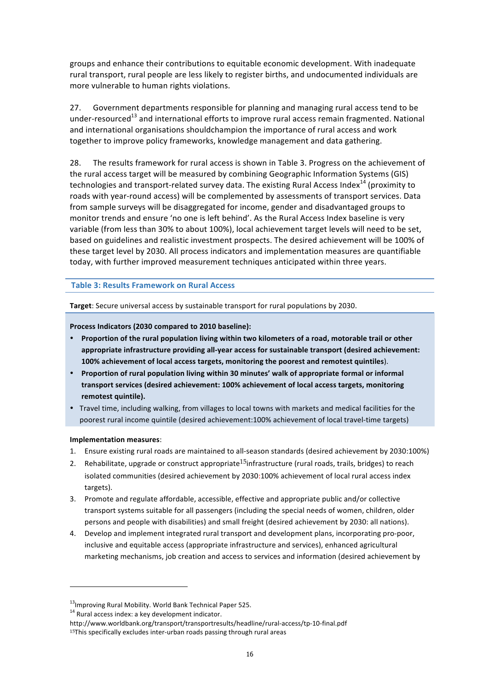groups and enhance their contributions to equitable economic development. With inadequate rural transport, rural people are less likely to register births, and undocumented individuals are more vulnerable to human rights violations.

27. Government departments responsible for planning and managing rural access tend to be under-resourced<sup>13</sup> and international efforts to improve rural access remain fragmented. National and international organisations shouldchampion the importance of rural access and work together to improve policy frameworks, knowledge management and data gathering.

28. The results framework for rural access is shown in Table 3. Progress on the achievement of the rural access target will be measured by combining Geographic Information Systems (GIS) technologies and transport-related survey data. The existing Rural Access Index<sup>14</sup> (proximity to roads with year-round access) will be complemented by assessments of transport services. Data from sample surveys will be disaggregated for income, gender and disadvantaged groups to monitor trends and ensure 'no one is left behind'. As the Rural Access Index baseline is very variable (from less than 30% to about 100%), local achievement target levels will need to be set, based on guidelines and realistic investment prospects. The desired achievement will be 100% of these target level by 2030. All process indicators and implementation measures are quantifiable today, with further improved measurement techniques anticipated within three years.

**Table 3: Results Framework on Rural Access** 

**Target:** Secure universal access by sustainable transport for rural populations by 2030.

Process Indicators (2030 compared to 2010 baseline):

- **Proportion of the rural population living within two kilometers of a road, motorable trail or other** appropriate infrastructure providing all-year access for sustainable transport (desired achievement: 100% achievement of local access targets, monitoring the poorest and remotest quintiles).
- Proportion of rural population living within 30 minutes' walk of appropriate formal or informal **transport services (desired achievement: 100% achievement of local access targets, monitoring**  remotest quintile).
- Travel time, including walking, from villages to local towns with markets and medical facilities for the poorest rural income quintile (desired achievement:100% achievement of local travel-time targets)

### **Implementation measures**:

- 1. Ensure existing rural roads are maintained to all-season standards (desired achievement by 2030:100%)
- 2. Rehabilitate, upgrade or construct appropriate<sup>15</sup>infrastructure (rural roads, trails, bridges) to reach isolated communities (desired achievement by 2030:100% achievement of local rural access index targets).
- 3. Promote and regulate affordable, accessible, effective and appropriate public and/or collective transport systems suitable for all passengers (including the special needs of women, children, older persons and people with disabilities) and small freight (desired achievement by 2030: all nations).
- 4. Develop and implement integrated rural transport and development plans, incorporating pro-poor, inclusive and equitable access (appropriate infrastructure and services), enhanced agricultural marketing mechanisms, job creation and access to services and information (desired achievement by

 $13$ Improving Rural Mobility. World Bank Technical Paper 525.

 $14$  Rural access index: a key development indicator.

http://www.worldbank.org/transport/transportresults/headline/rural-access/tp-10-final.pdf

 $15$ This specifically excludes inter-urban roads passing through rural areas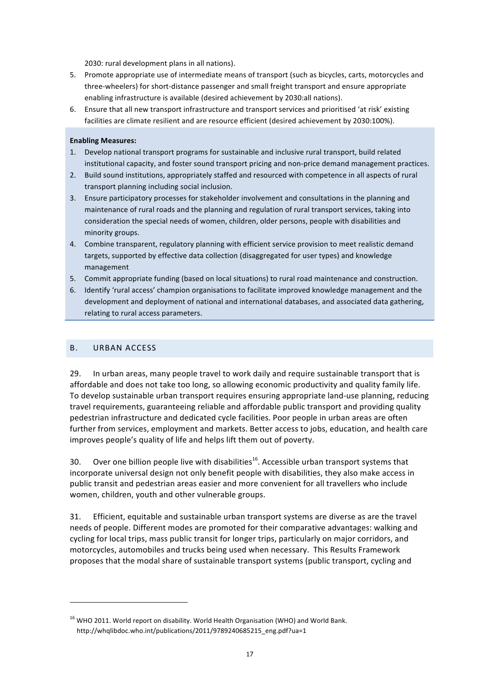2030: rural development plans in all nations).

- 5. Promote appropriate use of intermediate means of transport (such as bicycles, carts, motorcycles and three-wheelers) for short-distance passenger and small freight transport and ensure appropriate enabling infrastructure is available (desired achievement by 2030:all nations).
- 6. Ensure that all new transport infrastructure and transport services and prioritised 'at risk' existing facilities are climate resilient and are resource efficient (desired achievement by 2030:100%).

### **Enabling Measures:**

- 1. Develop national transport programs for sustainable and inclusive rural transport, build related institutional capacity, and foster sound transport pricing and non-price demand management practices.
- 2. Build sound institutions, appropriately staffed and resourced with competence in all aspects of rural transport planning including social inclusion.
- 3. Ensure participatory processes for stakeholder involvement and consultations in the planning and maintenance of rural roads and the planning and regulation of rural transport services, taking into consideration the special needs of women, children, older persons, people with disabilities and minority groups.
- 4. Combine transparent, regulatory planning with efficient service provision to meet realistic demand targets, supported by effective data collection (disaggregated for user types) and knowledge management
- 5. Commit appropriate funding (based on local situations) to rural road maintenance and construction.
- 6. Identify 'rural access' champion organisations to facilitate improved knowledge management and the development and deployment of national and international databases, and associated data gathering, relating to rural access parameters.

### B. URBAN ACCESS

<u> 1989 - Johann Stein, fransk politik (d. 1989)</u>

29. In urban areas, many people travel to work daily and require sustainable transport that is affordable and does not take too long, so allowing economic productivity and quality family life. To develop sustainable urban transport requires ensuring appropriate land-use planning, reducing travel requirements, guaranteeing reliable and affordable public transport and providing quality pedestrian infrastructure and dedicated cycle facilities. Poor people in urban areas are often further from services, employment and markets. Better access to jobs, education, and health care improves people's quality of life and helps lift them out of poverty.

30. Over one billion people live with disabilities<sup>16</sup>. Accessible urban transport systems that incorporate universal design not only benefit people with disabilities, they also make access in public transit and pedestrian areas easier and more convenient for all travellers who include women, children, youth and other vulnerable groups.

31. Efficient, equitable and sustainable urban transport systems are diverse as are the travel needs of people. Different modes are promoted for their comparative advantages: walking and cycling for local trips, mass public transit for longer trips, particularly on major corridors, and motorcycles, automobiles and trucks being used when necessary. This Results Framework proposes that the modal share of sustainable transport systems (public transport, cycling and

 $^{16}$  WHO 2011. World report on disability. World Health Organisation (WHO) and World Bank. http://whqlibdoc.who.int/publications/2011/9789240685215\_eng.pdf?ua=1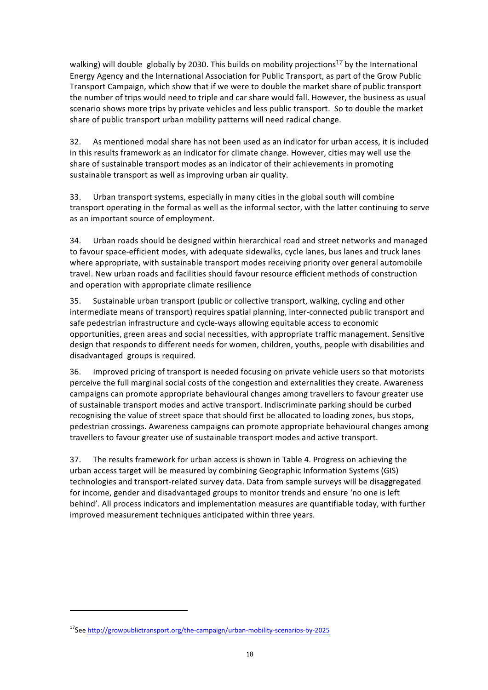walking) will double globally by 2030. This builds on mobility projections<sup>17</sup> by the International Energy Agency and the International Association for Public Transport, as part of the Grow Public Transport Campaign, which show that if we were to double the market share of public transport the number of trips would need to triple and car share would fall. However, the business as usual scenario shows more trips by private vehicles and less public transport. So to double the market share of public transport urban mobility patterns will need radical change.

32. As mentioned modal share has not been used as an indicator for urban access, it is included in this results framework as an indicator for climate change. However, cities may well use the share of sustainable transport modes as an indicator of their achievements in promoting sustainable transport as well as improving urban air quality.

33. Urban transport systems, especially in many cities in the global south will combine transport operating in the formal as well as the informal sector, with the latter continuing to serve as an important source of employment.

34. Urban roads should be designed within hierarchical road and street networks and managed to favour space-efficient modes, with adequate sidewalks, cycle lanes, bus lanes and truck lanes where appropriate, with sustainable transport modes receiving priority over general automobile travel. New urban roads and facilities should favour resource efficient methods of construction and operation with appropriate climate resilience

35. Sustainable urban transport (public or collective transport, walking, cycling and other intermediate means of transport) requires spatial planning, inter-connected public transport and safe pedestrian infrastructure and cycle-ways allowing equitable access to economic opportunities, green areas and social necessities, with appropriate traffic management. Sensitive design that responds to different needs for women, children, youths, people with disabilities and disadvantaged groups is required.

36. Improved pricing of transport is needed focusing on private vehicle users so that motorists perceive the full marginal social costs of the congestion and externalities they create. Awareness campaigns can promote appropriate behavioural changes among travellers to favour greater use of sustainable transport modes and active transport. Indiscriminate parking should be curbed recognising the value of street space that should first be allocated to loading zones, bus stops, pedestrian crossings. Awareness campaigns can promote appropriate behavioural changes among travellers to favour greater use of sustainable transport modes and active transport.

37. The results framework for urban access is shown in Table 4. Progress on achieving the urban access target will be measured by combining Geographic Information Systems (GIS) technologies and transport-related survey data. Data from sample surveys will be disaggregated for income, gender and disadvantaged groups to monitor trends and ensure 'no one is left behind'. All process indicators and implementation measures are quantifiable today, with further improved measurement techniques anticipated within three years.

<sup>&</sup>lt;sup>17</sup>See http://growpublictransport.org/the-campaign/urban-mobility-scenarios-by-2025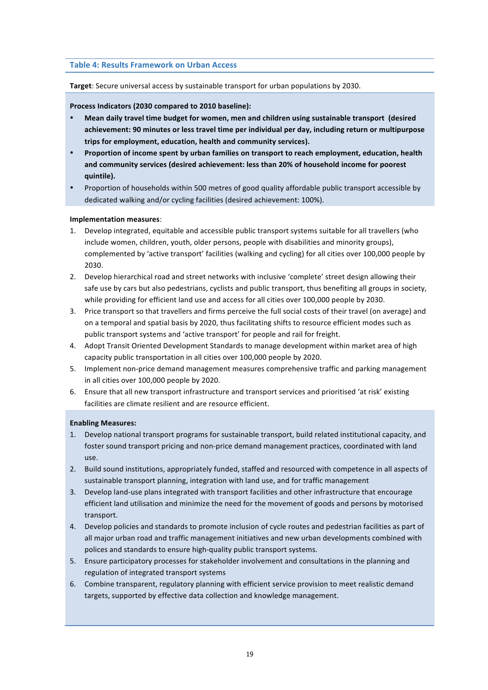#### **Table 4: Results Framework on Urban Access**

#### **Target:** Secure universal access by sustainable transport for urban populations by 2030.

Process Indicators (2030 compared to 2010 baseline):

- Mean daily travel time budget for women, men and children using sustainable transport (desired achievement: 90 minutes or less travel time per individual per day, including return or multipurpose trips for employment, education, health and community services).
- **Proportion of income spent by urban families on transport to reach employment, education, health** and community services (desired achievement: less than 20% of household income for poorest **quintile).**
- Proportion of households within 500 metres of good quality affordable public transport accessible by dedicated walking and/or cycling facilities (desired achievement: 100%).

#### **Implementation measures**:

- 1. Develop integrated, equitable and accessible public transport systems suitable for all travellers (who include women, children, youth, older persons, people with disabilities and minority groups), complemented by 'active transport' facilities (walking and cycling) for all cities over 100,000 people by 2030.
- 2. Develop hierarchical road and street networks with inclusive 'complete' street design allowing their safe use by cars but also pedestrians, cyclists and public transport, thus benefiting all groups in society, while providing for efficient land use and access for all cities over 100,000 people by 2030.
- 3. Price transport so that travellers and firms perceive the full social costs of their travel (on average) and on a temporal and spatial basis by 2020, thus facilitating shifts to resource efficient modes such as public transport systems and 'active transport' for people and rail for freight.
- 4. Adopt Transit Oriented Development Standards to manage development within market area of high capacity public transportation in all cities over 100,000 people by 2020.
- 5. Implement non-price demand management measures comprehensive traffic and parking management in all cities over 100,000 people by 2020.
- 6. Ensure that all new transport infrastructure and transport services and prioritised 'at risk' existing facilities are climate resilient and are resource efficient.

#### **Enabling Measures:**

- 1. Develop national transport programs for sustainable transport, build related institutional capacity, and foster sound transport pricing and non-price demand management practices, coordinated with land use.
- 2. Build sound institutions, appropriately funded, staffed and resourced with competence in all aspects of sustainable transport planning, integration with land use, and for traffic management
- 3. Develop land-use plans integrated with transport facilities and other infrastructure that encourage efficient land utilisation and minimize the need for the movement of goods and persons by motorised transport.
- 4. Develop policies and standards to promote inclusion of cycle routes and pedestrian facilities as part of all major urban road and traffic management initiatives and new urban developments combined with polices and standards to ensure high-quality public transport systems.
- 5. Ensure participatory processes for stakeholder involvement and consultations in the planning and regulation of integrated transport systems
- 6. Combine transparent, regulatory planning with efficient service provision to meet realistic demand targets, supported by effective data collection and knowledge management.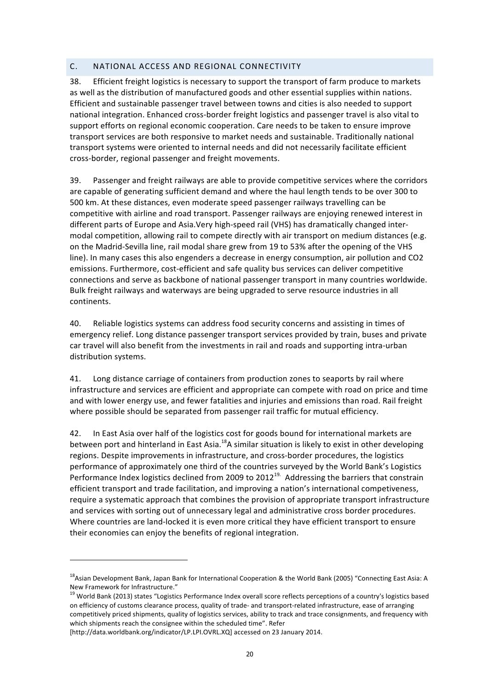## C. NATIONAL ACCESS AND REGIONAL CONNECTIVITY

38. Efficient freight logistics is necessary to support the transport of farm produce to markets as well as the distribution of manufactured goods and other essential supplies within nations. Efficient and sustainable passenger travel between towns and cities is also needed to support national integration. Enhanced cross-border freight logistics and passenger travel is also vital to support efforts on regional economic cooperation. Care needs to be taken to ensure improve transport services are both responsive to market needs and sustainable. Traditionally national transport systems were oriented to internal needs and did not necessarily facilitate efficient cross-border, regional passenger and freight movements.

39. Passenger and freight railways are able to provide competitive services where the corridors are capable of generating sufficient demand and where the haul length tends to be over 300 to 500 km. At these distances, even moderate speed passenger railways travelling can be competitive with airline and road transport. Passenger railways are enjoying renewed interest in different parts of Europe and Asia.Very high-speed rail (VHS) has dramatically changed intermodal competition, allowing rail to compete directly with air transport on medium distances (e.g. on the Madrid-Sevilla line, rail modal share grew from 19 to 53% after the opening of the VHS line). In many cases this also engenders a decrease in energy consumption, air pollution and CO2 emissions. Furthermore, cost-efficient and safe quality bus services can deliver competitive connections and serve as backbone of national passenger transport in many countries worldwide. Bulk freight railways and waterways are being upgraded to serve resource industries in all continents. 

40. Reliable logistics systems can address food security concerns and assisting in times of emergency relief. Long distance passenger transport services provided by train, buses and private car travel will also benefit from the investments in rail and roads and supporting intra-urban distribution systems.

41. Long distance carriage of containers from production zones to seaports by rail where infrastructure and services are efficient and appropriate can compete with road on price and time and with lower energy use, and fewer fatalities and injuries and emissions than road. Rail freight where possible should be separated from passenger rail traffic for mutual efficiency.

42. In East Asia over half of the logistics cost for goods bound for international markets are between port and hinterland in East Asia.<sup>18</sup>A similar situation is likely to exist in other developing regions. Despite improvements in infrastructure, and cross-border procedures, the logistics performance of approximately one third of the countries surveyed by the World Bank's Logistics Performance Index logistics declined from 2009 to 2012<sup>19.</sup> Addressing the barriers that constrain efficient transport and trade facilitation, and improving a nation's international competiveness, require a systematic approach that combines the provision of appropriate transport infrastructure and services with sorting out of unnecessary legal and administrative cross border procedures. Where countries are land-locked it is even more critical they have efficient transport to ensure their economies can enjoy the benefits of regional integration.

 $^{18}$ Asian Development Bank, Japan Bank for International Cooperation & the World Bank (2005) "Connecting East Asia: A New Framework for Infrastructure."

 $^{19}$  World Bank (2013) states "Logistics Performance Index overall score reflects perceptions of a country's logistics based on efficiency of customs clearance process, quality of trade- and transport-related infrastructure, ease of arranging competitively priced shipments, quality of logistics services, ability to track and trace consignments, and frequency with which shipments reach the consignee within the scheduled time". Refer

<sup>[</sup>http://data.worldbank.org/indicator/LP.LPI.OVRL.XQ] accessed on 23 January 2014.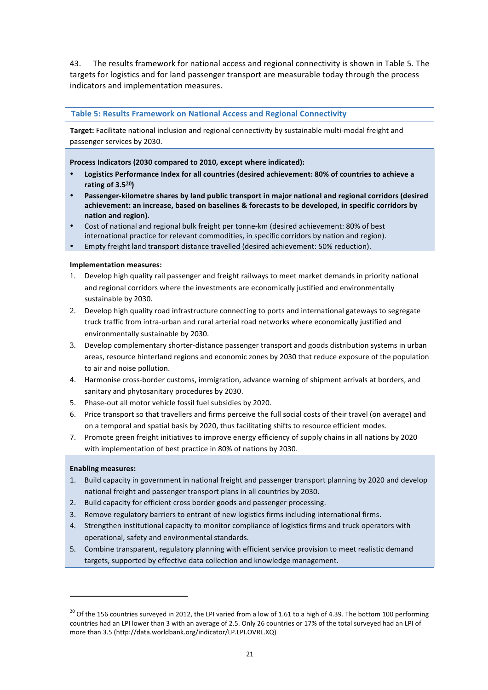43. The results framework for national access and regional connectivity is shown in Table 5. The targets for logistics and for land passenger transport are measurable today through the process indicators and implementation measures.

### **Table 5: Results Framework on National Access and Regional Connectivity**

Target: Facilitate national inclusion and regional connectivity by sustainable multi-modal freight and passenger services by 2030.

Process Indicators (2030 compared to 2010, except where indicated):

- Logistics Performance Index for all countries (desired achievement: 80% of countries to achieve a **rating of 3.520)**
- Passenger-kilometre shares by land public transport in major national and regional corridors (desired achievement: an increase, based on baselines & forecasts to be developed, in specific corridors by **nation and region).**
- Cost of national and regional bulk freight per tonne-km (desired achievement: 80% of best international practice for relevant commodities, in specific corridors by nation and region).
- Empty freight land transport distance travelled (desired achievement: 50% reduction).

### **Implementation measures:**

- 1. Develop high quality rail passenger and freight railways to meet market demands in priority national and regional corridors where the investments are economically justified and environmentally sustainable by 2030.
- 2. Develop high quality road infrastructure connecting to ports and international gateways to segregate truck traffic from intra-urban and rural arterial road networks where economically justified and environmentally sustainable by 2030.
- 3. Develop complementary shorter-distance passenger transport and goods distribution systems in urban areas, resource hinterland regions and economic zones by 2030 that reduce exposure of the population to air and noise pollution.
- 4. Harmonise cross-border customs, immigration, advance warning of shipment arrivals at borders, and sanitary and phytosanitary procedures by 2030.
- 5. Phase-out all motor vehicle fossil fuel subsidies by 2020.
- 6. Price transport so that travellers and firms perceive the full social costs of their travel (on average) and on a temporal and spatial basis by 2020, thus facilitating shifts to resource efficient modes.
- 7. Promote green freight initiatives to improve energy efficiency of supply chains in all nations by 2020 with implementation of best practice in 80% of nations by 2030.

#### **Enabling measures:**

- 1. Build capacity in government in national freight and passenger transport planning by 2020 and develop national freight and passenger transport plans in all countries by 2030.
- 2. Build capacity for efficient cross border goods and passenger processing.
- 3. Remove regulatory barriers to entrant of new logistics firms including international firms.
- 4. Strengthen institutional capacity to monitor compliance of logistics firms and truck operators with operational, safety and environmental standards.
- 5. Combine transparent, regulatory planning with efficient service provision to meet realistic demand targets, supported by effective data collection and knowledge management.

 $^{20}$  Of the 156 countries surveyed in 2012, the LPI varied from a low of 1.61 to a high of 4.39. The bottom 100 performing countries had an LPI lower than 3 with an average of 2.5. Only 26 countries or 17% of the total surveyed had an LPI of more than 3.5 (http://data.worldbank.org/indicator/LP.LPI.OVRL.XQ)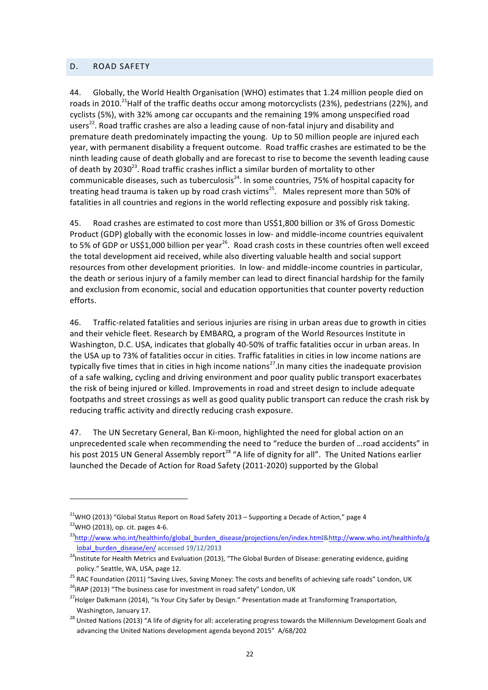### D. ROAD SAFETY

44. Globally, the World Health Organisation (WHO) estimates that 1.24 million people died on roads in 2010.<sup>21</sup>Half of the traffic deaths occur among motorcyclists (23%), pedestrians (22%), and cyclists (5%), with 32% among car occupants and the remaining 19% among unspecified road users<sup>22</sup>. Road traffic crashes are also a leading cause of non-fatal injury and disability and premature death predominately impacting the young. Up to 50 million people are injured each year, with permanent disability a frequent outcome. Road traffic crashes are estimated to be the ninth leading cause of death globally and are forecast to rise to become the seventh leading cause of death by 2030<sup>23</sup>. Road traffic crashes inflict a similar burden of mortality to other communicable diseases, such as tuberculosis<sup>24</sup>. In some countries, 75% of hospital capacity for treating head trauma is taken up by road crash victims<sup>25</sup>. Males represent more than 50% of fatalities in all countries and regions in the world reflecting exposure and possibly risk taking.

45. Road crashes are estimated to cost more than US\$1,800 billion or 3% of Gross Domestic Product (GDP) globally with the economic losses in low- and middle-income countries equivalent to 5% of GDP or US\$1,000 billion per year<sup>26</sup>. Road crash costs in these countries often well exceed the total development aid received, while also diverting valuable health and social support resources from other development priorities. In low- and middle-income countries in particular, the death or serious injury of a family member can lead to direct financial hardship for the family and exclusion from economic, social and education opportunities that counter poverty reduction efforts. 

46. Traffic-related fatalities and serious injuries are rising in urban areas due to growth in cities and their vehicle fleet. Research by EMBARQ, a program of the World Resources Institute in Washington, D.C. USA, indicates that globally 40-50% of traffic fatalities occur in urban areas. In the USA up to 73% of fatalities occur in cities. Traffic fatalities in cities in low income nations are typically five times that in cities in high income nations<sup>27</sup>. In many cities the inadequate provision of a safe walking, cycling and driving environment and poor quality public transport exacerbates the risk of being injured or killed. Improvements in road and street design to include adequate footpaths and street crossings as well as good quality public transport can reduce the crash risk by reducing traffic activity and directly reducing crash exposure.

47. The UN Secretary General, Ban Ki-moon, highlighted the need for global action on an unprecedented scale when recommending the need to "reduce the burden of ...road accidents" in his post 2015 UN General Assembly report<sup>28</sup> "A life of dignity for all". The United Nations earlier launched the Decade of Action for Road Safety (2011-2020) supported by the Global

<sup>&</sup>lt;sup>21</sup>WHO (2013) "Global Status Report on Road Safety 2013 – Supporting a Decade of Action." page 4  $22$ WHO (2013), op. cit. pages 4-6.

<sup>&</sup>lt;sup>23</sup>http://www.who.int/healthinfo/global\_burden\_disease/projections/en/index.html&http://www.who.int/healthinfo/g lobal burden disease/en/ accessed 19/12/2013

<sup>&</sup>lt;sup>24</sup>Institute for Health Metrics and Evaluation (2013), "The Global Burden of Disease: generating evidence, guiding policy." Seattle, WA, USA, page 12.

 $^{25}$  RAC Foundation (2011) "Saving Lives, Saving Money: The costs and benefits of achieving safe roads" London, UK  $^{26}$ iRAP (2013) "The business case for investment in road safety" London, UK

<sup>&</sup>lt;sup>27</sup>Holger Dalkmann (2014), "Is Your City Safer by Design." Presentation made at Transforming Transportation, Washington, January 17.

 $^{28}$  United Nations (2013) "A life of dignity for all: accelerating progress towards the Millennium Development Goals and advancing the United Nations development agenda beyond 2015" A/68/202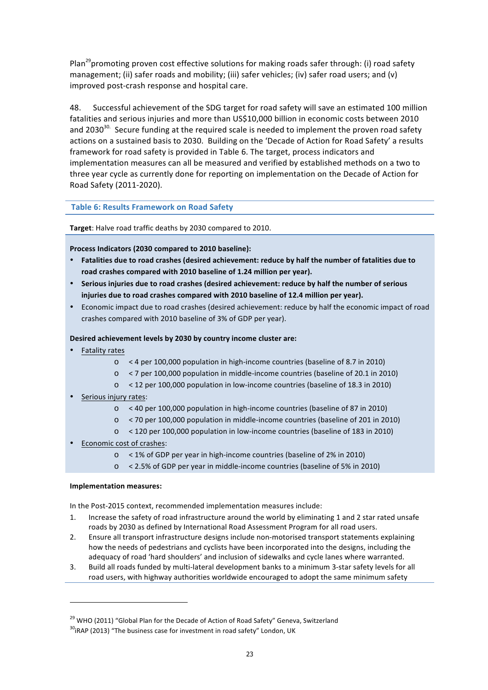Plan<sup>29</sup> promoting proven cost effective solutions for making roads safer through: (i) road safety management; (ii) safer roads and mobility; (iii) safer vehicles; (iv) safer road users; and (v) improved post-crash response and hospital care.

48. Successful achievement of the SDG target for road safety will save an estimated 100 million fatalities and serious injuries and more than US\$10,000 billion in economic costs between 2010 and 2030<sup>30.</sup> Secure funding at the required scale is needed to implement the proven road safety actions on a sustained basis to 2030. Building on the 'Decade of Action for Road Safety' a results framework for road safety is provided in Table 6. The target, process indicators and implementation measures can all be measured and verified by established methods on a two to three year cycle as currently done for reporting on implementation on the Decade of Action for Road Safety (2011-2020).

## **Table 6: Results Framework on Road Safety**

Target: Halve road traffic deaths by 2030 compared to 2010.

Process Indicators (2030 compared to 2010 baseline):

- Fatalities due to road crashes (desired achievement: reduce by half the number of fatalities due to road crashes compared with 2010 baseline of 1.24 million per year).
- Serious injuries due to road crashes (desired achievement: reduce by half the number of serious injuries due to road crashes compared with 2010 baseline of 12.4 million per year).
- Economic impact due to road crashes (desired achievement: reduce by half the economic impact of road crashes compared with 2010 baseline of 3% of GDP per year).

## **Desired achievement levels by 2030 by country income cluster are:**

- Fatality rates
	- o < 4 per 100,000 population in high-income countries (baseline of 8.7 in 2010)
	- $\circ$  < 7 per 100,000 population in middle-income countries (baseline of 20.1 in 2010)
	- o < 12 per 100,000 population in low-income countries (baseline of 18.3 in 2010)
- Serious injury rates:
	- $\circ$  < 40 per 100,000 population in high-income countries (baseline of 87 in 2010)
	- o < 70 per 100,000 population in middle-income countries (baseline of 201 in 2010)
	- o < 120 per 100,000 population in low-income countries (baseline of 183 in 2010)
- Economic cost of crashes:
	- $\circ$  < 1% of GDP per year in high-income countries (baseline of 2% in 2010)
	- o < 2.5% of GDP per year in middle-income countries (baseline of 5% in 2010)

### **Implementation measures:**

<u> 1989 - Johann Stein, fransk politik (d. 1989)</u>

In the Post-2015 context, recommended implementation measures include:

- 1. Increase the safety of road infrastructure around the world by eliminating 1 and 2 star rated unsafe roads by 2030 as defined by International Road Assessment Program for all road users.
- 2. Ensure all transport infrastructure designs include non-motorised transport statements explaining how the needs of pedestrians and cyclists have been incorporated into the designs, including the adequacy of road 'hard shoulders' and inclusion of sidewalks and cycle lanes where warranted.
- 3. Build all roads funded by multi-lateral development banks to a minimum 3-star safety levels for all road users, with highway authorities worldwide encouraged to adopt the same minimum safety

 $^{29}$  WHO (2011) "Global Plan for the Decade of Action of Road Safety" Geneva, Switzerland

 $30$ iRAP (2013) "The business case for investment in road safety" London, UK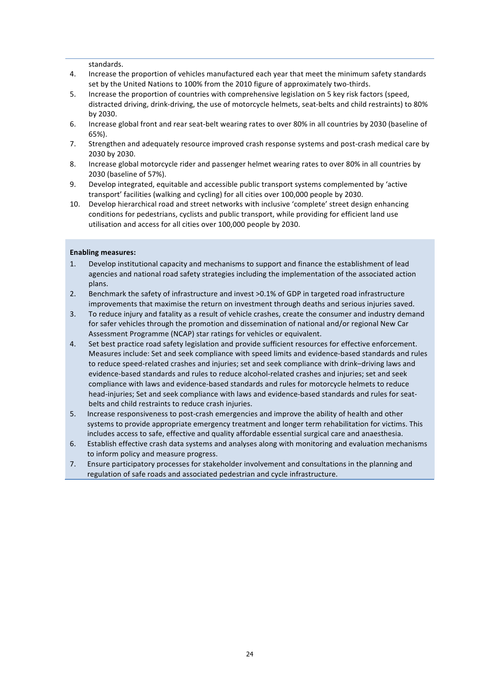standards.

- 4. Increase the proportion of vehicles manufactured each year that meet the minimum safety standards set by the United Nations to 100% from the 2010 figure of approximately two-thirds.
- 5. Increase the proportion of countries with comprehensive legislation on 5 key risk factors (speed, distracted driving, drink-driving, the use of motorcycle helmets, seat-belts and child restraints) to 80% by 2030.
- 6. Increase global front and rear seat-belt wearing rates to over 80% in all countries by 2030 (baseline of 65%).
- 7. Strengthen and adequately resource improved crash response systems and post-crash medical care by 2030 by 2030.
- 8. Increase global motorcycle rider and passenger helmet wearing rates to over 80% in all countries by 2030 (baseline of 57%).
- 9. Develop integrated, equitable and accessible public transport systems complemented by 'active transport' facilities (walking and cycling) for all cities over 100,000 people by 2030.
- 10. Develop hierarchical road and street networks with inclusive 'complete' street design enhancing conditions for pedestrians, cyclists and public transport, while providing for efficient land use utilisation and access for all cities over 100,000 people by 2030.

#### **Enabling measures:**

- 1. Develop institutional capacity and mechanisms to support and finance the establishment of lead agencies and national road safety strategies including the implementation of the associated action plans.
- 2. Benchmark the safety of infrastructure and invest >0.1% of GDP in targeted road infrastructure improvements that maximise the return on investment through deaths and serious injuries saved.
- 3. To reduce injury and fatality as a result of vehicle crashes, create the consumer and industry demand for safer vehicles through the promotion and dissemination of national and/or regional New Car Assessment Programme (NCAP) star ratings for vehicles or equivalent.
- 4. Set best practice road safety legislation and provide sufficient resources for effective enforcement. Measures include: Set and seek compliance with speed limits and evidence-based standards and rules to reduce speed-related crashes and injuries; set and seek compliance with drink-driving laws and evidence-based standards and rules to reduce alcohol-related crashes and injuries; set and seek compliance with laws and evidence-based standards and rules for motorcycle helmets to reduce head-injuries; Set and seek compliance with laws and evidence-based standards and rules for seatbelts and child restraints to reduce crash injuries.
- 5. Increase responsiveness to post-crash emergencies and improve the ability of health and other systems to provide appropriate emergency treatment and longer term rehabilitation for victims. This includes access to safe, effective and quality affordable essential surgical care and anaesthesia.
- 6. Establish effective crash data systems and analyses along with monitoring and evaluation mechanisms to inform policy and measure progress.
- 7. Ensure participatory processes for stakeholder involvement and consultations in the planning and regulation of safe roads and associated pedestrian and cycle infrastructure.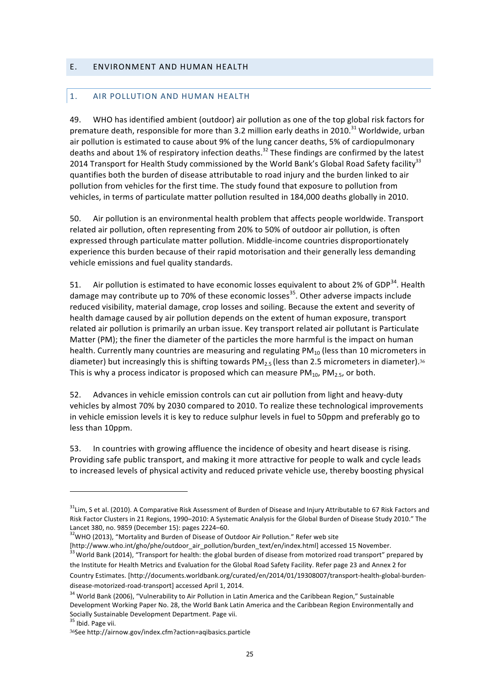### E. ENVIRONMENT AND HUMAN HEALTH

### 1. AIR POLLUTION AND HUMAN HEALTH

49. WHO has identified ambient (outdoor) air pollution as one of the top global risk factors for premature death, responsible for more than 3.2 million early deaths in 2010.<sup>31</sup> Worldwide, urban air pollution is estimated to cause about 9% of the lung cancer deaths, 5% of cardiopulmonary deaths and about 1% of respiratory infection deaths.<sup>32</sup> These findings are confirmed by the latest 2014 Transport for Health Study commissioned by the World Bank's Global Road Safety facility<sup>33</sup> quantifies both the burden of disease attributable to road injury and the burden linked to air pollution from vehicles for the first time. The study found that exposure to pollution from vehicles, in terms of particulate matter pollution resulted in 184,000 deaths globally in 2010.

50. Air pollution is an environmental health problem that affects people worldwide. Transport related air pollution, often representing from 20% to 50% of outdoor air pollution, is often expressed through particulate matter pollution. Middle-income countries disproportionately experience this burden because of their rapid motorisation and their generally less demanding vehicle emissions and fuel quality standards.

51. Air pollution is estimated to have economic losses equivalent to about 2% of GDP $^{34}$ . Health damage may contribute up to 70% of these economic losses<sup>35</sup>. Other adverse impacts include reduced visibility, material damage, crop losses and soiling. Because the extent and severity of health damage caused by air pollution depends on the extent of human exposure, transport related air pollution is primarily an urban issue. Key transport related air pollutant is Particulate Matter  $(PM)$ ; the finer the diameter of the particles the more harmful is the impact on human health. Currently many countries are measuring and regulating  $PM_{10}$  (less than 10 micrometers in diameter) but increasingly this is shifting towards  $PM_{2.5}$  (less than 2.5 micrometers in diameter).<sup>36</sup> This is why a process indicator is proposed which can measure  $PM_{10}$ ,  $PM_{25}$ , or both.

52. Advances in vehicle emission controls can cut air pollution from light and heavy-duty vehicles by almost 70% by 2030 compared to 2010. To realize these technological improvements in vehicle emission levels it is key to reduce sulphur levels in fuel to 50ppm and preferably go to less than 10ppm.

53. In countries with growing affluence the incidence of obesity and heart disease is rising. Providing safe public transport, and making it more attractive for people to walk and cycle leads to increased levels of physical activity and reduced private vehicle use, thereby boosting physical

<u> 1989 - Johann Stein, fransk politik (d. 1989)</u>

 $31$ Lim, S et al. (2010). A Comparative Risk Assessment of Burden of Disease and Injury Attributable to 67 Risk Factors and Risk Factor Clusters in 21 Regions, 1990–2010: A Systematic Analysis for the Global Burden of Disease Study 2010." The Lancet 380, no. 9859 (December 15): pages 2224–60.<br><sup>32</sup>WHO (2013), "Mortality and Burden of Disease of Outdoor Air Pollution." Refer web site

<sup>[</sup>http://www.who.int/gho/phe/outdoor\_air\_pollution/burden\_text/en/index.html] accessed 15 November.  $\frac{33}{33}$  World Bank (2014), "Transport for health: the global burden of disease from motorized road transport" prepared by the Institute for Health Metrics and Evaluation for the Global Road Safety Facility. Refer page 23 and Annex 2 for Country Estimates. [http://documents.worldbank.org/curated/en/2014/01/19308007/transport-health-global-burdendisease-motorized-road-transport] accessed April 1, 2014.

<sup>&</sup>lt;sup>34</sup> World Bank (2006), "Vulnerability to Air Pollution in Latin America and the Caribbean Region," Sustainable Development Working Paper No. 28, the World Bank Latin America and the Caribbean Region Environmentally and Socially Sustainable Development Department. Page vii. <sup>35</sup> Ibid. Page vii.

<sup>36</sup>See http://airnow.gov/index.cfm?action=aqibasics.particle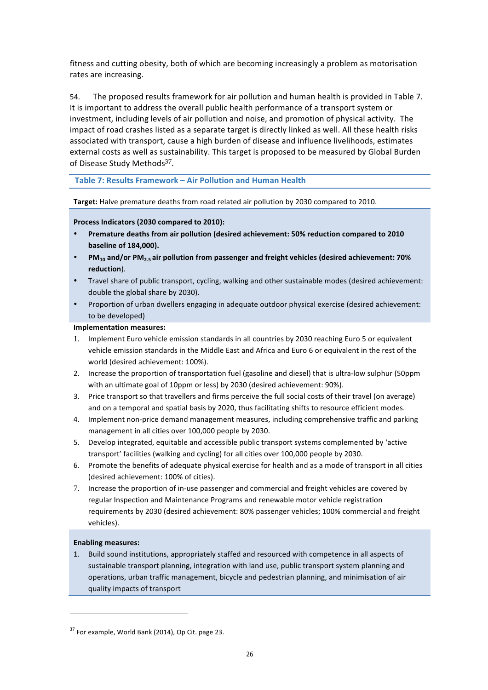fitness and cutting obesity, both of which are becoming increasingly a problem as motorisation rates are increasing.

54. The proposed results framework for air pollution and human health is provided in Table 7. It is important to address the overall public health performance of a transport system or investment, including levels of air pollution and noise, and promotion of physical activity. The impact of road crashes listed as a separate target is directly linked as well. All these health risks associated with transport, cause a high burden of disease and influence livelihoods, estimates external costs as well as sustainability. This target is proposed to be measured by Global Burden of Disease Study Methods $37$ .

Table 7: Results Framework - Air Pollution and Human Health

Target: Halve premature deaths from road related air pollution by 2030 compared to 2010.

Process Indicators (2030 compared to 2010):

- Premature deaths from air pollution (desired achievement: 50% reduction compared to 2010 **baseline of 184,000).**
- **PM<sub>10</sub>** and/or PM<sub>2.5</sub> air pollution from passenger and freight vehicles (desired achievement: 70% **reduction**).
- Travel share of public transport, cycling, walking and other sustainable modes (desired achievement: double the global share by 2030).
- Proportion of urban dwellers engaging in adequate outdoor physical exercise (desired achievement: to be developed)

### **Implementation measures:**

- 1. Implement Euro vehicle emission standards in all countries by 2030 reaching Euro 5 or equivalent vehicle emission standards in the Middle East and Africa and Euro 6 or equivalent in the rest of the world (desired achievement: 100%).
- 2. Increase the proportion of transportation fuel (gasoline and diesel) that is ultra-low sulphur (50ppm with an ultimate goal of 10ppm or less) by 2030 (desired achievement: 90%).
- 3. Price transport so that travellers and firms perceive the full social costs of their travel (on average) and on a temporal and spatial basis by 2020, thus facilitating shifts to resource efficient modes.
- 4. Implement non-price demand management measures, including comprehensive traffic and parking management in all cities over 100,000 people by 2030.
- 5. Develop integrated, equitable and accessible public transport systems complemented by 'active transport' facilities (walking and cycling) for all cities over 100,000 people by 2030.
- 6. Promote the benefits of adequate physical exercise for health and as a mode of transport in all cities (desired achievement: 100% of cities).
- 7. Increase the proportion of in-use passenger and commercial and freight vehicles are covered by regular Inspection and Maintenance Programs and renewable motor vehicle registration requirements by 2030 (desired achievement: 80% passenger vehicles; 100% commercial and freight vehicles).

### **Enabling measures:**

1. Build sound institutions, appropriately staffed and resourced with competence in all aspects of sustainable transport planning, integration with land use, public transport system planning and operations, urban traffic management, bicycle and pedestrian planning, and minimisation of air quality impacts of transport

 $37$  For example, World Bank (2014), Op Cit. page 23.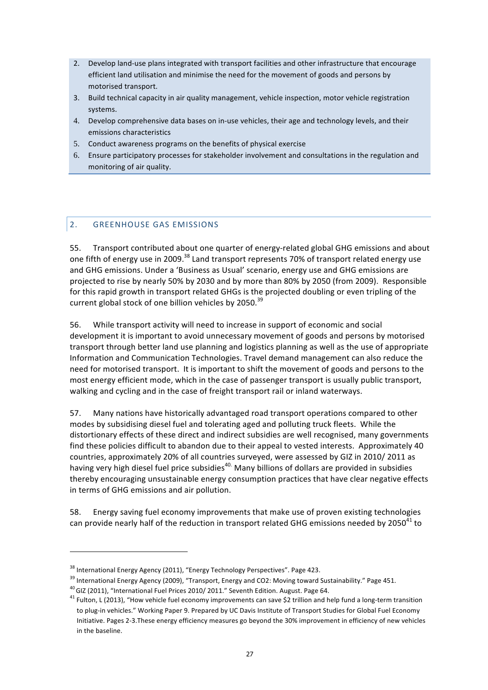- 2. Develop land-use plans integrated with transport facilities and other infrastructure that encourage efficient land utilisation and minimise the need for the movement of goods and persons by motorised transport.
- 3. Build technical capacity in air quality management, vehicle inspection, motor vehicle registration systems.
- 4. Develop comprehensive data bases on in-use vehicles, their age and technology levels, and their emissions characteristics
- 5. Conduct awareness programs on the benefits of physical exercise
- 6. Ensure participatory processes for stakeholder involvement and consultations in the regulation and monitoring of air quality.

# 2. GREENHOUSE GAS EMISSIONS

55. Transport contributed about one quarter of energy-related global GHG emissions and about one fifth of energy use in 2009.<sup>38</sup> Land transport represents 70% of transport related energy use and GHG emissions. Under a 'Business as Usual' scenario, energy use and GHG emissions are projected to rise by nearly 50% by 2030 and by more than 80% by 2050 (from 2009). Responsible for this rapid growth in transport related GHGs is the projected doubling or even tripling of the current global stock of one billion vehicles by 2050.<sup>39</sup>

56. While transport activity will need to increase in support of economic and social development it is important to avoid unnecessary movement of goods and persons by motorised transport through better land use planning and logistics planning as well as the use of appropriate Information and Communication Technologies. Travel demand management can also reduce the need for motorised transport. It is important to shift the movement of goods and persons to the most energy efficient mode, which in the case of passenger transport is usually public transport, walking and cycling and in the case of freight transport rail or inland waterways.

57. Many nations have historically advantaged road transport operations compared to other modes by subsidising diesel fuel and tolerating aged and polluting truck fleets. While the distortionary effects of these direct and indirect subsidies are well recognised, many governments find these policies difficult to abandon due to their appeal to vested interests. Approximately 40 countries, approximately 20% of all countries surveyed, were assessed by GIZ in 2010/ 2011 as having very high diesel fuel price subsidies<sup>40.</sup> Many billions of dollars are provided in subsidies thereby encouraging unsustainable energy consumption practices that have clear negative effects in terms of GHG emissions and air pollution.

58. Energy saving fuel economy improvements that make use of proven existing technologies can provide nearly half of the reduction in transport related GHG emissions needed by 2050<sup>41</sup> to

<sup>&</sup>lt;sup>38</sup> International Energy Agency (2011), "Energy Technology Perspectives". Page 423.

 $39$  International Energy Agency (2009), "Transport, Energy and CO2: Moving toward Sustainability." Page 451.<br> $40$  GIZ (2011), "International Fuel Prices 2010/ 2011." Seventh Edition. August. Page 64.

<sup>&</sup>lt;sup>41</sup> Fulton, L (2013), "How vehicle fuel economy improvements can save \$2 trillion and help fund a long-term transition to plug-in vehicles." Working Paper 9. Prepared by UC Davis Institute of Transport Studies for Global Fuel Economy Initiative. Pages 2-3.These energy efficiency measures go beyond the 30% improvement in efficiency of new vehicles in the baseline.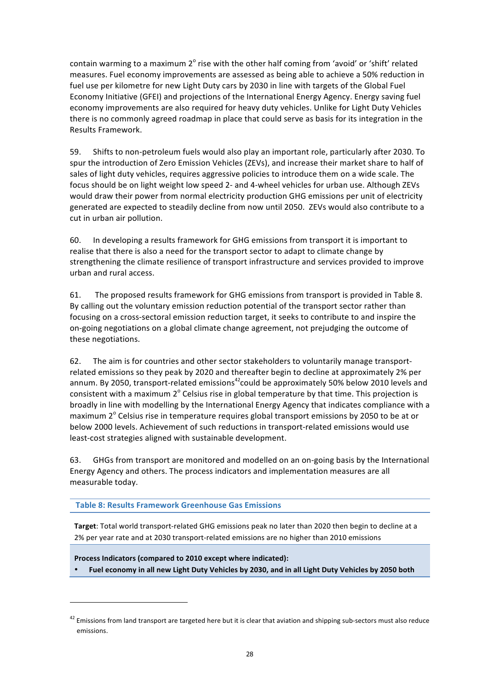contain warming to a maximum  $2^\circ$  rise with the other half coming from 'avoid' or 'shift' related measures. Fuel economy improvements are assessed as being able to achieve a 50% reduction in fuel use per kilometre for new Light Duty cars by 2030 in line with targets of the Global Fuel Economy Initiative (GFEI) and projections of the International Energy Agency. Energy saving fuel economy improvements are also required for heavy duty vehicles. Unlike for Light Duty Vehicles there is no commonly agreed roadmap in place that could serve as basis for its integration in the Results Framework.

59. Shifts to non-petroleum fuels would also play an important role, particularly after 2030. To spur the introduction of Zero Emission Vehicles (ZEVs), and increase their market share to half of sales of light duty vehicles, requires aggressive policies to introduce them on a wide scale. The focus should be on light weight low speed 2- and 4-wheel vehicles for urban use. Although ZEVs would draw their power from normal electricity production GHG emissions per unit of electricity generated are expected to steadily decline from now until 2050. ZEVs would also contribute to a cut in urban air pollution.

60. In developing a results framework for GHG emissions from transport it is important to realise that there is also a need for the transport sector to adapt to climate change by strengthening the climate resilience of transport infrastructure and services provided to improve urban and rural access.

61. The proposed results framework for GHG emissions from transport is provided in Table 8. By calling out the voluntary emission reduction potential of the transport sector rather than focusing on a cross-sectoral emission reduction target, it seeks to contribute to and inspire the on-going negotiations on a global climate change agreement, not prejudging the outcome of these negotiations.

62. The aim is for countries and other sector stakeholders to voluntarily manage transportrelated emissions so they peak by 2020 and thereafter begin to decline at approximately 2% per annum. By 2050, transport-related emissions<sup>42</sup>could be approximately 50% below 2010 levels and consistent with a maximum  $2^{\circ}$  Celsius rise in global temperature by that time. This projection is broadly in line with modelling by the International Energy Agency that indicates compliance with a maximum  $2^\circ$  Celsius rise in temperature requires global transport emissions by 2050 to be at or below 2000 levels. Achievement of such reductions in transport-related emissions would use least-cost strategies aligned with sustainable development.

63. GHGs from transport are monitored and modelled on an on-going basis by the International Energy Agency and others. The process indicators and implementation measures are all measurable today.

**Table 8: Results Framework Greenhouse Gas Emissions**

**Target:** Total world transport-related GHG emissions peak no later than 2020 then begin to decline at a 2% per year rate and at 2030 transport-related emissions are no higher than 2010 emissions

Process Indicators (compared to 2010 except where indicated):

<u> 1989 - Johann Stein, fransk politik (d. 1989)</u>

• **Fuel economy in all new Light Duty Vehicles by 2030, and in all Light Duty Vehicles by 2050 both**

 $42$  Emissions from land transport are targeted here but it is clear that aviation and shipping sub-sectors must also reduce emissions.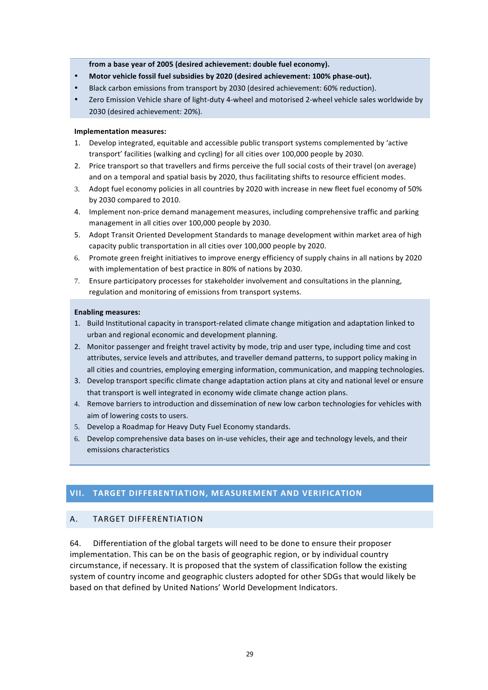from a base year of 2005 (desired achievement: double fuel economy).

- Motor vehicle fossil fuel subsidies by 2020 (desired achievement: 100% phase-out).
- Black carbon emissions from transport by 2030 (desired achievement: 60% reduction).
- Zero Emission Vehicle share of light-duty 4-wheel and motorised 2-wheel vehicle sales worldwide by 2030 (desired achievement: 20%).

#### **Implementation measures:**

- 1. Develop integrated, equitable and accessible public transport systems complemented by 'active transport' facilities (walking and cycling) for all cities over 100,000 people by 2030.
- 2. Price transport so that travellers and firms perceive the full social costs of their travel (on average) and on a temporal and spatial basis by 2020, thus facilitating shifts to resource efficient modes.
- 3. Adopt fuel economy policies in all countries by 2020 with increase in new fleet fuel economy of 50% by 2030 compared to 2010.
- 4. Implement non-price demand management measures, including comprehensive traffic and parking management in all cities over 100,000 people by 2030.
- 5. Adopt Transit Oriented Development Standards to manage development within market area of high capacity public transportation in all cities over 100,000 people by 2020.
- 6. Promote green freight initiatives to improve energy efficiency of supply chains in all nations by 2020 with implementation of best practice in 80% of nations by 2030.
- 7. Ensure participatory processes for stakeholder involvement and consultations in the planning, regulation and monitoring of emissions from transport systems.

#### **Enabling measures:**

- 1. Build Institutional capacity in transport-related climate change mitigation and adaptation linked to urban and regional economic and development planning.
- 2. Monitor passenger and freight travel activity by mode, trip and user type, including time and cost attributes, service levels and attributes, and traveller demand patterns, to support policy making in all cities and countries, employing emerging information, communication, and mapping technologies.
- 3. Develop transport specific climate change adaptation action plans at city and national level or ensure that transport is well integrated in economy wide climate change action plans.
- 4. Remove barriers to introduction and dissemination of new low carbon technologies for vehicles with aim of lowering costs to users.
- 5. Develop a Roadmap for Heavy Duty Fuel Economy standards.
- 6. Develop comprehensive data bases on in-use vehicles, their age and technology levels, and their emissions characteristics

### **VII. TARGET DIFFERENTIATION, MEASUREMENT AND VERIFICATION**

### A. TARGET DIFFFRENTIATION

64. Differentiation of the global targets will need to be done to ensure their proposer implementation. This can be on the basis of geographic region, or by individual country circumstance, if necessary. It is proposed that the system of classification follow the existing system of country income and geographic clusters adopted for other SDGs that would likely be based on that defined by United Nations' World Development Indicators.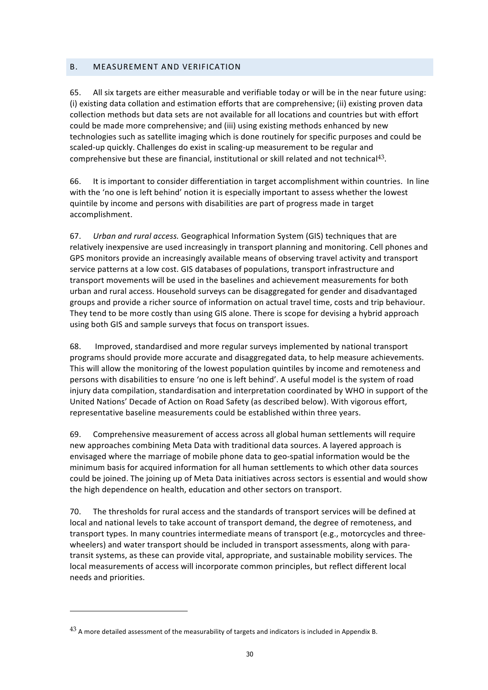### B. MEASUREMENT AND VERIFICATION

65. All six targets are either measurable and verifiable today or will be in the near future using: (i) existing data collation and estimation efforts that are comprehensive; (ii) existing proven data collection methods but data sets are not available for all locations and countries but with effort could be made more comprehensive; and (iii) using existing methods enhanced by new technologies such as satellite imaging which is done routinely for specific purposes and could be scaled-up quickly. Challenges do exist in scaling-up measurement to be regular and comprehensive but these are financial, institutional or skill related and not technical<sup>43</sup>.

66. It is important to consider differentiation in target accomplishment within countries. In line with the 'no one is left behind' notion it is especially important to assess whether the lowest quintile by income and persons with disabilities are part of progress made in target accomplishment.

67. *Urban and rural access.* Geographical Information System (GIS) techniques that are relatively inexpensive are used increasingly in transport planning and monitoring. Cell phones and GPS monitors provide an increasingly available means of observing travel activity and transport service patterns at a low cost. GIS databases of populations, transport infrastructure and transport movements will be used in the baselines and achievement measurements for both urban and rural access. Household surveys can be disaggregated for gender and disadvantaged groups and provide a richer source of information on actual travel time, costs and trip behaviour. They tend to be more costly than using GIS alone. There is scope for devising a hybrid approach using both GIS and sample surveys that focus on transport issues.

68. Improved, standardised and more regular surveys implemented by national transport programs should provide more accurate and disaggregated data, to help measure achievements. This will allow the monitoring of the lowest population quintiles by income and remoteness and persons with disabilities to ensure 'no one is left behind'. A useful model is the system of road injury data compilation, standardisation and interpretation coordinated by WHO in support of the United Nations' Decade of Action on Road Safety (as described below). With vigorous effort, representative baseline measurements could be established within three years.

69. Comprehensive measurement of access across all global human settlements will require new approaches combining Meta Data with traditional data sources. A layered approach is envisaged where the marriage of mobile phone data to geo-spatial information would be the minimum basis for acquired information for all human settlements to which other data sources could be joined. The joining up of Meta Data initiatives across sectors is essential and would show the high dependence on health, education and other sectors on transport.

70. The thresholds for rural access and the standards of transport services will be defined at local and national levels to take account of transport demand, the degree of remoteness, and transport types. In many countries intermediate means of transport (e.g., motorcycles and threewheelers) and water transport should be included in transport assessments, along with paratransit systems, as these can provide vital, appropriate, and sustainable mobility services. The local measurements of access will incorporate common principles, but reflect different local needs and priorities.

 $^{43}$  A more detailed assessment of the measurability of targets and indicators is included in Appendix B.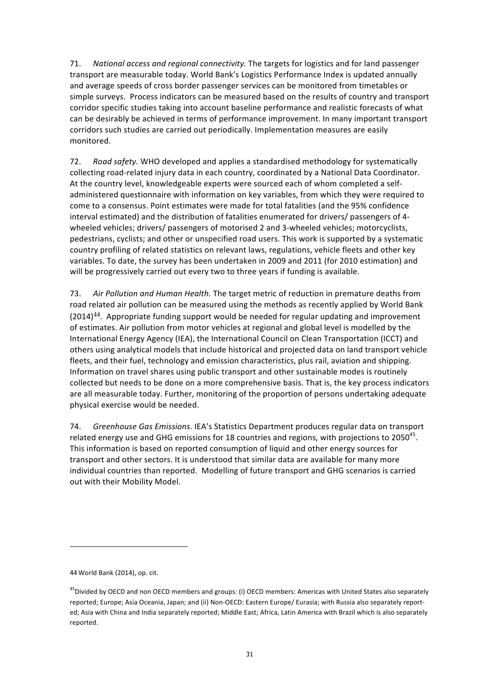71. National access and regional connectivity. The targets for logistics and for land passenger transport are measurable today. World Bank's Logistics Performance Index is updated annually and average speeds of cross border passenger services can be monitored from timetables or simple surveys. Process indicators can be measured based on the results of country and transport corridor specific studies taking into account baseline performance and realistic forecasts of what can be desirably be achieved in terms of performance improvement. In many important transport corridors such studies are carried out periodically. Implementation measures are easily monitored.

72. Road safety. WHO developed and applies a standardised methodology for systematically collecting road-related injury data in each country, coordinated by a National Data Coordinator. At the country level, knowledgeable experts were sourced each of whom completed a selfadministered questionnaire with information on key variables, from which they were required to come to a consensus. Point estimates were made for total fatalities (and the 95% confidence interval estimated) and the distribution of fatalities enumerated for drivers/ passengers of 4wheeled vehicles; drivers/ passengers of motorised 2 and 3-wheeled vehicles; motorcyclists, pedestrians, cyclists; and other or unspecified road users. This work is supported by a systematic country profiling of related statistics on relevant laws, regulations, vehicle fleets and other key variables. To date, the survey has been undertaken in 2009 and 2011 (for 2010 estimation) and will be progressively carried out every two to three years if funding is available.

73. Air Pollution and Human Health. The target metric of reduction in premature deaths from road related air pollution can be measured using the methods as recently applied by World Bank  $(2014)^{44}$ . Appropriate funding support would be needed for regular updating and improvement of estimates. Air pollution from motor vehicles at regional and global level is modelled by the International Energy Agency (IEA), the International Council on Clean Transportation (ICCT) and others using analytical models that include historical and projected data on land transport vehicle fleets, and their fuel, technology and emission characteristics, plus rail, aviation and shipping. Information on travel shares using public transport and other sustainable modes is routinely collected but needs to be done on a more comprehensive basis. That is, the key process indicators are all measurable today. Further, monitoring of the proportion of persons undertaking adequate physical exercise would be needed.

74. *Greenhouse Gas Emissions*. IEA's Statistics Department produces regular data on transport related energy use and GHG emissions for 18 countries and regions, with projections to  $2050^{45}$ . This information is based on reported consumption of liquid and other energy sources for transport and other sectors. It is understood that similar data are available for many more individual countries than reported. Modelling of future transport and GHG scenarios is carried out with their Mobility Model.

<sup>44</sup> World Bank (2014), op. cit.

<sup>&</sup>lt;sup>45</sup>Divided by OECD and non OECD members and groups: (i) OECD members: Americas with United States also separately reported; Europe; Asia Oceania, Japan; and (ii) Non-OECD: Eastern Europe/ Eurasia; with Russia also separately reported; Asia with China and India separately reported; Middle East; Africa, Latin America with Brazil which is also separately reported.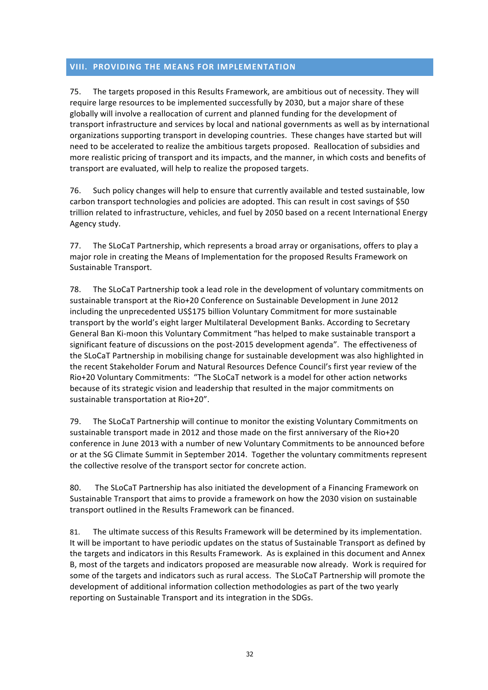# **VIII. PROVIDING THE MEANS FOR IMPLEMENTATION**

75. The targets proposed in this Results Framework, are ambitious out of necessity. They will require large resources to be implemented successfully by 2030, but a major share of these globally will involve a reallocation of current and planned funding for the development of transport infrastructure and services by local and national governments as well as by international organizations supporting transport in developing countries. These changes have started but will need to be accelerated to realize the ambitious targets proposed. Reallocation of subsidies and more realistic pricing of transport and its impacts, and the manner, in which costs and benefits of transport are evaluated, will help to realize the proposed targets.

76. Such policy changes will help to ensure that currently available and tested sustainable, low carbon transport technologies and policies are adopted. This can result in cost savings of \$50 trillion related to infrastructure, vehicles, and fuel by 2050 based on a recent International Energy Agency study. 

77. The SLoCaT Partnership, which represents a broad array or organisations, offers to play a major role in creating the Means of Implementation for the proposed Results Framework on Sustainable Transport.

78. The SLoCaT Partnership took a lead role in the development of voluntary commitments on sustainable transport at the Rio+20 Conference on Sustainable Development in June 2012 including the unprecedented US\$175 billion Voluntary Commitment for more sustainable transport by the world's eight larger Multilateral Development Banks. According to Secretary General Ban Ki-moon this Voluntary Commitment "has helped to make sustainable transport a significant feature of discussions on the post-2015 development agenda". The effectiveness of the SLoCaT Partnership in mobilising change for sustainable development was also highlighted in the recent Stakeholder Forum and Natural Resources Defence Council's first year review of the Rio+20 Voluntary Commitments: "The SLoCaT network is a model for other action networks because of its strategic vision and leadership that resulted in the major commitments on sustainable transportation at Rio+20".

79. The SLoCaT Partnership will continue to monitor the existing Voluntary Commitments on sustainable transport made in 2012 and those made on the first anniversary of the Rio+20 conference in June 2013 with a number of new Voluntary Commitments to be announced before or at the SG Climate Summit in September 2014. Together the voluntary commitments represent the collective resolve of the transport sector for concrete action.

80. The SLoCaT Partnership has also initiated the development of a Financing Framework on Sustainable Transport that aims to provide a framework on how the 2030 vision on sustainable transport outlined in the Results Framework can be financed.

81. The ultimate success of this Results Framework will be determined by its implementation. It will be important to have periodic updates on the status of Sustainable Transport as defined by the targets and indicators in this Results Framework. As is explained in this document and Annex B, most of the targets and indicators proposed are measurable now already. Work is required for some of the targets and indicators such as rural access. The SLoCaT Partnership will promote the development of additional information collection methodologies as part of the two yearly reporting on Sustainable Transport and its integration in the SDGs.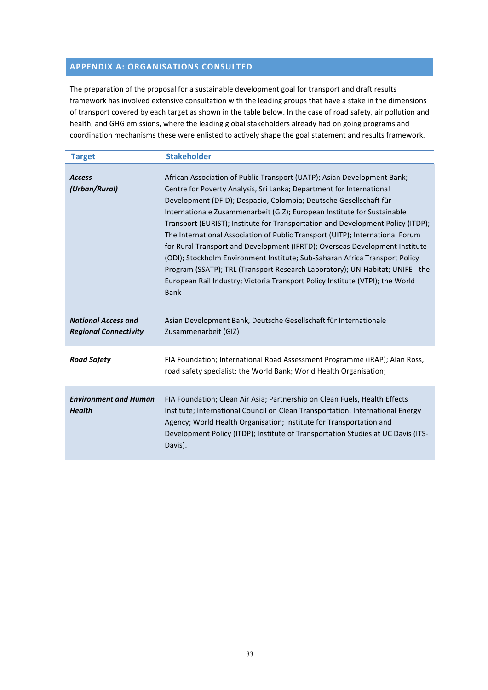# **APPENDIX A: ORGANISATIONS CONSULTED**

The preparation of the proposal for a sustainable development goal for transport and draft results framework has involved extensive consultation with the leading groups that have a stake in the dimensions of transport covered by each target as shown in the table below. In the case of road safety, air pollution and health, and GHG emissions, where the leading global stakeholders already had on going programs and coordination mechanisms these were enlisted to actively shape the goal statement and results framework.

| <b>Target</b>                                              | <b>Stakeholder</b>                                                                                                                                                                                                                                                                                                                                                                                                                                                                                                                                                                                                                                                                                                                                                                                                 |
|------------------------------------------------------------|--------------------------------------------------------------------------------------------------------------------------------------------------------------------------------------------------------------------------------------------------------------------------------------------------------------------------------------------------------------------------------------------------------------------------------------------------------------------------------------------------------------------------------------------------------------------------------------------------------------------------------------------------------------------------------------------------------------------------------------------------------------------------------------------------------------------|
| <b>Access</b><br>(Urban/Rural)                             | African Association of Public Transport (UATP); Asian Development Bank;<br>Centre for Poverty Analysis, Sri Lanka; Department for International<br>Development (DFID); Despacio, Colombia; Deutsche Gesellschaft für<br>Internationale Zusammenarbeit (GIZ); European Institute for Sustainable<br>Transport (EURIST); Institute for Transportation and Development Policy (ITDP);<br>The International Association of Public Transport (UITP); International Forum<br>for Rural Transport and Development (IFRTD); Overseas Development Institute<br>(ODI); Stockholm Environment Institute; Sub-Saharan Africa Transport Policy<br>Program (SSATP); TRL (Transport Research Laboratory); UN-Habitat; UNIFE - the<br>European Rail Industry; Victoria Transport Policy Institute (VTPI); the World<br><b>Bank</b> |
| <b>National Access and</b><br><b>Regional Connectivity</b> | Asian Development Bank, Deutsche Gesellschaft für Internationale<br>Zusammenarbeit (GIZ)                                                                                                                                                                                                                                                                                                                                                                                                                                                                                                                                                                                                                                                                                                                           |
| <b>Road Safety</b>                                         | FIA Foundation; International Road Assessment Programme (iRAP); Alan Ross,<br>road safety specialist; the World Bank; World Health Organisation;                                                                                                                                                                                                                                                                                                                                                                                                                                                                                                                                                                                                                                                                   |
| <b>Environment and Human</b><br><b>Health</b>              | FIA Foundation; Clean Air Asia; Partnership on Clean Fuels, Health Effects<br>Institute; International Council on Clean Transportation; International Energy<br>Agency; World Health Organisation; Institute for Transportation and<br>Development Policy (ITDP); Institute of Transportation Studies at UC Davis (ITS-<br>Davis).                                                                                                                                                                                                                                                                                                                                                                                                                                                                                 |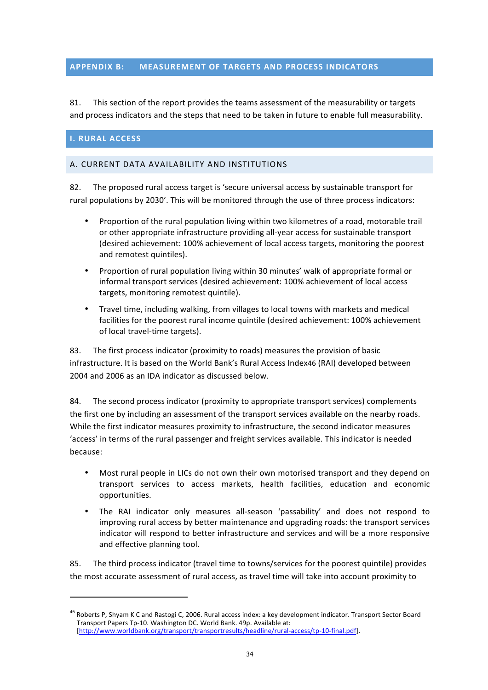# **APPENDIX B: MEASUREMENT OF TARGETS AND PROCESS INDICATORS**

81. This section of the report provides the teams assessment of the measurability or targets and process indicators and the steps that need to be taken in future to enable full measurability.

# **I. RURAL ACCESS**

 

## A. CURRENT DATA AVAILABILITY AND INSTITUTIONS

82. The proposed rural access target is 'secure universal access by sustainable transport for rural populations by 2030'. This will be monitored through the use of three process indicators:

- Proportion of the rural population living within two kilometres of a road, motorable trail or other appropriate infrastructure providing all-year access for sustainable transport (desired achievement: 100% achievement of local access targets, monitoring the poorest and remotest quintiles).
- Proportion of rural population living within 30 minutes' walk of appropriate formal or informal transport services (desired achievement: 100% achievement of local access targets, monitoring remotest quintile).
- Travel time, including walking, from villages to local towns with markets and medical facilities for the poorest rural income quintile (desired achievement: 100% achievement of local travel-time targets).

83. The first process indicator (proximity to roads) measures the provision of basic infrastructure. It is based on the World Bank's Rural Access Index46 (RAI) developed between 2004 and 2006 as an IDA indicator as discussed below.

84. The second process indicator (proximity to appropriate transport services) complements the first one by including an assessment of the transport services available on the nearby roads. While the first indicator measures proximity to infrastructure, the second indicator measures 'access' in terms of the rural passenger and freight services available. This indicator is needed because:

- Most rural people in LICs do not own their own motorised transport and they depend on transport services to access markets, health facilities, education and economic opportunities.
- The RAI indicator only measures all-season 'passability' and does not respond to improving rural access by better maintenance and upgrading roads: the transport services indicator will respond to better infrastructure and services and will be a more responsive and effective planning tool.

85. The third process indicator (travel time to towns/services for the poorest quintile) provides the most accurate assessment of rural access, as travel time will take into account proximity to

<sup>&</sup>lt;sup>46</sup> Roberts P, Shyam K C and Rastogi C, 2006. Rural access index: a key development indicator. Transport Sector Board Transport Papers Tp-10. Washington DC. World Bank. 49p. Available at: [http://www.worldbank.org/transport/transportresults/headline/rural-access/tp-10-final.pdf].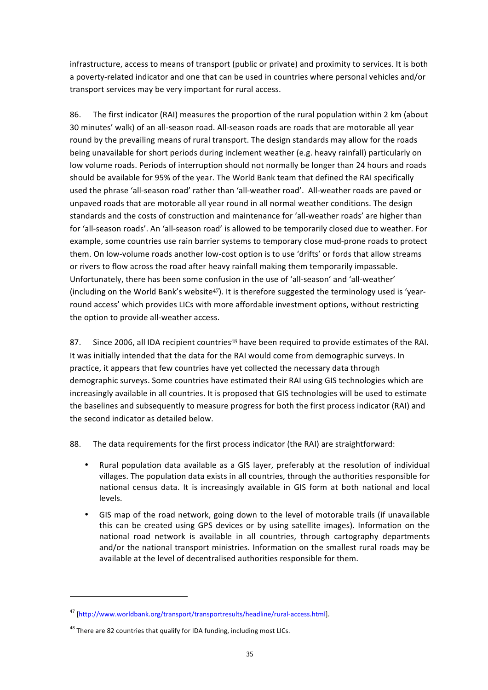infrastructure, access to means of transport (public or private) and proximity to services. It is both a poverty-related indicator and one that can be used in countries where personal vehicles and/or transport services may be very important for rural access.

86. The first indicator (RAI) measures the proportion of the rural population within 2 km (about 30 minutes' walk) of an all-season road. All-season roads are roads that are motorable all year round by the prevailing means of rural transport. The design standards may allow for the roads being unavailable for short periods during inclement weather (e.g. heavy rainfall) particularly on low volume roads. Periods of interruption should not normally be longer than 24 hours and roads should be available for 95% of the year. The World Bank team that defined the RAI specifically used the phrase 'all-season road' rather than 'all-weather road'. All-weather roads are paved or unpaved roads that are motorable all year round in all normal weather conditions. The design standards and the costs of construction and maintenance for 'all-weather roads' are higher than for 'all-season roads'. An 'all-season road' is allowed to be temporarily closed due to weather. For example, some countries use rain barrier systems to temporary close mud-prone roads to protect them. On low-volume roads another low-cost option is to use 'drifts' or fords that allow streams or rivers to flow across the road after heavy rainfall making them temporarily impassable. Unfortunately, there has been some confusion in the use of 'all-season' and 'all-weather' (including on the World Bank's website<sup>47</sup>). It is therefore suggested the terminology used is 'yearround access' which provides LICs with more affordable investment options, without restricting the option to provide all-weather access.

87. Since 2006, all IDA recipient countries<sup>48</sup> have been required to provide estimates of the RAI. It was initially intended that the data for the RAI would come from demographic surveys. In practice, it appears that few countries have yet collected the necessary data through demographic surveys. Some countries have estimated their RAI using GIS technologies which are increasingly available in all countries. It is proposed that GIS technologies will be used to estimate the baselines and subsequently to measure progress for both the first process indicator (RAI) and the second indicator as detailed below.

88. The data requirements for the first process indicator (the RAI) are straightforward:

- Rural population data available as a GIS layer, preferably at the resolution of individual villages. The population data exists in all countries, through the authorities responsible for national census data. It is increasingly available in GIS form at both national and local levels.
- GIS map of the road network, going down to the level of motorable trails (if unavailable this can be created using GPS devices or by using satellite images). Information on the national road network is available in all countries, through cartography departments and/or the national transport ministries. Information on the smallest rural roads may be available at the level of decentralised authorities responsible for them.

<sup>47</sup> [http://www.worldbank.org/transport/transportresults/headline/rural-access.html].

 $48$  There are 82 countries that qualify for IDA funding, including most LICs.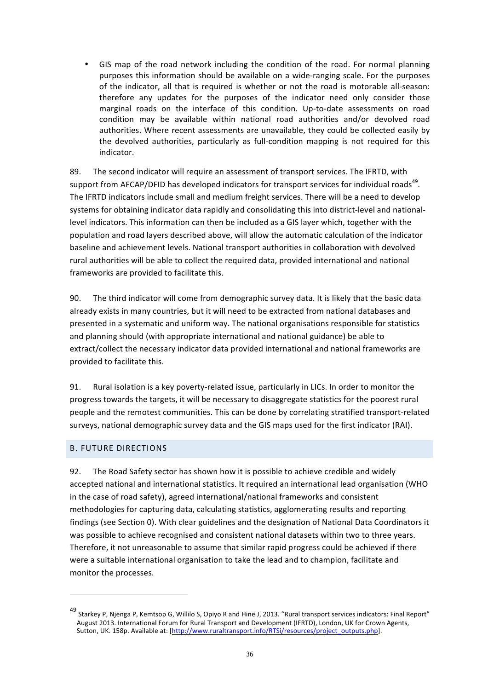• GIS map of the road network including the condition of the road. For normal planning purposes this information should be available on a wide-ranging scale. For the purposes of the indicator, all that is required is whether or not the road is motorable all-season: therefore any updates for the purposes of the indicator need only consider those marginal roads on the interface of this condition. Up-to-date assessments on road condition may be available within national road authorities and/or devolved road authorities. Where recent assessments are unavailable, they could be collected easily by the devolved authorities, particularly as full-condition mapping is not required for this indicator.

89. The second indicator will require an assessment of transport services. The IFRTD, with support from AFCAP/DFID has developed indicators for transport services for individual roads<sup>49</sup>. The IFRTD indicators include small and medium freight services. There will be a need to develop systems for obtaining indicator data rapidly and consolidating this into district-level and nationallevel indicators. This information can then be included as a GIS layer which, together with the population and road layers described above, will allow the automatic calculation of the indicator baseline and achievement levels. National transport authorities in collaboration with devolved rural authorities will be able to collect the required data, provided international and national frameworks are provided to facilitate this.

90. The third indicator will come from demographic survey data. It is likely that the basic data already exists in many countries, but it will need to be extracted from national databases and presented in a systematic and uniform way. The national organisations responsible for statistics and planning should (with appropriate international and national guidance) be able to extract/collect the necessary indicator data provided international and national frameworks are provided to facilitate this.

91. Rural isolation is a key poverty-related issue, particularly in LICs. In order to monitor the progress towards the targets, it will be necessary to disaggregate statistics for the poorest rural people and the remotest communities. This can be done by correlating stratified transport-related surveys, national demographic survey data and the GIS maps used for the first indicator (RAI).

### **B. FUTURE DIRECTIONS**

<u> 1989 - Johann Stein, fransk politik (d. 1989)</u>

92. The Road Safety sector has shown how it is possible to achieve credible and widely accepted national and international statistics. It required an international lead organisation (WHO in the case of road safety), agreed international/national frameworks and consistent methodologies for capturing data, calculating statistics, agglomerating results and reporting findings (see Section 0). With clear guidelines and the designation of National Data Coordinators it was possible to achieve recognised and consistent national datasets within two to three years. Therefore, it not unreasonable to assume that similar rapid progress could be achieved if there were a suitable international organisation to take the lead and to champion, facilitate and monitor the processes.

<sup>49</sup> Starkey P, Njenga P, Kemtsop G, Willilo S, Opiyo R and Hine J, 2013. "Rural transport services indicators: Final Report" August 2013. International Forum for Rural Transport and Development (IFRTD), London, UK for Crown Agents, Sutton, UK. 158p. Available at: [http://www.ruraltransport.info/RTSi/resources/project\_outputs.php].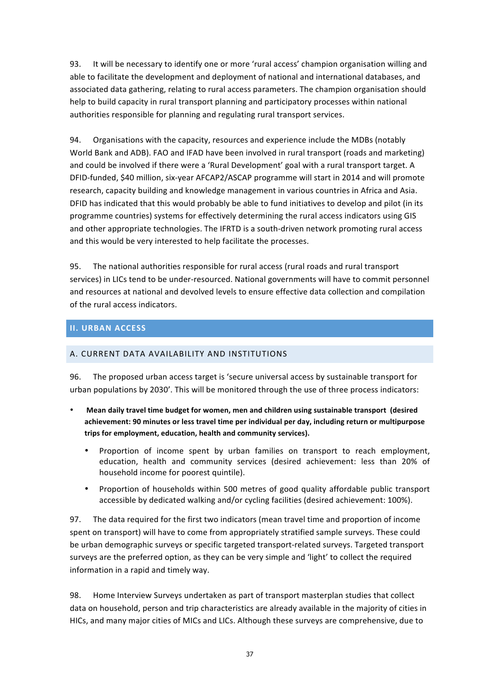93. It will be necessary to identify one or more 'rural access' champion organisation willing and able to facilitate the development and deployment of national and international databases, and associated data gathering, relating to rural access parameters. The champion organisation should help to build capacity in rural transport planning and participatory processes within national authorities responsible for planning and regulating rural transport services.

94. Organisations with the capacity, resources and experience include the MDBs (notably World Bank and ADB). FAO and IFAD have been involved in rural transport (roads and marketing) and could be involved if there were a 'Rural Development' goal with a rural transport target. A DFID-funded, \$40 million, six-year AFCAP2/ASCAP programme will start in 2014 and will promote research, capacity building and knowledge management in various countries in Africa and Asia. DFID has indicated that this would probably be able to fund initiatives to develop and pilot (in its programme countries) systems for effectively determining the rural access indicators using GIS and other appropriate technologies. The IFRTD is a south-driven network promoting rural access and this would be very interested to help facilitate the processes.

95. The national authorities responsible for rural access (rural roads and rural transport services) in LICs tend to be under-resourced. National governments will have to commit personnel and resources at national and devolved levels to ensure effective data collection and compilation of the rural access indicators.

# **II. URBAN ACCESS**

# A. CURRENT DATA AVAILABILITY AND INSTITUTIONS

96. The proposed urban access target is 'secure universal access by sustainable transport for urban populations by 2030'. This will be monitored through the use of three process indicators:

- Mean daily travel time budget for women, men and children using sustainable transport (desired achievement: 90 minutes or less travel time per individual per day, including return or multipurpose trips for employment, education, health and community services).
	- Proportion of income spent by urban families on transport to reach employment, education, health and community services (desired achievement: less than 20% of household income for poorest quintile).
	- Proportion of households within 500 metres of good quality affordable public transport accessible by dedicated walking and/or cycling facilities (desired achievement: 100%).

97. The data required for the first two indicators (mean travel time and proportion of income spent on transport) will have to come from appropriately stratified sample surveys. These could be urban demographic surveys or specific targeted transport-related surveys. Targeted transport surveys are the preferred option, as they can be very simple and 'light' to collect the required information in a rapid and timely way.

98. Home Interview Surveys undertaken as part of transport masterplan studies that collect data on household, person and trip characteristics are already available in the majority of cities in HICs, and many major cities of MICs and LICs. Although these surveys are comprehensive, due to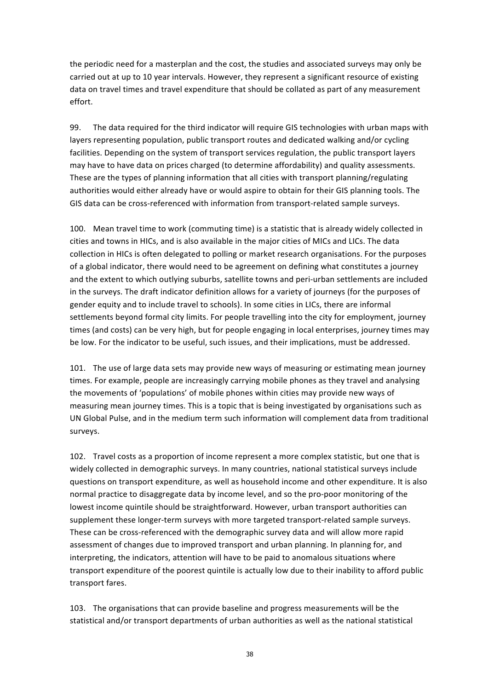the periodic need for a masterplan and the cost, the studies and associated surveys may only be carried out at up to 10 year intervals. However, they represent a significant resource of existing data on travel times and travel expenditure that should be collated as part of any measurement effort.

99. The data required for the third indicator will require GIS technologies with urban maps with layers representing population, public transport routes and dedicated walking and/or cycling facilities. Depending on the system of transport services regulation, the public transport layers may have to have data on prices charged (to determine affordability) and quality assessments. These are the types of planning information that all cities with transport planning/regulating authorities would either already have or would aspire to obtain for their GIS planning tools. The GIS data can be cross-referenced with information from transport-related sample surveys.

100. Mean travel time to work (commuting time) is a statistic that is already widely collected in cities and towns in HICs, and is also available in the major cities of MICs and LICs. The data collection in HICs is often delegated to polling or market research organisations. For the purposes of a global indicator, there would need to be agreement on defining what constitutes a journey and the extent to which outlying suburbs, satellite towns and peri-urban settlements are included in the surveys. The draft indicator definition allows for a variety of journeys (for the purposes of gender equity and to include travel to schools). In some cities in LICs, there are informal settlements beyond formal city limits. For people travelling into the city for employment, journey times (and costs) can be very high, but for people engaging in local enterprises, journey times may be low. For the indicator to be useful, such issues, and their implications, must be addressed.

101. The use of large data sets may provide new ways of measuring or estimating mean journey times. For example, people are increasingly carrying mobile phones as they travel and analysing the movements of 'populations' of mobile phones within cities may provide new ways of measuring mean journey times. This is a topic that is being investigated by organisations such as UN Global Pulse, and in the medium term such information will complement data from traditional surveys.

102. Travel costs as a proportion of income represent a more complex statistic, but one that is widely collected in demographic surveys. In many countries, national statistical surveys include questions on transport expenditure, as well as household income and other expenditure. It is also normal practice to disaggregate data by income level, and so the pro-poor monitoring of the lowest income quintile should be straightforward. However, urban transport authorities can supplement these longer-term surveys with more targeted transport-related sample surveys. These can be cross-referenced with the demographic survey data and will allow more rapid assessment of changes due to improved transport and urban planning. In planning for, and interpreting, the indicators, attention will have to be paid to anomalous situations where transport expenditure of the poorest quintile is actually low due to their inability to afford public transport fares.

103. The organisations that can provide baseline and progress measurements will be the statistical and/or transport departments of urban authorities as well as the national statistical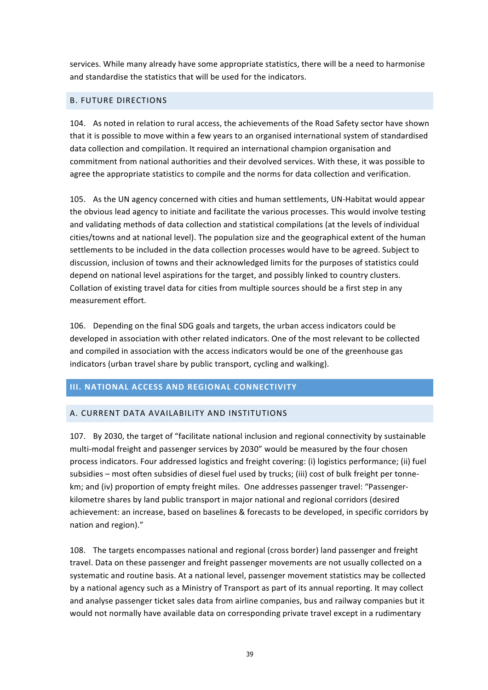services. While many already have some appropriate statistics, there will be a need to harmonise and standardise the statistics that will be used for the indicators.

## **B. FUTURE DIRECTIONS**

104. As noted in relation to rural access, the achievements of the Road Safety sector have shown that it is possible to move within a few years to an organised international system of standardised data collection and compilation. It required an international champion organisation and commitment from national authorities and their devolved services. With these, it was possible to agree the appropriate statistics to compile and the norms for data collection and verification.

105. As the UN agency concerned with cities and human settlements, UN-Habitat would appear the obvious lead agency to initiate and facilitate the various processes. This would involve testing and validating methods of data collection and statistical compilations (at the levels of individual cities/towns and at national level). The population size and the geographical extent of the human settlements to be included in the data collection processes would have to be agreed. Subject to discussion, inclusion of towns and their acknowledged limits for the purposes of statistics could depend on national level aspirations for the target, and possibly linked to country clusters. Collation of existing travel data for cities from multiple sources should be a first step in any measurement effort.

106. Depending on the final SDG goals and targets, the urban access indicators could be developed in association with other related indicators. One of the most relevant to be collected and compiled in association with the access indicators would be one of the greenhouse gas indicators (urban travel share by public transport, cycling and walking).

# **III. NATIONAL ACCESS AND REGIONAL CONNECTIVITY**

### A. CURRENT DATA AVAILABILITY AND INSTITUTIONS

107. By 2030, the target of "facilitate national inclusion and regional connectivity by sustainable multi-modal freight and passenger services by 2030" would be measured by the four chosen process indicators. Four addressed logistics and freight covering: (i) logistics performance; (ii) fuel subsidies – most often subsidies of diesel fuel used by trucks; (iii) cost of bulk freight per tonnekm; and (iv) proportion of empty freight miles. One addresses passenger travel: "Passengerkilometre shares by land public transport in major national and regional corridors (desired achievement: an increase, based on baselines & forecasts to be developed, in specific corridors by nation and region)."

108. The targets encompasses national and regional (cross border) land passenger and freight travel. Data on these passenger and freight passenger movements are not usually collected on a systematic and routine basis. At a national level, passenger movement statistics may be collected by a national agency such as a Ministry of Transport as part of its annual reporting. It may collect and analyse passenger ticket sales data from airline companies, bus and railway companies but it would not normally have available data on corresponding private travel except in a rudimentary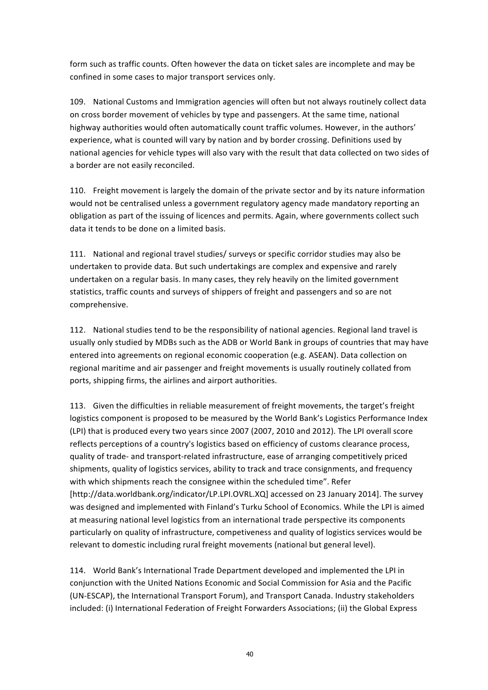form such as traffic counts. Often however the data on ticket sales are incomplete and may be confined in some cases to major transport services only.

109. National Customs and Immigration agencies will often but not always routinely collect data on cross border movement of vehicles by type and passengers. At the same time, national highway authorities would often automatically count traffic volumes. However, in the authors' experience, what is counted will vary by nation and by border crossing. Definitions used by national agencies for vehicle types will also vary with the result that data collected on two sides of a border are not easily reconciled.

110. Freight movement is largely the domain of the private sector and by its nature information would not be centralised unless a government regulatory agency made mandatory reporting an obligation as part of the issuing of licences and permits. Again, where governments collect such data it tends to be done on a limited basis.

111. National and regional travel studies/ surveys or specific corridor studies may also be undertaken to provide data. But such undertakings are complex and expensive and rarely undertaken on a regular basis. In many cases, they rely heavily on the limited government statistics, traffic counts and surveys of shippers of freight and passengers and so are not comprehensive. 

112. National studies tend to be the responsibility of national agencies. Regional land travel is usually only studied by MDBs such as the ADB or World Bank in groups of countries that may have entered into agreements on regional economic cooperation (e.g. ASEAN). Data collection on regional maritime and air passenger and freight movements is usually routinely collated from ports, shipping firms, the airlines and airport authorities.

113. Given the difficulties in reliable measurement of freight movements, the target's freight logistics component is proposed to be measured by the World Bank's Logistics Performance Index (LPI) that is produced every two years since 2007 (2007, 2010 and 2012). The LPI overall score reflects perceptions of a country's logistics based on efficiency of customs clearance process, quality of trade- and transport-related infrastructure, ease of arranging competitively priced shipments, quality of logistics services, ability to track and trace consignments, and frequency with which shipments reach the consignee within the scheduled time". Refer [http://data.worldbank.org/indicator/LP.LPI.OVRL.XQ] accessed on 23 January 2014]. The survey was designed and implemented with Finland's Turku School of Economics. While the LPI is aimed at measuring national level logistics from an international trade perspective its components particularly on quality of infrastructure, competiveness and quality of logistics services would be relevant to domestic including rural freight movements (national but general level).

114. World Bank's International Trade Department developed and implemented the LPI in conjunction with the United Nations Economic and Social Commission for Asia and the Pacific (UN-ESCAP), the International Transport Forum), and Transport Canada. Industry stakeholders included: (i) International Federation of Freight Forwarders Associations; (ii) the Global Express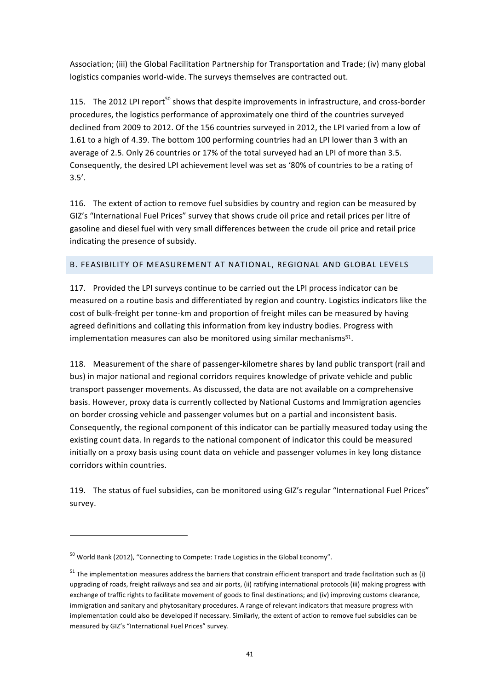Association; (iii) the Global Facilitation Partnership for Transportation and Trade; (iv) many global logistics companies world-wide. The surveys themselves are contracted out.

115. The 2012 LPI report<sup>50</sup> shows that despite improvements in infrastructure, and cross-border procedures, the logistics performance of approximately one third of the countries surveyed declined from 2009 to 2012. Of the 156 countries surveyed in 2012, the LPI varied from a low of 1.61 to a high of 4.39. The bottom 100 performing countries had an LPI lower than 3 with an average of 2.5. Only 26 countries or 17% of the total surveyed had an LPI of more than 3.5. Consequently, the desired LPI achievement level was set as '80% of countries to be a rating of 3.5'. 

116. The extent of action to remove fuel subsidies by country and region can be measured by GIZ's "International Fuel Prices" survey that shows crude oil price and retail prices per litre of gasoline and diesel fuel with very small differences between the crude oil price and retail price indicating the presence of subsidy.

# B. FEASIBILITY OF MEASUREMENT AT NATIONAL, REGIONAL AND GLOBAL LEVELS

117. Provided the LPI surveys continue to be carried out the LPI process indicator can be measured on a routine basis and differentiated by region and country. Logistics indicators like the cost of bulk-freight per tonne-km and proportion of freight miles can be measured by having agreed definitions and collating this information from key industry bodies. Progress with implementation measures can also be monitored using similar mechanisms $51$ .

118. Measurement of the share of passenger-kilometre shares by land public transport (rail and bus) in major national and regional corridors requires knowledge of private vehicle and public transport passenger movements. As discussed, the data are not available on a comprehensive basis. However, proxy data is currently collected by National Customs and Immigration agencies on border crossing vehicle and passenger volumes but on a partial and inconsistent basis. Consequently, the regional component of this indicator can be partially measured today using the existing count data. In regards to the national component of indicator this could be measured initially on a proxy basis using count data on vehicle and passenger volumes in key long distance corridors within countries.

119. The status of fuel subsidies, can be monitored using GIZ's regular "International Fuel Prices" survey.

 $50$  World Bank (2012), "Connecting to Compete: Trade Logistics in the Global Economy".

 $51$  The implementation measures address the barriers that constrain efficient transport and trade facilitation such as (i) upgrading of roads, freight railways and sea and air ports, (ii) ratifying international protocols (iii) making progress with exchange of traffic rights to facilitate movement of goods to final destinations; and (iv) improving customs clearance, immigration and sanitary and phytosanitary procedures. A range of relevant indicators that measure progress with implementation could also be developed if necessary. Similarly, the extent of action to remove fuel subsidies can be measured by GIZ's "International Fuel Prices" survey.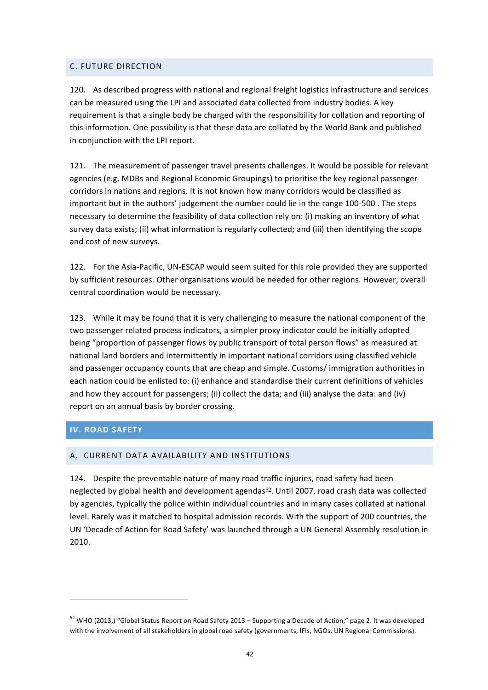## C. FUTURE DIRECTION

120. As described progress with national and regional freight logistics infrastructure and services can be measured using the LPI and associated data collected from industry bodies. A key requirement is that a single body be charged with the responsibility for collation and reporting of this information. One possibility is that these data are collated by the World Bank and published in conjunction with the LPI report.

121. The measurement of passenger travel presents challenges. It would be possible for relevant agencies (e.g. MDBs and Regional Economic Groupings) to prioritise the key regional passenger corridors in nations and regions. It is not known how many corridors would be classified as important but in the authors' judgement the number could lie in the range 100-500. The steps necessary to determine the feasibility of data collection rely on: (i) making an inventory of what survey data exists; (ii) what information is regularly collected; and (iii) then identifying the scope and cost of new surveys.

122. For the Asia-Pacific, UN-ESCAP would seem suited for this role provided they are supported by sufficient resources. Other organisations would be needed for other regions. However, overall central coordination would be necessary.

123. While it may be found that it is very challenging to measure the national component of the two passenger related process indicators, a simpler proxy indicator could be initially adopted being "proportion of passenger flows by public transport of total person flows" as measured at national land borders and intermittently in important national corridors using classified vehicle and passenger occupancy counts that are cheap and simple. Customs/ immigration authorities in each nation could be enlisted to: (i) enhance and standardise their current definitions of vehicles and how they account for passengers; (ii) collect the data; and (iii) analyse the data: and (iv) report on an annual basis by border crossing.

# **IV. ROAD SAFETY**

<u> 1989 - Johann Stein, fransk politik (d. 1989)</u>

### A. CURRENT DATA AVAILABILITY AND INSTITUTIONS

124. Despite the preventable nature of many road traffic injuries, road safety had been neglected by global health and development agendas<sup>52</sup>. Until 2007, road crash data was collected by agencies, typically the police within individual countries and in many cases collated at national level. Rarely was it matched to hospital admission records. With the support of 200 countries, the UN 'Decade of Action for Road Safety' was launched through a UN General Assembly resolution in 2010. 

 $52$  WHO (2013,) "Global Status Report on Road Safety 2013 – Supporting a Decade of Action," page 2. It was developed with the involvement of all stakeholders in global road safety (governments, IFIs, NGOs, UN Regional Commissions).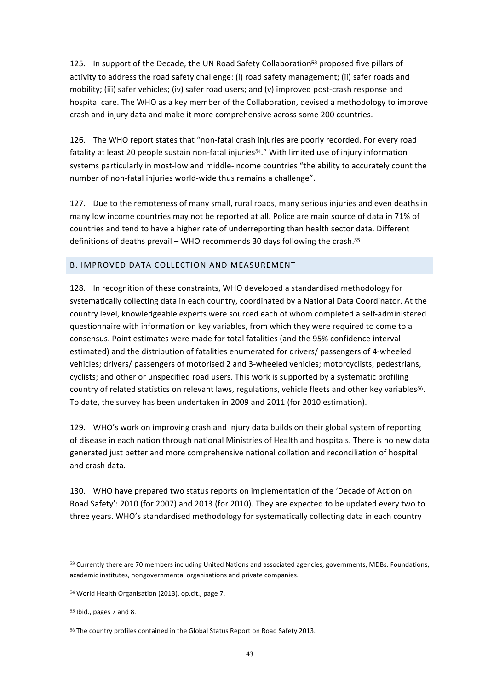125. In support of the Decade, the UN Road Safety Collaboration<sup>53</sup> proposed five pillars of activity to address the road safety challenge: (i) road safety management; (ii) safer roads and mobility; (iii) safer vehicles; (iv) safer road users; and (v) improved post-crash response and hospital care. The WHO as a key member of the Collaboration, devised a methodology to improve crash and injury data and make it more comprehensive across some 200 countries.

126. The WHO report states that "non-fatal crash injuries are poorly recorded. For every road fatality at least 20 people sustain non-fatal injuries<sup>54</sup>." With limited use of injury information systems particularly in most-low and middle-income countries "the ability to accurately count the number of non-fatal injuries world-wide thus remains a challenge".

127. Due to the remoteness of many small, rural roads, many serious injuries and even deaths in many low income countries may not be reported at all. Police are main source of data in 71% of countries and tend to have a higher rate of underreporting than health sector data. Different definitions of deaths prevail – WHO recommends 30 days following the crash.<sup>55</sup>

### B. IMPROVED DATA COLLECTION AND MEASUREMENT

128. In recognition of these constraints, WHO developed a standardised methodology for systematically collecting data in each country, coordinated by a National Data Coordinator. At the country level, knowledgeable experts were sourced each of whom completed a self-administered questionnaire with information on key variables, from which they were required to come to a consensus. Point estimates were made for total fatalities (and the 95% confidence interval estimated) and the distribution of fatalities enumerated for drivers/ passengers of 4-wheeled vehicles; drivers/ passengers of motorised 2 and 3-wheeled vehicles; motorcyclists, pedestrians, cyclists; and other or unspecified road users. This work is supported by a systematic profiling country of related statistics on relevant laws, regulations, vehicle fleets and other key variables<sup>56</sup>. To date, the survey has been undertaken in 2009 and 2011 (for 2010 estimation).

129. WHO's work on improving crash and injury data builds on their global system of reporting of disease in each nation through national Ministries of Health and hospitals. There is no new data generated just better and more comprehensive national collation and reconciliation of hospital and crash data.

130. WHO have prepared two status reports on implementation of the 'Decade of Action on Road Safety': 2010 (for 2007) and 2013 (for 2010). They are expected to be updated every two to three years. WHO's standardised methodology for systematically collecting data in each country

<sup>53</sup> Currently there are 70 members including United Nations and associated agencies, governments, MDBs. Foundations, academic institutes, nongovernmental organisations and private companies.

<sup>54</sup> World Health Organisation (2013), op.cit., page 7.

 $55$  Ibid., pages 7 and 8.

<sup>56</sup> The country profiles contained in the Global Status Report on Road Safety 2013.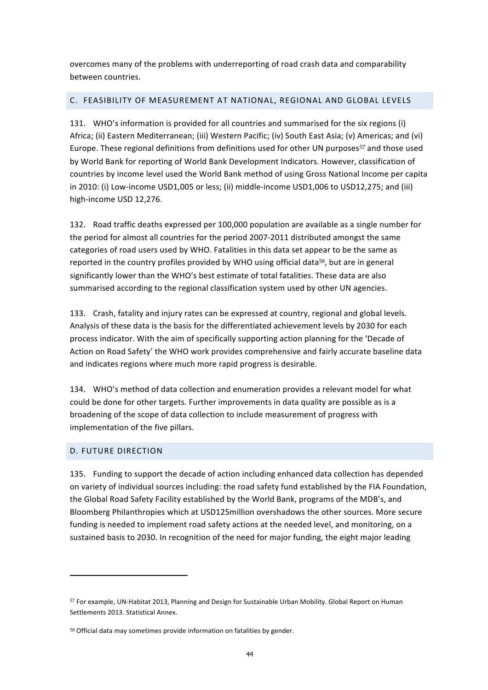overcomes many of the problems with underreporting of road crash data and comparability between countries.

# C. FEASIBILITY OF MEASUREMENT AT NATIONAL, REGIONAL AND GLOBAL LEVELS

131. WHO's information is provided for all countries and summarised for the six regions (i) Africa; (ii) Eastern Mediterranean; (iii) Western Pacific; (iv) South East Asia; (v) Americas; and (vi) Europe. These regional definitions from definitions used for other UN purposes<sup>57</sup> and those used by World Bank for reporting of World Bank Development Indicators. However, classification of countries by income level used the World Bank method of using Gross National Income per capita in 2010: (i) Low-income USD1,005 or less; (ii) middle-income USD1,006 to USD12,275; and (iii) high-income USD 12,276.

132. Road traffic deaths expressed per 100,000 population are available as a single number for the period for almost all countries for the period 2007-2011 distributed amongst the same categories of road users used by WHO. Fatalities in this data set appear to be the same as reported in the country profiles provided by WHO using official data<sup>58</sup>, but are in general significantly lower than the WHO's best estimate of total fatalities. These data are also summarised according to the regional classification system used by other UN agencies.

133. Crash, fatality and injury rates can be expressed at country, regional and global levels. Analysis of these data is the basis for the differentiated achievement levels by 2030 for each process indicator. With the aim of specifically supporting action planning for the 'Decade of Action on Road Safety' the WHO work provides comprehensive and fairly accurate baseline data and indicates regions where much more rapid progress is desirable.

134. WHO's method of data collection and enumeration provides a relevant model for what could be done for other targets. Further improvements in data quality are possible as is a broadening of the scope of data collection to include measurement of progress with implementation of the five pillars.

# D. FUTURE DIRECTION

 

135. Funding to support the decade of action including enhanced data collection has depended on variety of individual sources including: the road safety fund established by the FIA Foundation, the Global Road Safety Facility established by the World Bank, programs of the MDB's, and Bloomberg Philanthropies which at USD125million overshadows the other sources. More secure funding is needed to implement road safety actions at the needed level, and monitoring, on a sustained basis to 2030. In recognition of the need for major funding, the eight major leading

<sup>57</sup> For example, UN-Habitat 2013, Planning and Design for Sustainable Urban Mobility. Global Report on Human Settlements 2013. Statistical Annex.

<sup>58</sup> Official data may sometimes provide information on fatalities by gender.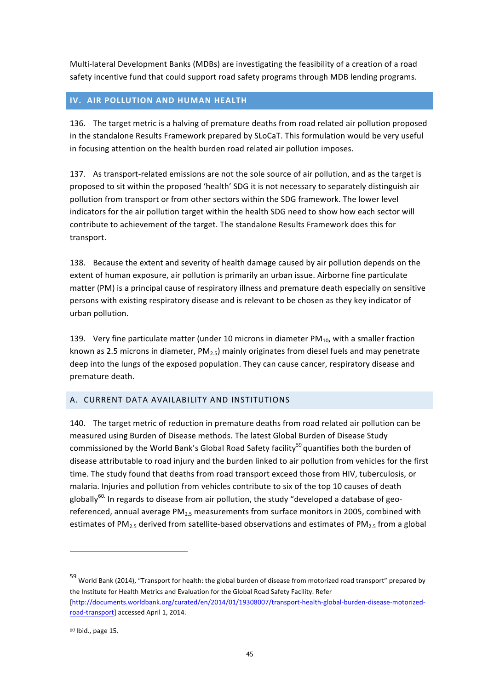Multi-lateral Development Banks (MDBs) are investigating the feasibility of a creation of a road safety incentive fund that could support road safety programs through MDB lending programs.

# **IV. AIR POLLUTION AND HUMAN HEALTH**

136. The target metric is a halving of premature deaths from road related air pollution proposed in the standalone Results Framework prepared by SLoCaT. This formulation would be very useful in focusing attention on the health burden road related air pollution imposes.

137. As transport-related emissions are not the sole source of air pollution, and as the target is proposed to sit within the proposed 'health' SDG it is not necessary to separately distinguish air pollution from transport or from other sectors within the SDG framework. The lower level indicators for the air pollution target within the health SDG need to show how each sector will contribute to achievement of the target. The standalone Results Framework does this for transport.

138. Because the extent and severity of health damage caused by air pollution depends on the extent of human exposure, air pollution is primarily an urban issue. Airborne fine particulate matter (PM) is a principal cause of respiratory illness and premature death especially on sensitive persons with existing respiratory disease and is relevant to be chosen as they key indicator of urban pollution.

139. Very fine particulate matter (under 10 microns in diameter  $PM_{10}$ , with a smaller fraction known as 2.5 microns in diameter,  $PM_{2.5}$  mainly originates from diesel fuels and may penetrate deep into the lungs of the exposed population. They can cause cancer, respiratory disease and premature death.

# A. CURRENT DATA AVAILABILITY AND INSTITUTIONS

140. The target metric of reduction in premature deaths from road related air pollution can be measured using Burden of Disease methods. The latest Global Burden of Disease Study commissioned by the World Bank's Global Road Safety facility<sup>59</sup> quantifies both the burden of disease attributable to road injury and the burden linked to air pollution from vehicles for the first time. The study found that deaths from road transport exceed those from HIV, tuberculosis, or malaria. Injuries and pollution from vehicles contribute to six of the top 10 causes of death globally<sup>60.</sup> In regards to disease from air pollution, the study "developed a database of georeferenced, annual average  $PM<sub>2.5</sub>$  measurements from surface monitors in 2005, combined with estimates of PM<sub>2.5</sub> derived from satellite-based observations and estimates of PM<sub>2.5</sub> from a global

 $59$  World Bank (2014), "Transport for health: the global burden of disease from motorized road transport" prepared by the Institute for Health Metrics and Evaluation for the Global Road Safety Facility. Refer [http://documents.worldbank.org/curated/en/2014/01/19308007/transport-health-global-burden-disease-motorizedroad-transport] accessed April 1, 2014.

 $60$  Ibid., page 15.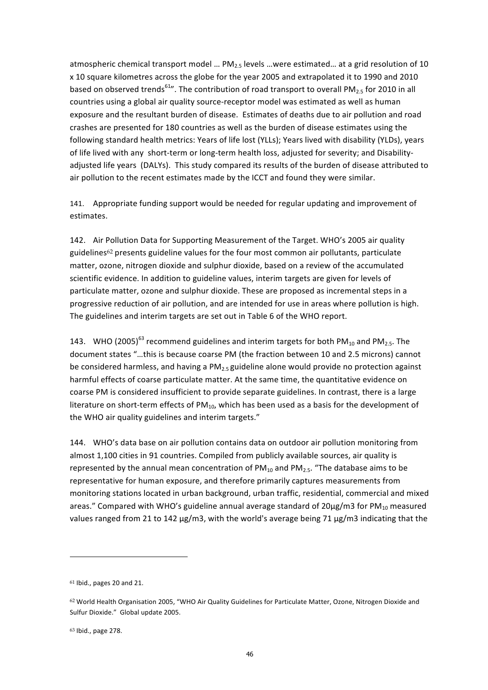atmospheric chemical transport model ...  $PM_{2.5}$  levels ...were estimated... at a grid resolution of 10 x 10 square kilometres across the globe for the year 2005 and extrapolated it to 1990 and 2010 based on observed trends<sup>61</sup>". The contribution of road transport to overall PM<sub>2.5</sub> for 2010 in all countries using a global air quality source-receptor model was estimated as well as human exposure and the resultant burden of disease. Estimates of deaths due to air pollution and road crashes are presented for 180 countries as well as the burden of disease estimates using the following standard health metrics: Years of life lost (YLLs); Years lived with disability (YLDs), years of life lived with any short-term or long-term health loss, adjusted for severity; and Disabilityadjusted life years (DALYs). This study compared its results of the burden of disease attributed to air pollution to the recent estimates made by the ICCT and found they were similar.

141. Appropriate funding support would be needed for regular updating and improvement of estimates. 

142. Air Pollution Data for Supporting Measurement of the Target. WHO's 2005 air quality guidelines<sup>62</sup> presents guideline values for the four most common air pollutants, particulate matter, ozone, nitrogen dioxide and sulphur dioxide, based on a review of the accumulated scientific evidence. In addition to guideline values, interim targets are given for levels of particulate matter, ozone and sulphur dioxide. These are proposed as incremental steps in a progressive reduction of air pollution, and are intended for use in areas where pollution is high. The guidelines and interim targets are set out in Table 6 of the WHO report.

143. WHO (2005)<sup>63</sup> recommend guidelines and interim targets for both PM<sub>10</sub> and PM<sub>2.5</sub>. The document states "...this is because coarse PM (the fraction between 10 and 2.5 microns) cannot be considered harmless, and having a PM<sub>2.5</sub> guideline alone would provide no protection against harmful effects of coarse particulate matter. At the same time, the quantitative evidence on coarse PM is considered insufficient to provide separate guidelines. In contrast, there is a large literature on short-term effects of  $PM_{10}$ , which has been used as a basis for the development of the WHO air quality guidelines and interim targets."

144. WHO's data base on air pollution contains data on outdoor air pollution monitoring from almost 1,100 cities in 91 countries. Compiled from publicly available sources, air quality is represented by the annual mean concentration of  $PM_{10}$  and  $PM_{2.5}$ . "The database aims to be representative for human exposure, and therefore primarily captures measurements from monitoring stations located in urban background, urban traffic, residential, commercial and mixed areas." Compared with WHO's guideline annual average standard of  $20\mu$ g/m3 for PM<sub>10</sub> measured values ranged from 21 to 142 μg/m3, with the world's average being 71 μg/m3 indicating that the

 $61$  Ibid., pages 20 and 21.

<sup>62</sup> World Health Organisation 2005, "WHO Air Quality Guidelines for Particulate Matter, Ozone, Nitrogen Dioxide and Sulfur Dioxide." Global update 2005.

<sup>63</sup> Ibid., page 278.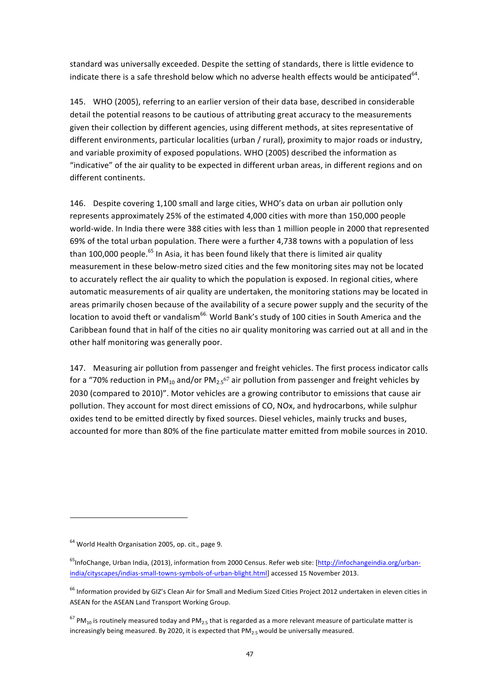standard was universally exceeded. Despite the setting of standards, there is little evidence to indicate there is a safe threshold below which no adverse health effects would be anticipated<sup>64</sup>.

145. WHO (2005), referring to an earlier version of their data base, described in considerable detail the potential reasons to be cautious of attributing great accuracy to the measurements given their collection by different agencies, using different methods, at sites representative of different environments, particular localities (urban / rural), proximity to major roads or industry, and variable proximity of exposed populations. WHO (2005) described the information as "indicative" of the air quality to be expected in different urban areas, in different regions and on different continents.

146. Despite covering 1,100 small and large cities, WHO's data on urban air pollution only represents approximately 25% of the estimated 4,000 cities with more than 150,000 people world-wide. In India there were 388 cities with less than 1 million people in 2000 that represented 69% of the total urban population. There were a further 4,738 towns with a population of less than 100,000 people.<sup>65</sup> In Asia, it has been found likely that there is limited air quality measurement in these below-metro sized cities and the few monitoring sites may not be located to accurately reflect the air quality to which the population is exposed. In regional cities, where automatic measurements of air quality are undertaken, the monitoring stations may be located in areas primarily chosen because of the availability of a secure power supply and the security of the location to avoid theft or vandalism<sup>66.</sup> World Bank's study of 100 cities in South America and the Caribbean found that in half of the cities no air quality monitoring was carried out at all and in the other half monitoring was generally poor.

147. Measuring air pollution from passenger and freight vehicles. The first process indicator calls for a "70% reduction in PM<sub>10</sub> and/or PM<sub>2.5</sub>67 air pollution from passenger and freight vehicles by 2030 (compared to 2010)". Motor vehicles are a growing contributor to emissions that cause air pollution. They account for most direct emissions of CO, NOx, and hydrocarbons, while sulphur oxides tend to be emitted directly by fixed sources. Diesel vehicles, mainly trucks and buses, accounted for more than 80% of the fine particulate matter emitted from mobile sources in 2010.

 $64$  World Health Organisation 2005, op. cit., page 9.

 $^{65}$ InfoChange, Urban India, (2013), information from 2000 Census. Refer web site: [http://infochangeindia.org/urbanindia/cityscapes/indias-small-towns-symbols-of-urban-blight.html] accessed 15 November 2013.

 $^{66}$  Information provided by GIZ's Clean Air for Small and Medium Sized Cities Project 2012 undertaken in eleven cities in ASEAN for the ASEAN Land Transport Working Group.

 $^{67}$  PM<sub>10</sub> is routinely measured today and PM<sub>2.5</sub> that is regarded as a more relevant measure of particulate matter is increasingly being measured. By 2020, it is expected that  $PM_{2.5}$  would be universally measured.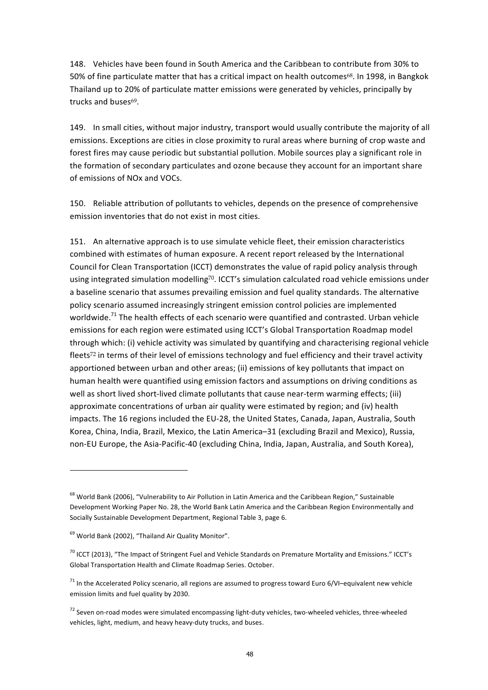148. Vehicles have been found in South America and the Caribbean to contribute from 30% to 50% of fine particulate matter that has a critical impact on health outcomes<sup>68</sup>. In 1998, in Bangkok Thailand up to 20% of particulate matter emissions were generated by vehicles, principally by trucks and buses<sup>69</sup>.

149. In small cities, without major industry, transport would usually contribute the majority of all emissions. Exceptions are cities in close proximity to rural areas where burning of crop waste and forest fires may cause periodic but substantial pollution. Mobile sources play a significant role in the formation of secondary particulates and ozone because they account for an important share of emissions of NO<sub>x</sub> and VOCs.

150. Reliable attribution of pollutants to vehicles, depends on the presence of comprehensive emission inventories that do not exist in most cities.

151. An alternative approach is to use simulate vehicle fleet, their emission characteristics combined with estimates of human exposure. A recent report released by the International Council for Clean Transportation (ICCT) demonstrates the value of rapid policy analysis through using integrated simulation modelling<sup>70</sup>. ICCT's simulation calculated road vehicle emissions under a baseline scenario that assumes prevailing emission and fuel quality standards. The alternative policy scenario assumed increasingly stringent emission control policies are implemented worldwide.<sup>71</sup> The health effects of each scenario were quantified and contrasted. Urban vehicle emissions for each region were estimated using ICCT's Global Transportation Roadmap model through which: (i) vehicle activity was simulated by quantifying and characterising regional vehicle fleets<sup>72</sup> in terms of their level of emissions technology and fuel efficiency and their travel activity apportioned between urban and other areas; (ii) emissions of key pollutants that impact on human health were quantified using emission factors and assumptions on driving conditions as well as short lived short-lived climate pollutants that cause near-term warming effects; (iii) approximate concentrations of urban air quality were estimated by region; and (iv) health impacts. The 16 regions included the EU-28, the United States, Canada, Japan, Australia, South Korea, China, India, Brazil, Mexico, the Latin America–31 (excluding Brazil and Mexico), Russia, non-EU Europe, the Asia-Pacific-40 (excluding China, India, Japan, Australia, and South Korea),

<sup>&</sup>lt;sup>68</sup> World Bank (2006), "Vulnerability to Air Pollution in Latin America and the Caribbean Region," Sustainable Development Working Paper No. 28, the World Bank Latin America and the Caribbean Region Environmentally and Socially Sustainable Development Department, Regional Table 3, page 6.

 $69$  World Bank (2002), "Thailand Air Quality Monitor".

 $70$  ICCT (2013), "The Impact of Stringent Fuel and Vehicle Standards on Premature Mortality and Emissions." ICCT's Global Transportation Health and Climate Roadmap Series. October.

 $71$  In the Accelerated Policy scenario, all regions are assumed to progress toward Euro 6/VI–equivalent new vehicle emission limits and fuel quality by 2030.

 $72$  Seven on-road modes were simulated encompassing light-duty vehicles, two-wheeled vehicles, three-wheeled vehicles, light, medium, and heavy heavy-duty trucks, and buses.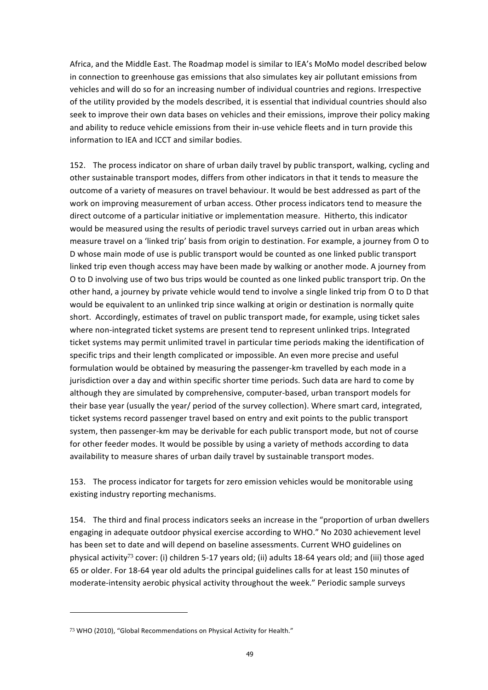Africa, and the Middle East. The Roadmap model is similar to IEA's MoMo model described below in connection to greenhouse gas emissions that also simulates key air pollutant emissions from vehicles and will do so for an increasing number of individual countries and regions. Irrespective of the utility provided by the models described, it is essential that individual countries should also seek to improve their own data bases on vehicles and their emissions, improve their policy making and ability to reduce vehicle emissions from their in-use vehicle fleets and in turn provide this information to IEA and ICCT and similar bodies.

152. The process indicator on share of urban daily travel by public transport, walking, cycling and other sustainable transport modes, differs from other indicators in that it tends to measure the outcome of a variety of measures on travel behaviour. It would be best addressed as part of the work on improving measurement of urban access. Other process indicators tend to measure the direct outcome of a particular initiative or implementation measure. Hitherto, this indicator would be measured using the results of periodic travel surveys carried out in urban areas which measure travel on a 'linked trip' basis from origin to destination. For example, a journey from O to D whose main mode of use is public transport would be counted as one linked public transport linked trip even though access may have been made by walking or another mode. A journey from O to D involving use of two bus trips would be counted as one linked public transport trip. On the other hand, a journey by private vehicle would tend to involve a single linked trip from O to D that would be equivalent to an unlinked trip since walking at origin or destination is normally quite short. Accordingly, estimates of travel on public transport made, for example, using ticket sales where non-integrated ticket systems are present tend to represent unlinked trips. Integrated ticket systems may permit unlimited travel in particular time periods making the identification of specific trips and their length complicated or impossible. An even more precise and useful formulation would be obtained by measuring the passenger-km travelled by each mode in a jurisdiction over a day and within specific shorter time periods. Such data are hard to come by although they are simulated by comprehensive, computer-based, urban transport models for their base year (usually the year/ period of the survey collection). Where smart card, integrated, ticket systems record passenger travel based on entry and exit points to the public transport system, then passenger-km may be derivable for each public transport mode, but not of course for other feeder modes. It would be possible by using a variety of methods according to data availability to measure shares of urban daily travel by sustainable transport modes.

153. The process indicator for targets for zero emission vehicles would be monitorable using existing industry reporting mechanisms.

154. The third and final process indicators seeks an increase in the "proportion of urban dwellers engaging in adequate outdoor physical exercise according to WHO." No 2030 achievement level has been set to date and will depend on baseline assessments. Current WHO guidelines on physical activity<sup>73</sup> cover: (i) children 5-17 years old; (ii) adults 18-64 years old; and (iii) those aged 65 or older. For 18-64 year old adults the principal guidelines calls for at least 150 minutes of moderate-intensity aerobic physical activity throughout the week." Periodic sample surveys

<sup>73</sup> WHO (2010), "Global Recommendations on Physical Activity for Health."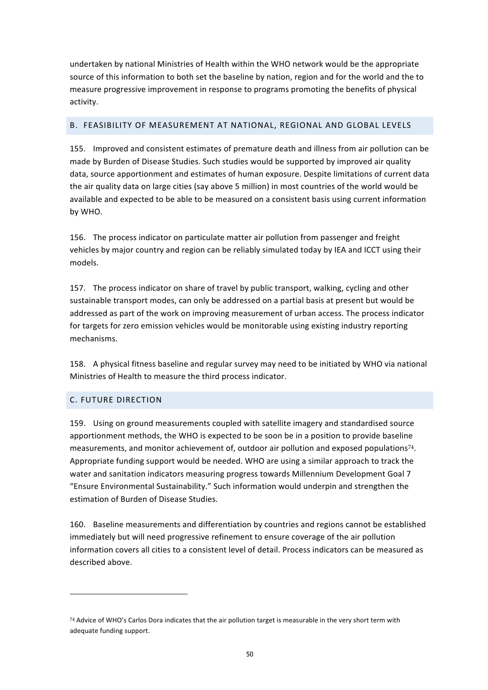undertaken by national Ministries of Health within the WHO network would be the appropriate source of this information to both set the baseline by nation, region and for the world and the to measure progressive improvement in response to programs promoting the benefits of physical activity.

## B. FEASIBILITY OF MEASUREMENT AT NATIONAL, REGIONAL AND GLOBAL LEVELS

155. Improved and consistent estimates of premature death and illness from air pollution can be made by Burden of Disease Studies. Such studies would be supported by improved air quality data, source apportionment and estimates of human exposure. Despite limitations of current data the air quality data on large cities (say above 5 million) in most countries of the world would be available and expected to be able to be measured on a consistent basis using current information by WHO.

156. The process indicator on particulate matter air pollution from passenger and freight vehicles by major country and region can be reliably simulated today by IEA and ICCT using their models.

157. The process indicator on share of travel by public transport, walking, cycling and other sustainable transport modes, can only be addressed on a partial basis at present but would be addressed as part of the work on improving measurement of urban access. The process indicator for targets for zero emission vehicles would be monitorable using existing industry reporting mechanisms.

158. A physical fitness baseline and regular survey may need to be initiated by WHO via national Ministries of Health to measure the third process indicator.

# C. FUTURE DIRECTION

 

159. Using on ground measurements coupled with satellite imagery and standardised source apportionment methods, the WHO is expected to be soon be in a position to provide baseline measurements, and monitor achievement of, outdoor air pollution and exposed populations<sup>74</sup>. Appropriate funding support would be needed. WHO are using a similar approach to track the water and sanitation indicators measuring progress towards Millennium Development Goal 7 "Ensure Environmental Sustainability." Such information would underpin and strengthen the estimation of Burden of Disease Studies.

160. Baseline measurements and differentiation by countries and regions cannot be established immediately but will need progressive refinement to ensure coverage of the air pollution information covers all cities to a consistent level of detail. Process indicators can be measured as described above.

 $74$  Advice of WHO's Carlos Dora indicates that the air pollution target is measurable in the very short term with adequate funding support.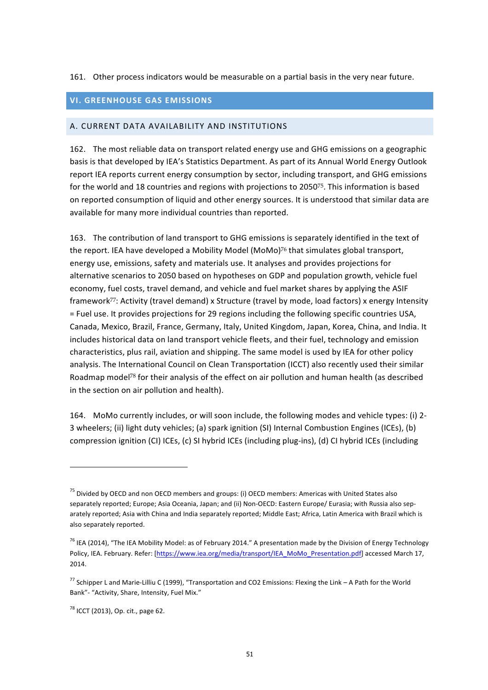### 161. Other process indicators would be measurable on a partial basis in the very near future.

# **VI. GREENHOUSE GAS EMISSIONS**

#### A. CURRENT DATA AVAILABILITY AND INSTITUTIONS

162. The most reliable data on transport related energy use and GHG emissions on a geographic basis is that developed by IEA's Statistics Department. As part of its Annual World Energy Outlook report IEA reports current energy consumption by sector, including transport, and GHG emissions for the world and 18 countries and regions with projections to 2050<sup>75</sup>. This information is based on reported consumption of liquid and other energy sources. It is understood that similar data are available for many more individual countries than reported.

163. The contribution of land transport to GHG emissions is separately identified in the text of the report. IEA have developed a Mobility Model (MoMo)<sup>76</sup> that simulates global transport, energy use, emissions, safety and materials use. It analyses and provides projections for alternative scenarios to 2050 based on hypotheses on GDP and population growth, vehicle fuel economy, fuel costs, travel demand, and vehicle and fuel market shares by applying the ASIF framework<sup>77</sup>: Activity (travel demand) x Structure (travel by mode, load factors) x energy Intensity = Fuel use. It provides projections for 29 regions including the following specific countries USA, Canada, Mexico, Brazil, France, Germany, Italy, United Kingdom, Japan, Korea, China, and India. It includes historical data on land transport vehicle fleets, and their fuel, technology and emission characteristics, plus rail, aviation and shipping. The same model is used by IEA for other policy analysis. The International Council on Clean Transportation (ICCT) also recently used their similar Roadmap model<sup>78</sup> for their analysis of the effect on air pollution and human health (as described in the section on air pollution and health).

164. MoMo currently includes, or will soon include, the following modes and vehicle types: (i) 2-3 wheelers; (ii) light duty vehicles; (a) spark ignition (SI) Internal Combustion Engines (ICEs), (b) compression ignition (CI) ICEs, (c) SI hybrid ICEs (including plug-ins), (d) CI hybrid ICEs (including

 $75$  Divided by OECD and non OECD members and groups: (i) OECD members: Americas with United States also separately reported; Europe; Asia Oceania, Japan; and (ii) Non-OECD: Eastern Europe/ Eurasia; with Russia also separately reported; Asia with China and India separately reported; Middle East; Africa, Latin America with Brazil which is also separately reported.

<sup>&</sup>lt;sup>76</sup> IEA (2014), "The IEA Mobility Model: as of February 2014." A presentation made by the Division of Energy Technology Policy, IEA. February. Refer: [https://www.iea.org/media/transport/IEA\_MoMo\_Presentation.pdf] accessed March 17, 2014.

<sup>&</sup>lt;sup>77</sup> Schipper L and Marie-Lilliu C (1999), "Transportation and CO2 Emissions: Flexing the Link – A Path for the World Bank"- "Activity, Share, Intensity, Fuel Mix."

 $^{78}$  ICCT (2013), Op. cit., page 62.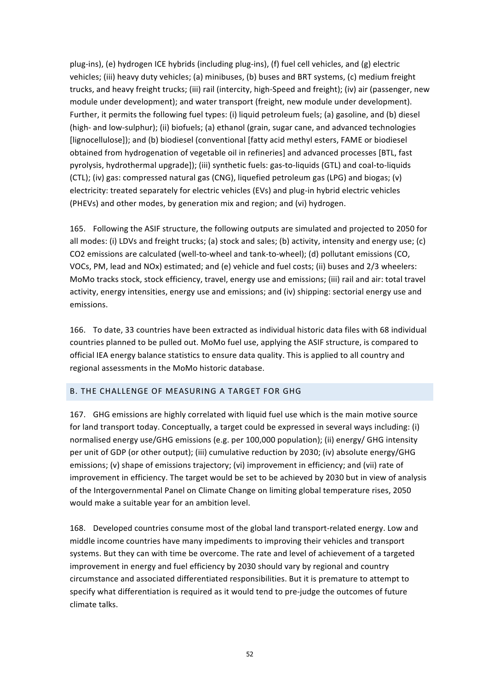plug-ins), (e) hydrogen ICE hybrids (including plug-ins), (f) fuel cell vehicles, and (g) electric vehicles; (iii) heavy duty vehicles; (a) minibuses, (b) buses and BRT systems, (c) medium freight trucks, and heavy freight trucks; (iii) rail (intercity, high-Speed and freight); (iv) air (passenger, new module under development); and water transport (freight, new module under development). Further, it permits the following fuel types: (i) liquid petroleum fuels; (a) gasoline, and (b) diesel (high- and low-sulphur); (ii) biofuels; (a) ethanol (grain, sugar cane, and advanced technologies [lignocellulose]); and (b) biodiesel (conventional [fatty acid methyl esters, FAME or biodiesel obtained from hydrogenation of vegetable oil in refineries] and advanced processes [BTL, fast pyrolysis, hydrothermal upgrade]); (iii) synthetic fuels: gas-to-liquids (GTL) and coal-to-liquids  $(CTL)$ ; (iv) gas: compressed natural gas  $(CNG)$ , liquefied petroleum gas  $(LPG)$  and biogas;  $(v)$ electricity: treated separately for electric vehicles (EVs) and plug-in hybrid electric vehicles (PHEVs) and other modes, by generation mix and region; and (vi) hydrogen.

165. Following the ASIF structure, the following outputs are simulated and projected to 2050 for all modes: (i) LDVs and freight trucks; (a) stock and sales; (b) activity, intensity and energy use; (c) CO2 emissions are calculated (well-to-wheel and tank-to-wheel); (d) pollutant emissions (CO, VOCs, PM, lead and NOx) estimated; and (e) vehicle and fuel costs; (ii) buses and 2/3 wheelers: MoMo tracks stock, stock efficiency, travel, energy use and emissions; (iii) rail and air: total travel activity, energy intensities, energy use and emissions; and (iv) shipping: sectorial energy use and emissions.

166. To date, 33 countries have been extracted as individual historic data files with 68 individual countries planned to be pulled out. MoMo fuel use, applying the ASIF structure, is compared to official IEA energy balance statistics to ensure data quality. This is applied to all country and regional assessments in the MoMo historic database.

# B. THE CHALLENGE OF MEASURING A TARGET FOR GHG

167. GHG emissions are highly correlated with liquid fuel use which is the main motive source for land transport today. Conceptually, a target could be expressed in several ways including: (i) normalised energy use/GHG emissions (e.g. per 100,000 population); (ii) energy/ GHG intensity per unit of GDP (or other output); (iii) cumulative reduction by 2030; (iv) absolute energy/GHG emissions; (v) shape of emissions trajectory; (vi) improvement in efficiency; and (vii) rate of improvement in efficiency. The target would be set to be achieved by 2030 but in view of analysis of the Intergovernmental Panel on Climate Change on limiting global temperature rises, 2050 would make a suitable year for an ambition level.

168. Developed countries consume most of the global land transport-related energy. Low and middle income countries have many impediments to improving their vehicles and transport systems. But they can with time be overcome. The rate and level of achievement of a targeted improvement in energy and fuel efficiency by 2030 should vary by regional and country circumstance and associated differentiated responsibilities. But it is premature to attempt to specify what differentiation is required as it would tend to pre-judge the outcomes of future climate talks.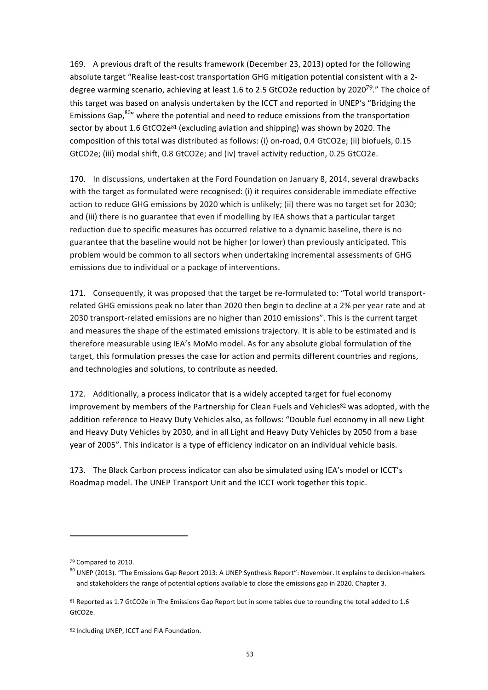169. A previous draft of the results framework (December 23, 2013) opted for the following absolute target "Realise least-cost transportation GHG mitigation potential consistent with a 2degree warming scenario, achieving at least 1.6 to 2.5 GtCO2e reduction by 2020<sup>79</sup>." The choice of this target was based on analysis undertaken by the ICCT and reported in UNEP's "Bridging the Emissions Gap, $^{80}$ " where the potential and need to reduce emissions from the transportation sector by about  $1.6$  GtCO2e<sup>81</sup> (excluding aviation and shipping) was shown by 2020. The composition of this total was distributed as follows: (i) on-road, 0.4 GtCO2e; (ii) biofuels, 0.15 GtCO2e; (iii) modal shift, 0.8 GtCO2e; and (iv) travel activity reduction, 0.25 GtCO2e.

170. In discussions, undertaken at the Ford Foundation on January 8, 2014, several drawbacks with the target as formulated were recognised: (i) it requires considerable immediate effective action to reduce GHG emissions by 2020 which is unlikely; (ii) there was no target set for 2030; and (iii) there is no guarantee that even if modelling by IEA shows that a particular target reduction due to specific measures has occurred relative to a dynamic baseline, there is no guarantee that the baseline would not be higher (or lower) than previously anticipated. This problem would be common to all sectors when undertaking incremental assessments of GHG emissions due to individual or a package of interventions.

171. Consequently, it was proposed that the target be re-formulated to: "Total world transportrelated GHG emissions peak no later than 2020 then begin to decline at a 2% per year rate and at 2030 transport-related emissions are no higher than 2010 emissions". This is the current target and measures the shape of the estimated emissions trajectory. It is able to be estimated and is therefore measurable using IEA's MoMo model. As for any absolute global formulation of the target, this formulation presses the case for action and permits different countries and regions, and technologies and solutions, to contribute as needed.

172. Additionally, a process indicator that is a widely accepted target for fuel economy improvement by members of the Partnership for Clean Fuels and Vehicles<sup>82</sup> was adopted, with the addition reference to Heavy Duty Vehicles also, as follows: "Double fuel economy in all new Light and Heavy Duty Vehicles by 2030, and in all Light and Heavy Duty Vehicles by 2050 from a base year of 2005". This indicator is a type of efficiency indicator on an individual vehicle basis.

173. The Black Carbon process indicator can also be simulated using IEA's model or ICCT's Roadmap model. The UNEP Transport Unit and the ICCT work together this topic.

<sup>79</sup> Compared to 2010.

 $80$  UNEP (2013). "The Emissions Gap Report 2013: A UNEP Synthesis Report": November. It explains to decision-makers and stakeholders the range of potential options available to close the emissions gap in 2020. Chapter 3.

 $81$  Reported as 1.7 GtCO2e in The Emissions Gap Report but in some tables due to rounding the total added to 1.6 GtCO2e.

<sup>82</sup> Including UNEP, ICCT and FIA Foundation.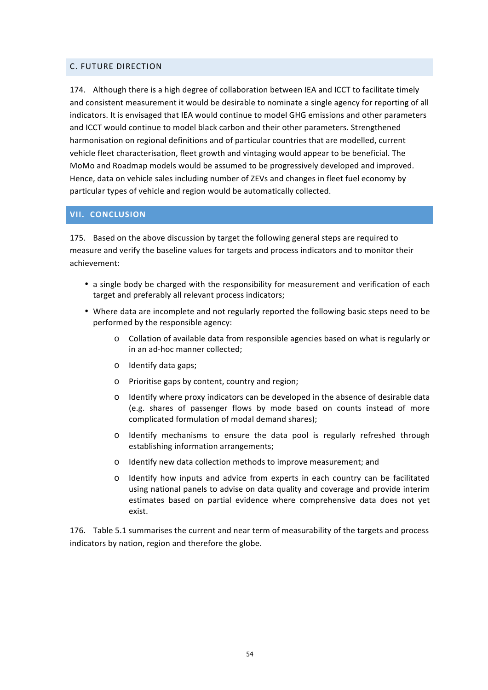### C. FUTURE DIRECTION

174. Although there is a high degree of collaboration between IEA and ICCT to facilitate timely and consistent measurement it would be desirable to nominate a single agency for reporting of all indicators. It is envisaged that IEA would continue to model GHG emissions and other parameters and ICCT would continue to model black carbon and their other parameters. Strengthened harmonisation on regional definitions and of particular countries that are modelled, current vehicle fleet characterisation, fleet growth and vintaging would appear to be beneficial. The MoMo and Roadmap models would be assumed to be progressively developed and improved. Hence, data on vehicle sales including number of ZEVs and changes in fleet fuel economy by particular types of vehicle and region would be automatically collected.

### **VII. CONCLUSION**

175. Based on the above discussion by target the following general steps are required to measure and verify the baseline values for targets and process indicators and to monitor their achievement:

- a single body be charged with the responsibility for measurement and verification of each target and preferably all relevant process indicators;
- Where data are incomplete and not regularly reported the following basic steps need to be performed by the responsible agency:
	- $\circ$  Collation of available data from responsible agencies based on what is regularly or in an ad-hoc manner collected;
	- o Identify data gaps:
	- o Prioritise gaps by content, country and region;
	- $\circ$  Identify where proxy indicators can be developed in the absence of desirable data (e.g. shares of passenger flows by mode based on counts instead of more complicated formulation of modal demand shares);
	- $\circ$  Identify mechanisms to ensure the data pool is regularly refreshed through establishing information arrangements;
	- o Identify new data collection methods to improve measurement; and
	- o Identify how inputs and advice from experts in each country can be facilitated using national panels to advise on data quality and coverage and provide interim estimates based on partial evidence where comprehensive data does not yet exist.

176. Table 5.1 summarises the current and near term of measurability of the targets and process indicators by nation, region and therefore the globe.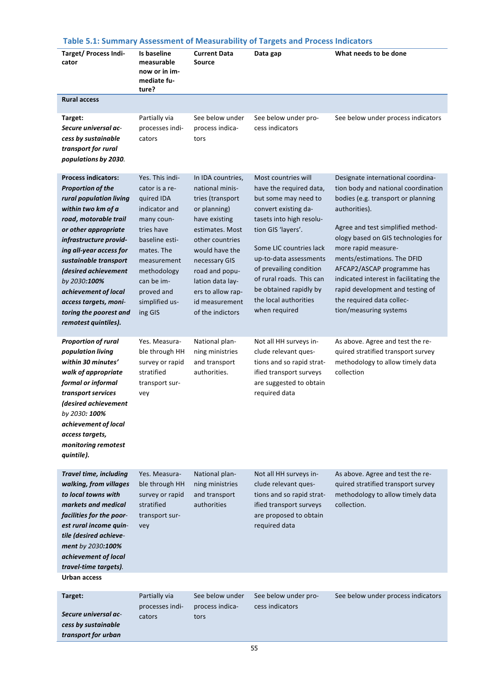# **Table 5.1: Summary Assessment of Measurability of Targets and Process Indicators**

|                                                                                                                                                                                                                                                                                                                                                                                           |                                                                                                                                                                                                                     |                                                                                                                                                                                                                                                                     | Table 5.1. Summary Assessment of Measurability or Targets and Process indicators                                                                                                                                                                                                                                                 |                                                                                                                                                                                                                                                                                                                                                                                                                                      |
|-------------------------------------------------------------------------------------------------------------------------------------------------------------------------------------------------------------------------------------------------------------------------------------------------------------------------------------------------------------------------------------------|---------------------------------------------------------------------------------------------------------------------------------------------------------------------------------------------------------------------|---------------------------------------------------------------------------------------------------------------------------------------------------------------------------------------------------------------------------------------------------------------------|----------------------------------------------------------------------------------------------------------------------------------------------------------------------------------------------------------------------------------------------------------------------------------------------------------------------------------|--------------------------------------------------------------------------------------------------------------------------------------------------------------------------------------------------------------------------------------------------------------------------------------------------------------------------------------------------------------------------------------------------------------------------------------|
| <b>Target/ Process Indi-</b><br>cator                                                                                                                                                                                                                                                                                                                                                     | Is baseline<br>measurable<br>now or in im-<br>mediate fu-<br>ture?                                                                                                                                                  | <b>Current Data</b><br><b>Source</b>                                                                                                                                                                                                                                | Data gap                                                                                                                                                                                                                                                                                                                         | What needs to be done                                                                                                                                                                                                                                                                                                                                                                                                                |
| <b>Rural access</b>                                                                                                                                                                                                                                                                                                                                                                       |                                                                                                                                                                                                                     |                                                                                                                                                                                                                                                                     |                                                                                                                                                                                                                                                                                                                                  |                                                                                                                                                                                                                                                                                                                                                                                                                                      |
| Target:<br>Secure universal ac-<br>cess by sustainable<br>transport for rural<br>populations by 2030.                                                                                                                                                                                                                                                                                     | Partially via<br>processes indi-<br>cators                                                                                                                                                                          | See below under<br>process indica-<br>tors                                                                                                                                                                                                                          | See below under pro-<br>cess indicators                                                                                                                                                                                                                                                                                          | See below under process indicators                                                                                                                                                                                                                                                                                                                                                                                                   |
| <b>Process indicators:</b><br><b>Proportion of the</b><br>rural population living<br>within two km of a<br>road, motorable trail<br>or other appropriate<br>infrastructure provid-<br>ing all-year access for<br>sustainable transport<br>(desired achievement<br>by 2030 <b>:100%</b><br>achievement of local<br>access targets, moni-<br>toring the poorest and<br>remotest quintiles). | Yes. This indi-<br>cator is a re-<br>quired IDA<br>indicator and<br>many coun-<br>tries have<br>baseline esti-<br>mates. The<br>measurement<br>methodology<br>can be im-<br>proved and<br>simplified us-<br>ing GIS | In IDA countries,<br>national minis-<br>tries (transport<br>or planning)<br>have existing<br>estimates. Most<br>other countries<br>would have the<br>necessary GIS<br>road and popu-<br>lation data lay-<br>ers to allow rap-<br>id measurement<br>of the indictors | Most countries will<br>have the required data,<br>but some may need to<br>convert existing da-<br>tasets into high resolu-<br>tion GIS 'layers'.<br>Some LIC countries lack<br>up-to-data assessments<br>of prevailing condition<br>of rural roads. This can<br>be obtained rapidly by<br>the local authorities<br>when required | Designate international coordina-<br>tion body and national coordination<br>bodies (e.g. transport or planning<br>authorities).<br>Agree and test simplified method-<br>ology based on GIS technologies for<br>more rapid measure-<br>ments/estimations. The DFID<br>AFCAP2/ASCAP programme has<br>indicated interest in facilitating the<br>rapid development and testing of<br>the required data collec-<br>tion/measuring systems |
| <b>Proportion of rural</b><br>population living<br>within 30 minutes'<br>walk of appropriate<br>formal or informal<br>transport services<br>(desired achievement<br>by 2030: 100%<br>achievement of local<br>access targets,<br>monitoring remotest<br>quintile).                                                                                                                         | Yes. Measura-<br>ble through HH<br>survey or rapid<br>stratified<br>transport sur-<br>vey                                                                                                                           | National plan-<br>ning ministries<br>and transport<br>authorities.                                                                                                                                                                                                  | Not all HH surveys in-<br>clude relevant ques-<br>tions and so rapid strat-<br>ified transport surveys<br>are suggested to obtain<br>required data                                                                                                                                                                               | As above. Agree and test the re-<br>quired stratified transport survey<br>methodology to allow timely data<br>collection                                                                                                                                                                                                                                                                                                             |
| <b>Travel time, including</b><br>walking, from villages<br>to local towns with<br>markets and medical<br>facilities for the poor-<br>est rural income quin-<br>tile (desired achieve-<br>ment by 2030:100%<br>achievement of local<br>travel-time targets).                                                                                                                               | Yes. Measura-<br>ble through HH<br>survey or rapid<br>stratified<br>transport sur-<br>vey                                                                                                                           | National plan-<br>ning ministries<br>and transport<br>authorities                                                                                                                                                                                                   | Not all HH surveys in-<br>clude relevant ques-<br>tions and so rapid strat-<br>ified transport surveys<br>are proposed to obtain<br>required data                                                                                                                                                                                | As above. Agree and test the re-<br>quired stratified transport survey<br>methodology to allow timely data<br>collection.                                                                                                                                                                                                                                                                                                            |
| <b>Urban access</b>                                                                                                                                                                                                                                                                                                                                                                       |                                                                                                                                                                                                                     |                                                                                                                                                                                                                                                                     |                                                                                                                                                                                                                                                                                                                                  |                                                                                                                                                                                                                                                                                                                                                                                                                                      |
| Target:<br>Secure universal ac-<br>cess by sustainable<br>transport for urban                                                                                                                                                                                                                                                                                                             | Partially via<br>processes indi-<br>cators                                                                                                                                                                          | See below under<br>process indica-<br>tors                                                                                                                                                                                                                          | See below under pro-<br>cess indicators                                                                                                                                                                                                                                                                                          | See below under process indicators                                                                                                                                                                                                                                                                                                                                                                                                   |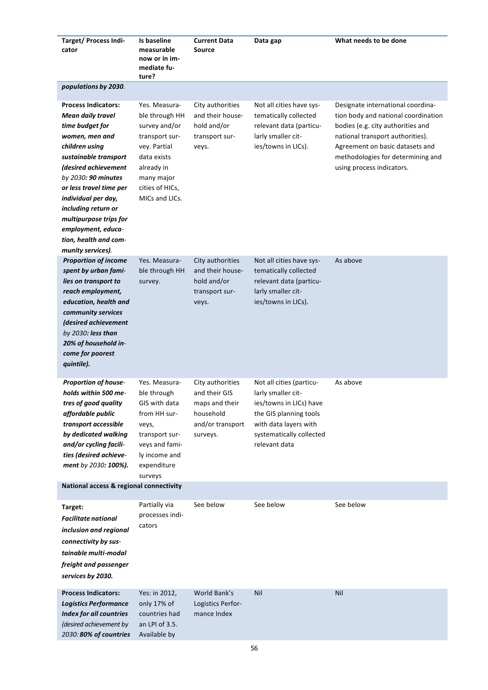| <b>Target/ Process Indi-</b><br>cator                                                                                                                                                                                                                                                                                                                        | Is baseline<br>measurable<br>now or in im-<br>mediate fu-<br>ture?                                                                                                 | <b>Current Data</b><br><b>Source</b>                                                             | Data gap                                                                                                                                                                  | What needs to be done                                                                                                                                                                                                                                  |
|--------------------------------------------------------------------------------------------------------------------------------------------------------------------------------------------------------------------------------------------------------------------------------------------------------------------------------------------------------------|--------------------------------------------------------------------------------------------------------------------------------------------------------------------|--------------------------------------------------------------------------------------------------|---------------------------------------------------------------------------------------------------------------------------------------------------------------------------|--------------------------------------------------------------------------------------------------------------------------------------------------------------------------------------------------------------------------------------------------------|
| populations by 2030.                                                                                                                                                                                                                                                                                                                                         |                                                                                                                                                                    |                                                                                                  |                                                                                                                                                                           |                                                                                                                                                                                                                                                        |
| <b>Process Indicators:</b><br><b>Mean daily travel</b><br>time budget for<br>women, men and<br>children using<br>sustainable transport<br>(desired achievement<br>by 2030: 90 minutes<br>or less travel time per<br>individual per day,<br>including return or<br>multipurpose trips for<br>employment, educa-<br>tion, health and com-<br>munity services). | Yes. Measura-<br>ble through HH<br>survey and/or<br>transport sur-<br>vey. Partial<br>data exists<br>already in<br>many major<br>cities of HICs,<br>MICs and LICs. | City authorities<br>and their house-<br>hold and/or<br>transport sur-<br>veys.                   | Not all cities have sys-<br>tematically collected<br>relevant data (particu-<br>larly smaller cit-<br>ies/towns in LICs).                                                 | Designate international coordina-<br>tion body and national coordination<br>bodies (e.g. city authorities and<br>national transport authorities).<br>Agreement on basic datasets and<br>methodologies for determining and<br>using process indicators. |
| <b>Proportion of income</b><br>spent by urban fami-<br>lies on transport to<br>reach employment,<br>education, health and<br>community services<br>(desired achievement<br>by 2030: less than<br>20% of household in-<br>come for poorest<br>quintile).                                                                                                      | Yes. Measura-<br>ble through HH<br>survey.                                                                                                                         | City authorities<br>and their house-<br>hold and/or<br>transport sur-<br>veys.                   | Not all cities have sys-<br>tematically collected<br>relevant data (particu-<br>larly smaller cit-<br>ies/towns in LICs).                                                 | As above                                                                                                                                                                                                                                               |
| <b>Proportion of house-</b><br>holds within 500 me-<br>tres of good quality<br>affordable public<br>transport accessible<br>by dedicated walking<br>and/or cycling facili-<br>ties (desired achieve-<br>ment by 2030: 100%).                                                                                                                                 | Yes. Measura-<br>ble through<br>GIS with data<br>from HH sur-<br>veys,<br>transport sur-<br>veys and fami-<br>ly income and<br>expenditure<br>surveys              | City authorities<br>and their GIS<br>maps and their<br>household<br>and/or transport<br>surveys. | Not all cities (particu-<br>larly smaller cit-<br>ies/towns in LICs) have<br>the GIS planning tools<br>with data layers with<br>systematically collected<br>relevant data | As above                                                                                                                                                                                                                                               |
| National access & regional connectivity                                                                                                                                                                                                                                                                                                                      |                                                                                                                                                                    |                                                                                                  |                                                                                                                                                                           |                                                                                                                                                                                                                                                        |
| Target:<br><b>Facilitate national</b><br>inclusion and regional<br>connectivity by sus-<br>tainable multi-modal<br>freight and passenger<br>services by 2030.                                                                                                                                                                                                | Partially via<br>processes indi-<br>cators                                                                                                                         | See below                                                                                        | See below                                                                                                                                                                 | See below                                                                                                                                                                                                                                              |
| <b>Process Indicators:</b><br><b>Logistics Performance</b><br><b>Index for all countries</b><br>(desired achievement by<br>2030: 80% of countries                                                                                                                                                                                                            | Yes: in 2012,<br>only 17% of<br>countries had<br>an LPI of 3.5.<br>Available by                                                                                    | World Bank's<br>Logistics Perfor-<br>mance Index                                                 | Nil                                                                                                                                                                       | Nil                                                                                                                                                                                                                                                    |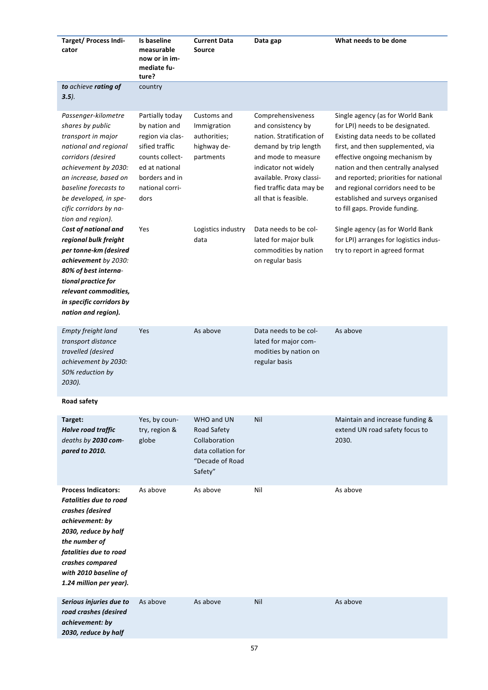| Target/ Process Indi-<br>cator                                                                                                                                                                                                                                 | Is baseline<br>measurable<br>now or in im-<br>mediate fu-<br>ture?                                                                                       | <b>Current Data</b><br><b>Source</b>                                                           | Data gap                                                                                                                                                                                                                      | What needs to be done                                                                                                                                                                                                                                                                                                                                                        |
|----------------------------------------------------------------------------------------------------------------------------------------------------------------------------------------------------------------------------------------------------------------|----------------------------------------------------------------------------------------------------------------------------------------------------------|------------------------------------------------------------------------------------------------|-------------------------------------------------------------------------------------------------------------------------------------------------------------------------------------------------------------------------------|------------------------------------------------------------------------------------------------------------------------------------------------------------------------------------------------------------------------------------------------------------------------------------------------------------------------------------------------------------------------------|
| to achieve rating of<br>$3.5$ ).                                                                                                                                                                                                                               | country                                                                                                                                                  |                                                                                                |                                                                                                                                                                                                                               |                                                                                                                                                                                                                                                                                                                                                                              |
| Passenger-kilometre<br>shares by public<br>transport in major<br>national and regional<br>corridors (desired<br>achievement by 2030:<br>an increase, based on<br>baseline forecasts to<br>be developed, in spe-<br>cific corridors by na-<br>tion and region). | Partially today<br>by nation and<br>region via clas-<br>sified traffic<br>counts collect-<br>ed at national<br>borders and in<br>national corri-<br>dors | Customs and<br>Immigration<br>authorities;<br>highway de-<br>partments                         | Comprehensiveness<br>and consistency by<br>nation. Stratification of<br>demand by trip length<br>and mode to measure<br>indicator not widely<br>available. Proxy classi-<br>fied traffic data may be<br>all that is feasible. | Single agency (as for World Bank<br>for LPI) needs to be designated.<br>Existing data needs to be collated<br>first, and then supplemented, via<br>effective ongoing mechanism by<br>nation and then centrally analysed<br>and reported; priorities for national<br>and regional corridors need to be<br>established and surveys organised<br>to fill gaps. Provide funding. |
| Cost of national and<br>regional bulk freight<br>per tonne-km (desired<br>achievement by 2030:<br>80% of best interna-<br>tional practice for<br>relevant commodities,<br>in specific corridors by<br>nation and region).                                      | Yes                                                                                                                                                      | Logistics industry<br>data                                                                     | Data needs to be col-<br>lated for major bulk<br>commodities by nation<br>on regular basis                                                                                                                                    | Single agency (as for World Bank<br>for LPI) arranges for logistics indus-<br>try to report in agreed format                                                                                                                                                                                                                                                                 |
| Empty freight land<br>transport distance<br>travelled (desired<br>achievement by 2030:<br>50% reduction by<br>2030).                                                                                                                                           | Yes                                                                                                                                                      | As above                                                                                       | Data needs to be col-<br>lated for major com-<br>modities by nation on<br>regular basis                                                                                                                                       | As above                                                                                                                                                                                                                                                                                                                                                                     |
| <b>Road safety</b>                                                                                                                                                                                                                                             |                                                                                                                                                          |                                                                                                |                                                                                                                                                                                                                               |                                                                                                                                                                                                                                                                                                                                                                              |
| Target:<br>Halve road traffic<br>deaths by 2030 com-<br>pared to 2010.                                                                                                                                                                                         | Yes, by coun-<br>try, region &<br>globe                                                                                                                  | WHO and UN<br>Road Safety<br>Collaboration<br>data collation for<br>"Decade of Road<br>Safety" | Nil                                                                                                                                                                                                                           | Maintain and increase funding &<br>extend UN road safety focus to<br>2030.                                                                                                                                                                                                                                                                                                   |
| <b>Process Indicators:</b><br>Fatalities due to road<br>crashes (desired<br>achievement: by<br>2030, reduce by half<br>the number of<br>fatalities due to road<br>crashes compared<br>with 2010 baseline of<br>1.24 million per year).                         | As above                                                                                                                                                 | As above                                                                                       | Nil                                                                                                                                                                                                                           | As above                                                                                                                                                                                                                                                                                                                                                                     |
| Serious injuries due to<br>road crashes (desired<br>achievement: by<br>2030, reduce by half                                                                                                                                                                    | As above                                                                                                                                                 | As above                                                                                       | Nil                                                                                                                                                                                                                           | As above                                                                                                                                                                                                                                                                                                                                                                     |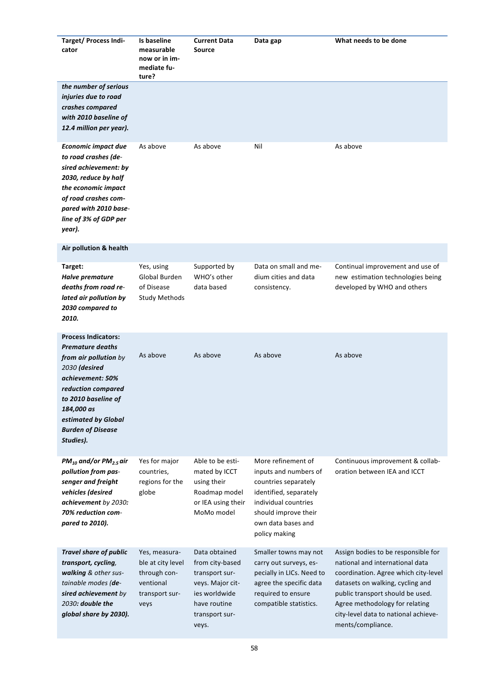| <b>Target/ Process Indi-</b><br>cator                                                                                                                                                                                                          | Is baseline<br>measurable<br>now or in im-<br>mediate fu-<br>ture?                        | <b>Current Data</b><br><b>Source</b>                                                                                               | Data gap                                                                                                                                                                             | What needs to be done                                                                                                                                                                                                                                                                 |
|------------------------------------------------------------------------------------------------------------------------------------------------------------------------------------------------------------------------------------------------|-------------------------------------------------------------------------------------------|------------------------------------------------------------------------------------------------------------------------------------|--------------------------------------------------------------------------------------------------------------------------------------------------------------------------------------|---------------------------------------------------------------------------------------------------------------------------------------------------------------------------------------------------------------------------------------------------------------------------------------|
| the number of serious<br>injuries due to road<br>crashes compared<br>with 2010 baseline of<br>12.4 million per year).                                                                                                                          |                                                                                           |                                                                                                                                    |                                                                                                                                                                                      |                                                                                                                                                                                                                                                                                       |
| <b>Economic impact due</b><br>to road crashes (de-<br>sired achievement: by<br>2030, reduce by half<br>the economic impact<br>of road crashes com-<br>pared with 2010 base-<br>line of 3% of GDP per<br>year).                                 | As above                                                                                  | As above                                                                                                                           | Nil                                                                                                                                                                                  | As above                                                                                                                                                                                                                                                                              |
| Air pollution & health                                                                                                                                                                                                                         |                                                                                           |                                                                                                                                    |                                                                                                                                                                                      |                                                                                                                                                                                                                                                                                       |
| Target:<br>Halve premature<br>deaths from road re-<br>lated air pollution by<br>2030 compared to<br>2010.                                                                                                                                      | Yes, using<br>Global Burden<br>of Disease<br><b>Study Methods</b>                         | Supported by<br>WHO's other<br>data based                                                                                          | Data on small and me-<br>dium cities and data<br>consistency.                                                                                                                        | Continual improvement and use of<br>new estimation technologies being<br>developed by WHO and others                                                                                                                                                                                  |
| <b>Process Indicators:</b><br><b>Premature deaths</b><br>from air pollution by<br>2030 (desired<br>achievement: 50%<br>reduction compared<br>to 2010 baseline of<br>184,000 as<br>estimated by Global<br><b>Burden of Disease</b><br>Studies). | As above                                                                                  | As above                                                                                                                           | As above                                                                                                                                                                             | As above                                                                                                                                                                                                                                                                              |
| $PM_{10}$ and/or $PM_{2.5}$ air<br>pollution from pas-<br>senger and freight<br>vehicles (desired<br>achievement by 2030:<br>70% reduction com-<br>pared to 2010).                                                                             | Yes for major<br>countries,<br>regions for the<br>globe                                   | Able to be esti-<br>mated by ICCT<br>using their<br>Roadmap model<br>or IEA using their<br>MoMo model                              | More refinement of<br>inputs and numbers of<br>countries separately<br>identified, separately<br>individual countries<br>should improve their<br>own data bases and<br>policy making | Continuous improvement & collab-<br>oration between IEA and ICCT                                                                                                                                                                                                                      |
| Travel share of public<br>transport, cycling,<br>walking & other sus-<br>tainable modes (de-<br>sired achievement by<br>2030: double the<br>global share by 2030).                                                                             | Yes, measura-<br>ble at city level<br>through con-<br>ventional<br>transport sur-<br>veys | Data obtained<br>from city-based<br>transport sur-<br>veys. Major cit-<br>ies worldwide<br>have routine<br>transport sur-<br>veys. | Smaller towns may not<br>carry out surveys, es-<br>pecially in LICs. Need to<br>agree the specific data<br>required to ensure<br>compatible statistics.                              | Assign bodies to be responsible for<br>national and international data<br>coordination. Agree which city-level<br>datasets on walking, cycling and<br>public transport should be used.<br>Agree methodology for relating<br>city-level data to national achieve-<br>ments/compliance. |